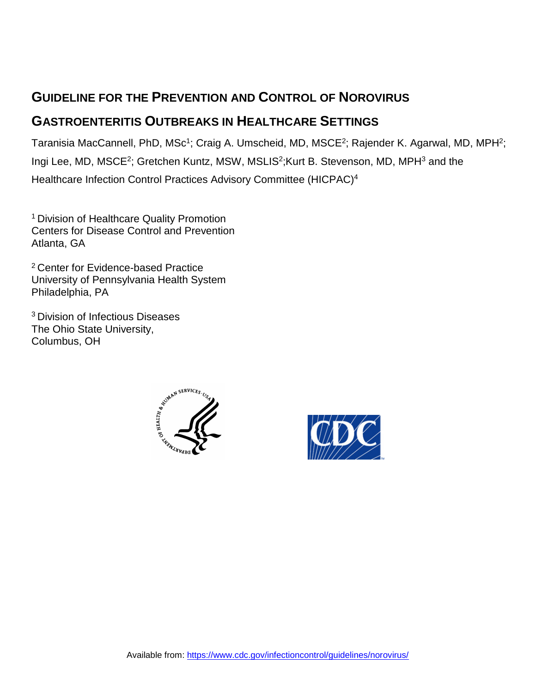# **GUIDELINE FOR THE PREVENTION AND CONTROL OF NOROVIRUS**

## **GASTROENTERITIS OUTBREAKS IN HEALTHCARE SETTINGS**

Taranisia MacCannell, PhD, MSc<sup>1</sup>; Craig A. Umscheid, MD, MSCE<sup>2</sup>; Rajender K. Agarwal, MD, MPH<sup>2</sup>; Ingi Lee, MD, MSCE<sup>2</sup>; Gretchen Kuntz, MSW, MSLIS<sup>2</sup>; Kurt B. Stevenson, MD, MPH<sup>3</sup> and the Healthcare Infection Control Practices Advisory Committee (HICPAC)4

1 Division of Healthcare Quality Promotion Centers for Disease Control and Prevention Atlanta, GA

<sup>2</sup> Center for Evidence-based Practice University of Pennsylvania Health System Philadelphia, PA

3 Division of Infectious Diseases The Ohio State University, Columbus, OH



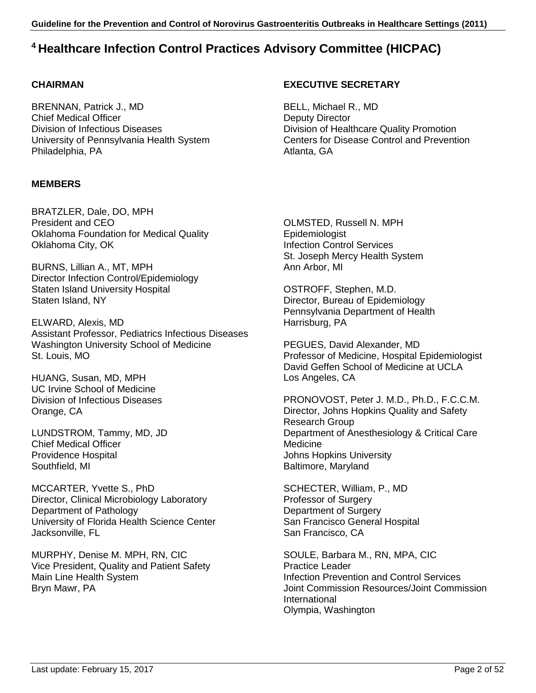### **4 Healthcare Infection Control Practices Advisory Committee (HICPAC)**

### **CHAIRMAN**

BRENNAN, Patrick J., MD Chief Medical Officer Division of Infectious Diseases University of Pennsylvania Health System Philadelphia, PA

### **MEMBERS**

BRATZLER, Dale, DO, MPH President and CEO Oklahoma Foundation for Medical Quality Oklahoma City, OK

BURNS, Lillian A., MT, MPH Director Infection Control/Epidemiology Staten Island University Hospital Staten Island, NY

ELWARD, Alexis, MD Assistant Professor, Pediatrics Infectious Diseases Washington University School of Medicine St. Louis, MO

HUANG, Susan, MD, MPH UC Irvine School of Medicine Division of Infectious Diseases Orange, CA

LUNDSTROM, Tammy, MD, JD Chief Medical Officer Providence Hospital Southfield, MI

MCCARTER, Yvette S., PhD Director, Clinical Microbiology Laboratory Department of Pathology University of Florida Health Science Center Jacksonville, FL

MURPHY, Denise M. MPH, RN, CIC Vice President, Quality and Patient Safety Main Line Health System Bryn Mawr, PA

### **EXECUTIVE SECRETARY**

BELL, Michael R., MD Deputy Director Division of Healthcare Quality Promotion Centers for Disease Control and Prevention Atlanta, GA

OLMSTED, Russell N. MPH Epidemiologist Infection Control Services St. Joseph Mercy Health System Ann Arbor, MI

OSTROFF, Stephen, M.D. Director, Bureau of Epidemiology Pennsylvania Department of Health Harrisburg, PA

PEGUES, David Alexander, MD Professor of Medicine, Hospital Epidemiologist David Geffen School of Medicine at UCLA Los Angeles, CA

PRONOVOST, Peter J. M.D., Ph.D., F.C.C.M. Director, Johns Hopkins Quality and Safety Research Group Department of Anesthesiology & Critical Care **Medicine** Johns Hopkins University Baltimore, Maryland

SCHECTER, William, P., MD Professor of Surgery Department of Surgery San Francisco General Hospital San Francisco, CA

SOULE, Barbara M., RN, MPA, CIC Practice Leader Infection Prevention and Control Services Joint Commission Resources/Joint Commission International Olympia, Washington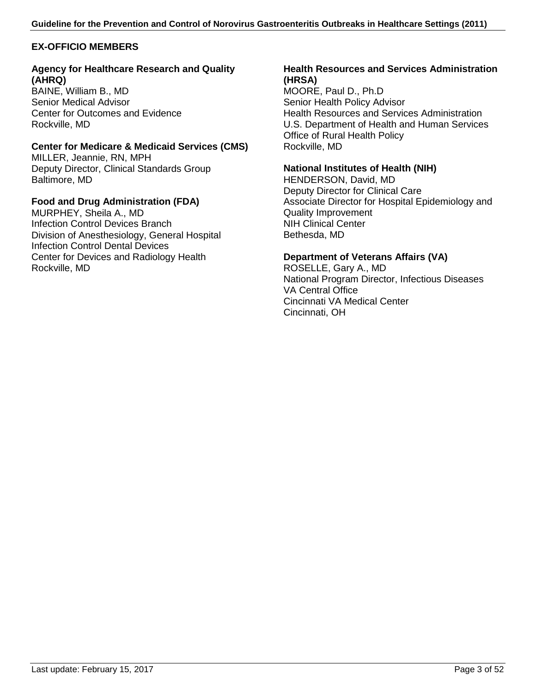### **EX-OFFICIO MEMBERS**

#### **Agency for Healthcare Research and Quality (AHRQ)**

BAINE, William B., MD Senior Medical Advisor Center for Outcomes and Evidence Rockville, MD

### **Center for Medicare & Medicaid Services (CMS)**

MILLER, Jeannie, RN, MPH Deputy Director, Clinical Standards Group Baltimore, MD

### **Food and Drug Administration (FDA)**

MURPHEY, Sheila A., MD Infection Control Devices Branch Division of Anesthesiology, General Hospital Infection Control Dental Devices Center for Devices and Radiology Health Rockville, MD

#### **Health Resources and Services Administration (HRSA)**

MOORE, Paul D., Ph.D Senior Health Policy Advisor Health Resources and Services Administration U.S. Department of Health and Human Services Office of Rural Health Policy Rockville, MD

#### **National Institutes of Health (NIH)**

HENDERSON, David, MD Deputy Director for Clinical Care Associate Director for Hospital Epidemiology and Quality Improvement NIH Clinical Center Bethesda, MD

#### **Department of Veterans Affairs (VA)**

ROSELLE, Gary A., MD National Program Director, Infectious Diseases VA Central Office Cincinnati VA Medical Center Cincinnati, OH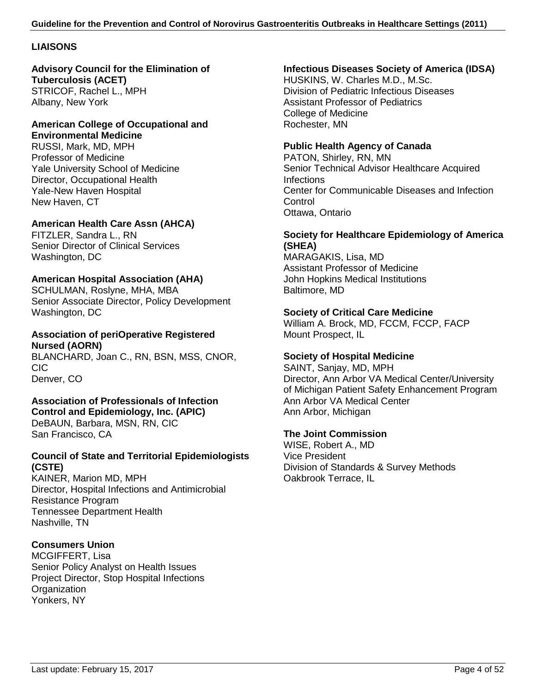### **LIAISONS**

#### **Advisory Council for the Elimination of Tuberculosis (ACET)** STRICOF, Rachel L., MPH Albany, New York

#### **American College of Occupational and Environmental Medicine**

RUSSI, Mark, MD, MPH Professor of Medicine Yale University School of Medicine Director, Occupational Health Yale-New Haven Hospital New Haven, CT

### **American Health Care Assn (AHCA)**

FITZLER, Sandra L., RN Senior Director of Clinical Services Washington, DC

### **American Hospital Association (AHA)**

SCHULMAN, Roslyne, MHA, MBA Senior Associate Director, Policy Development Washington, DC

### **Association of periOperative Registered Nursed (AORN)**

BLANCHARD, Joan C., RN, BSN, MSS, CNOR, CIC Denver, CO

### **Association of Professionals of Infection Control and Epidemiology, Inc. (APIC)**

DeBAUN, Barbara, MSN, RN, CIC San Francisco, CA

### **Council of State and Territorial Epidemiologists (CSTE)**

KAINER, Marion MD, MPH Director, Hospital Infections and Antimicrobial Resistance Program Tennessee Department Health Nashville, TN

### **Consumers Union**

MCGIFFERT, Lisa Senior Policy Analyst on Health Issues Project Director, Stop Hospital Infections **Organization** Yonkers, NY

### **Infectious Diseases Society of America (IDSA)**

HUSKINS, W. Charles M.D., M.Sc. Division of Pediatric Infectious Diseases Assistant Professor of Pediatrics College of Medicine Rochester, MN

### **Public Health Agency of Canada**

PATON, Shirley, RN, MN Senior Technical Advisor Healthcare Acquired Infections Center for Communicable Diseases and Infection **Control** Ottawa, Ontario

### **Society for Healthcare Epidemiology of America (SHEA)**

MARAGAKIS, Lisa, MD Assistant Professor of Medicine John Hopkins Medical Institutions Baltimore, MD

### **Society of Critical Care Medicine**

William A. Brock, MD, FCCM, FCCP, FACP Mount Prospect, IL

### **Society of Hospital Medicine**

SAINT, Sanjay, MD, MPH Director, Ann Arbor VA Medical Center/University of Michigan Patient Safety Enhancement Program Ann Arbor VA Medical Center Ann Arbor, Michigan

### **The Joint Commission**

WISE, Robert A., MD Vice President Division of Standards & Survey Methods Oakbrook Terrace, IL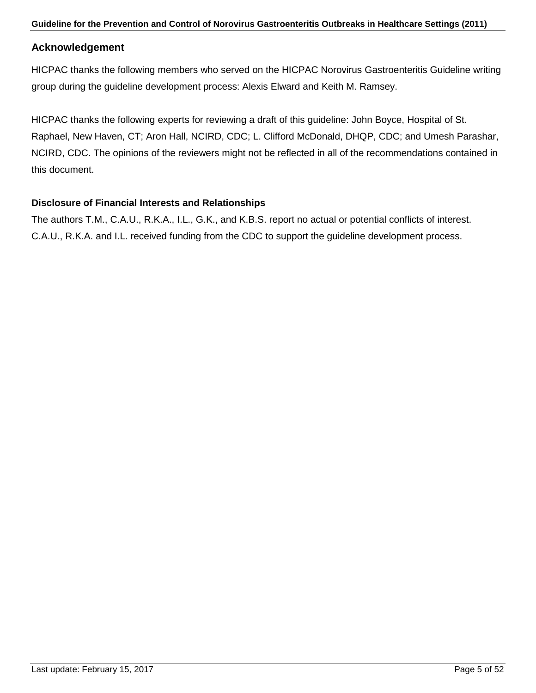### **Acknowledgement**

HICPAC thanks the following members who served on the HICPAC Norovirus Gastroenteritis Guideline writing group during the guideline development process: Alexis Elward and Keith M. Ramsey.

HICPAC thanks the following experts for reviewing a draft of this guideline: John Boyce, Hospital of St. Raphael, New Haven, CT; Aron Hall, NCIRD, CDC; L. Clifford McDonald, DHQP, CDC; and Umesh Parashar, NCIRD, CDC. The opinions of the reviewers might not be reflected in all of the recommendations contained in this document.

### **Disclosure of Financial Interests and Relationships**

The authors T.M., C.A.U., R.K.A., I.L., G.K., and K.B.S. report no actual or potential conflicts of interest. C.A.U., R.K.A. and I.L. received funding from the CDC to support the guideline development process.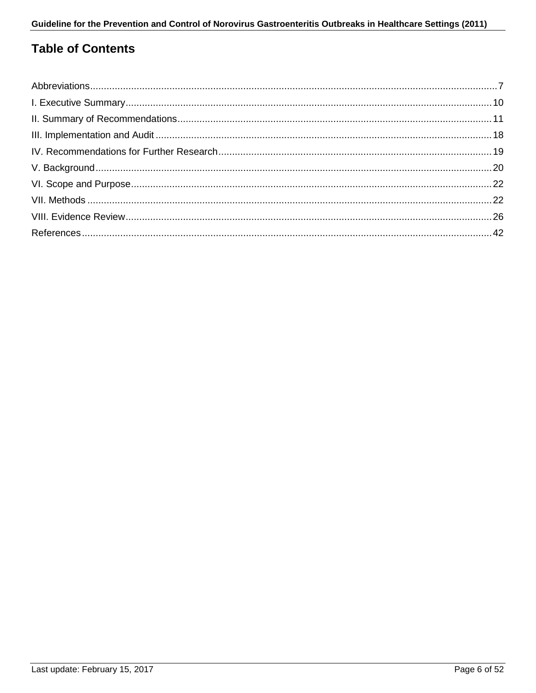## **Table of Contents**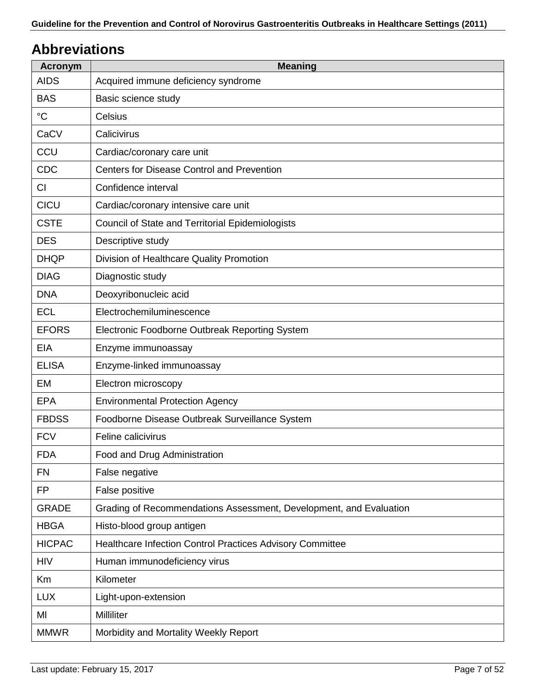# <span id="page-6-0"></span>**Abbreviations**

| <b>Acronym</b>  | <b>Meaning</b>                                                     |
|-----------------|--------------------------------------------------------------------|
| <b>AIDS</b>     | Acquired immune deficiency syndrome                                |
| <b>BAS</b>      | Basic science study                                                |
| $\rm ^{\circ}C$ | Celsius                                                            |
| CaCV            | Calicivirus                                                        |
| CCU             | Cardiac/coronary care unit                                         |
| CDC             | Centers for Disease Control and Prevention                         |
| CI              | Confidence interval                                                |
| CICU            | Cardiac/coronary intensive care unit                               |
| <b>CSTE</b>     | <b>Council of State and Territorial Epidemiologists</b>            |
| <b>DES</b>      | Descriptive study                                                  |
| <b>DHQP</b>     | Division of Healthcare Quality Promotion                           |
| <b>DIAG</b>     | Diagnostic study                                                   |
| <b>DNA</b>      | Deoxyribonucleic acid                                              |
| <b>ECL</b>      | Electrochemiluminescence                                           |
| <b>EFORS</b>    | Electronic Foodborne Outbreak Reporting System                     |
| <b>EIA</b>      | Enzyme immunoassay                                                 |
| <b>ELISA</b>    | Enzyme-linked immunoassay                                          |
| EM              | Electron microscopy                                                |
| <b>EPA</b>      | <b>Environmental Protection Agency</b>                             |
| <b>FBDSS</b>    | Foodborne Disease Outbreak Surveillance System                     |
| <b>FCV</b>      | Feline calicivirus                                                 |
| <b>FDA</b>      | Food and Drug Administration                                       |
| <b>FN</b>       | False negative                                                     |
| <b>FP</b>       | False positive                                                     |
| <b>GRADE</b>    | Grading of Recommendations Assessment, Development, and Evaluation |
| <b>HBGA</b>     | Histo-blood group antigen                                          |
| <b>HICPAC</b>   | Healthcare Infection Control Practices Advisory Committee          |
| <b>HIV</b>      | Human immunodeficiency virus                                       |
| Km              | Kilometer                                                          |
| <b>LUX</b>      | Light-upon-extension                                               |
| MI              | Milliliter                                                         |
| <b>MMWR</b>     | Morbidity and Mortality Weekly Report                              |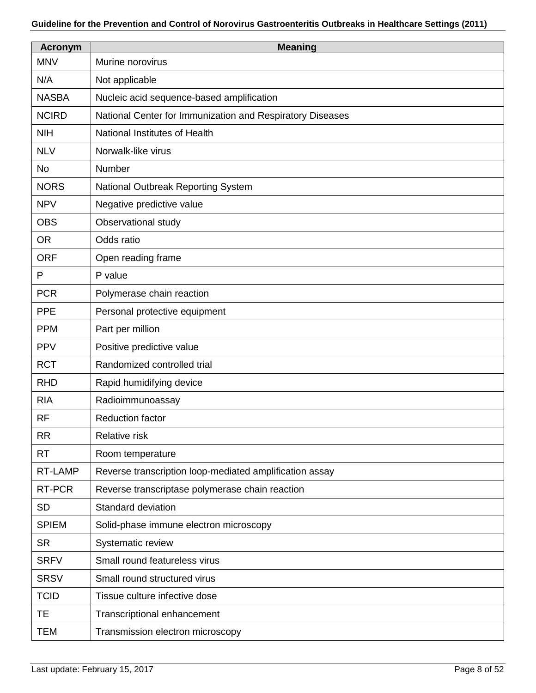| <b>Acronym</b> | <b>Meaning</b>                                            |  |  |  |  |
|----------------|-----------------------------------------------------------|--|--|--|--|
| <b>MNV</b>     | Murine norovirus                                          |  |  |  |  |
| N/A            | Not applicable                                            |  |  |  |  |
| <b>NASBA</b>   | Nucleic acid sequence-based amplification                 |  |  |  |  |
| <b>NCIRD</b>   | National Center for Immunization and Respiratory Diseases |  |  |  |  |
| <b>NIH</b>     | National Institutes of Health                             |  |  |  |  |
| <b>NLV</b>     | Norwalk-like virus                                        |  |  |  |  |
| <b>No</b>      | Number                                                    |  |  |  |  |
| <b>NORS</b>    | National Outbreak Reporting System                        |  |  |  |  |
| <b>NPV</b>     | Negative predictive value                                 |  |  |  |  |
| <b>OBS</b>     | Observational study                                       |  |  |  |  |
| <b>OR</b>      | Odds ratio                                                |  |  |  |  |
| <b>ORF</b>     | Open reading frame                                        |  |  |  |  |
| P              | P value                                                   |  |  |  |  |
| <b>PCR</b>     | Polymerase chain reaction                                 |  |  |  |  |
| <b>PPE</b>     | Personal protective equipment                             |  |  |  |  |
| <b>PPM</b>     | Part per million                                          |  |  |  |  |
| <b>PPV</b>     | Positive predictive value                                 |  |  |  |  |
| <b>RCT</b>     | Randomized controlled trial                               |  |  |  |  |
| <b>RHD</b>     | Rapid humidifying device                                  |  |  |  |  |
| <b>RIA</b>     | Radioimmunoassay                                          |  |  |  |  |
| <b>RF</b>      | <b>Reduction factor</b>                                   |  |  |  |  |
| <b>RR</b>      | Relative risk                                             |  |  |  |  |
| <b>RT</b>      | Room temperature                                          |  |  |  |  |
| RT-LAMP        | Reverse transcription loop-mediated amplification assay   |  |  |  |  |
| RT-PCR         | Reverse transcriptase polymerase chain reaction           |  |  |  |  |
| <b>SD</b>      | Standard deviation                                        |  |  |  |  |
| <b>SPIEM</b>   | Solid-phase immune electron microscopy                    |  |  |  |  |
| <b>SR</b>      | Systematic review                                         |  |  |  |  |
| <b>SRFV</b>    | Small round featureless virus                             |  |  |  |  |
| <b>SRSV</b>    | Small round structured virus                              |  |  |  |  |
| <b>TCID</b>    | Tissue culture infective dose                             |  |  |  |  |
| <b>TE</b>      | Transcriptional enhancement                               |  |  |  |  |
| <b>TEM</b>     | Transmission electron microscopy                          |  |  |  |  |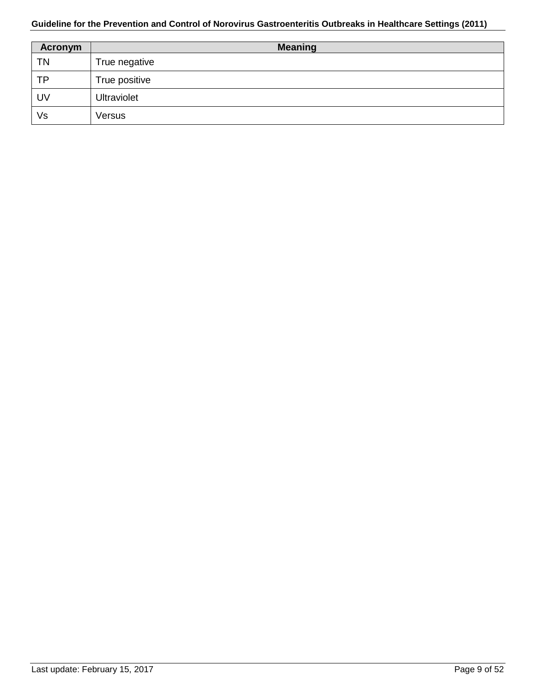| Acronym   | <b>Meaning</b>     |  |  |  |  |
|-----------|--------------------|--|--|--|--|
| <b>TN</b> | True negative      |  |  |  |  |
| <b>TP</b> | True positive      |  |  |  |  |
| UV        | <b>Ultraviolet</b> |  |  |  |  |
| Vs        | Versus             |  |  |  |  |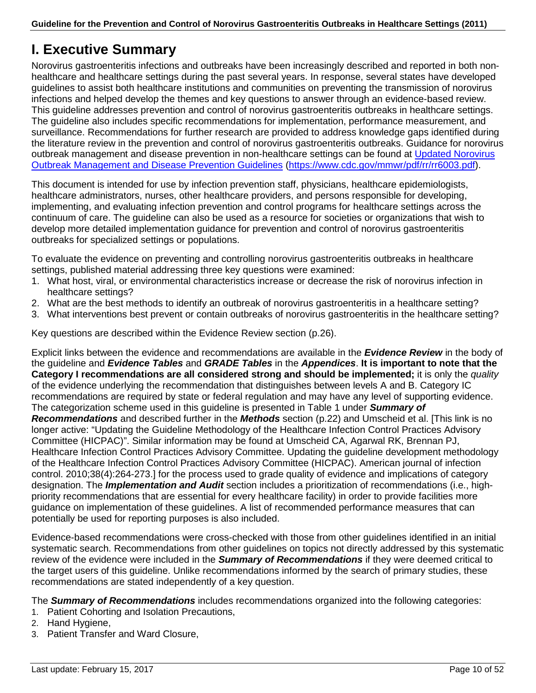# <span id="page-9-0"></span>**I. Executive Summary**

Norovirus gastroenteritis infections and outbreaks have been increasingly described and reported in both nonhealthcare and healthcare settings during the past several years. In response, several states have developed guidelines to assist both healthcare institutions and communities on preventing the transmission of norovirus infections and helped develop the themes and key questions to answer through an evidence-based review. This guideline addresses prevention and control of norovirus gastroenteritis outbreaks in healthcare settings. The guideline also includes specific recommendations for implementation, performance measurement, and surveillance. Recommendations for further research are provided to address knowledge gaps identified during the literature review in the prevention and control of norovirus gastroenteritis outbreaks. Guidance for norovirus outbreak management and disease prevention in non-healthcare settings can be found at [Updated Norovirus](http://www.cdc.gov/mmwr/pdf/rr/rr6003.pdf)  [Outbreak Management and Disease Prevention Guidelines](http://www.cdc.gov/mmwr/pdf/rr/rr6003.pdf) [\(https://www.cdc.gov/mmwr/pdf/rr/rr6003.pdf\)](https://www.cdc.gov/mmwr/pdf/rr/rr6003.pdf).

This document is intended for use by infection prevention staff, physicians, healthcare epidemiologists, healthcare administrators, nurses, other healthcare providers, and persons responsible for developing, implementing, and evaluating infection prevention and control programs for healthcare settings across the continuum of care. The guideline can also be used as a resource for societies or organizations that wish to develop more detailed implementation guidance for prevention and control of norovirus gastroenteritis outbreaks for specialized settings or populations.

To evaluate the evidence on preventing and controlling norovirus gastroenteritis outbreaks in healthcare settings, published material addressing three key questions were examined:

- 1. What host, viral, or environmental characteristics increase or decrease the risk of norovirus infection in healthcare settings?
- 2. What are the best methods to identify an outbreak of norovirus gastroenteritis in a healthcare setting?
- 3. What interventions best prevent or contain outbreaks of norovirus gastroenteritis in the healthcare setting?

Key questions are described within the Evidence Review section (p.26).

Explicit links between the evidence and recommendations are available in the *Evidence Review* in the body of the guideline and *Evidence Tables* and *GRADE Tables* in the *Appendices*. **It is important to note that the Category I recommendations are all considered strong and should be implemented;** it is only the *quality* of the evidence underlying the recommendation that distinguishes between levels A and B. Category IC recommendations are required by state or federal regulation and may have any level of supporting evidence. The categorization scheme used in this guideline is presented in Table 1 under *Summary of Recommendations* and described further in the *Methods* section (p.22) and Umscheid et al. [This link is no longer active: "Updating the Guideline Methodology of the Healthcare Infection Control Practices Advisory Committee (HICPAC)". Similar information may be found at Umscheid CA, Agarwal RK, Brennan PJ, Healthcare Infection Control Practices Advisory Committee. Updating the guideline development methodology of the Healthcare Infection Control Practices Advisory Committee (HICPAC). American journal of infection control. 2010;38(4):264-273.] for the process used to grade quality of evidence and implications of category designation. The *Implementation and Audit* section includes a prioritization of recommendations (i.e., highpriority recommendations that are essential for every healthcare facility) in order to provide facilities more guidance on implementation of these guidelines. A list of recommended performance measures that can potentially be used for reporting purposes is also included.

Evidence-based recommendations were cross-checked with those from other guidelines identified in an initial systematic search. Recommendations from other guidelines on topics not directly addressed by this systematic review of the evidence were included in the *Summary of Recommendations* if they were deemed critical to the target users of this guideline. Unlike recommendations informed by the search of primary studies, these recommendations are stated independently of a key question.

The *Summary of Recommendations* includes recommendations organized into the following categories:

- 1. Patient Cohorting and Isolation Precautions,
- 2. Hand Hygiene,
- 3. Patient Transfer and Ward Closure,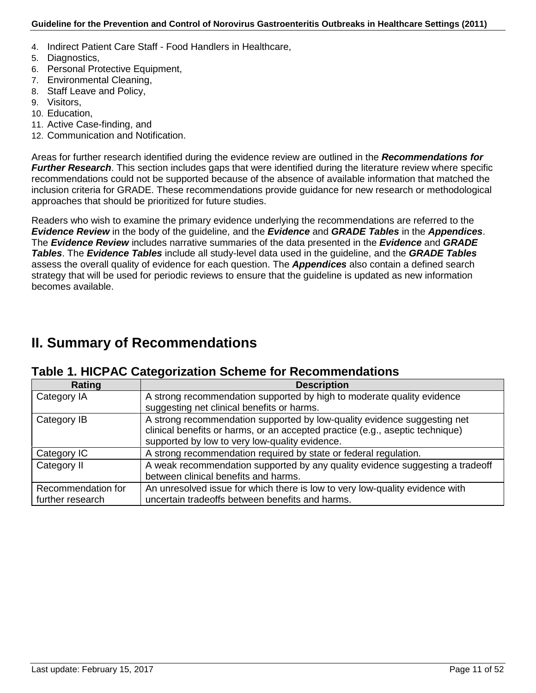- 4. Indirect Patient Care Staff Food Handlers in Healthcare,
- 5. Diagnostics,
- 6. Personal Protective Equipment,
- 7. Environmental Cleaning,
- 8. Staff Leave and Policy,
- 9. Visitors,
- 10. Education,
- 11. Active Case-finding, and
- 12. Communication and Notification.

Areas for further research identified during the evidence review are outlined in the *Recommendations for Further Research*. This section includes gaps that were identified during the literature review where specific recommendations could not be supported because of the absence of available information that matched the inclusion criteria for GRADE. These recommendations provide guidance for new research or methodological approaches that should be prioritized for future studies.

Readers who wish to examine the primary evidence underlying the recommendations are referred to the *Evidence Review* in the body of the guideline, and the *Evidence* and *GRADE Tables* in the *Appendices*. The *Evidence Review* includes narrative summaries of the data presented in the *Evidence* and *GRADE Tables*. The *Evidence Tables* include all study-level data used in the guideline, and the *GRADE Tables* assess the overall quality of evidence for each question. The *Appendices* also contain a defined search strategy that will be used for periodic reviews to ensure that the guideline is updated as new information becomes available.

# <span id="page-10-0"></span>**II. Summary of Recommendations**

### **Table 1. HICPAC Categorization Scheme for Recommendations**

| Rating                                 | <b>Description</b>                                                                                                                                                                                          |
|----------------------------------------|-------------------------------------------------------------------------------------------------------------------------------------------------------------------------------------------------------------|
| Category IA                            | A strong recommendation supported by high to moderate quality evidence<br>suggesting net clinical benefits or harms.                                                                                        |
| Category IB                            | A strong recommendation supported by low-quality evidence suggesting net<br>clinical benefits or harms, or an accepted practice (e.g., aseptic technique)<br>supported by low to very low-quality evidence. |
| Category IC                            | A strong recommendation required by state or federal regulation.                                                                                                                                            |
| Category II                            | A weak recommendation supported by any quality evidence suggesting a tradeoff<br>between clinical benefits and harms.                                                                                       |
| Recommendation for<br>further research | An unresolved issue for which there is low to very low-quality evidence with<br>uncertain tradeoffs between benefits and harms.                                                                             |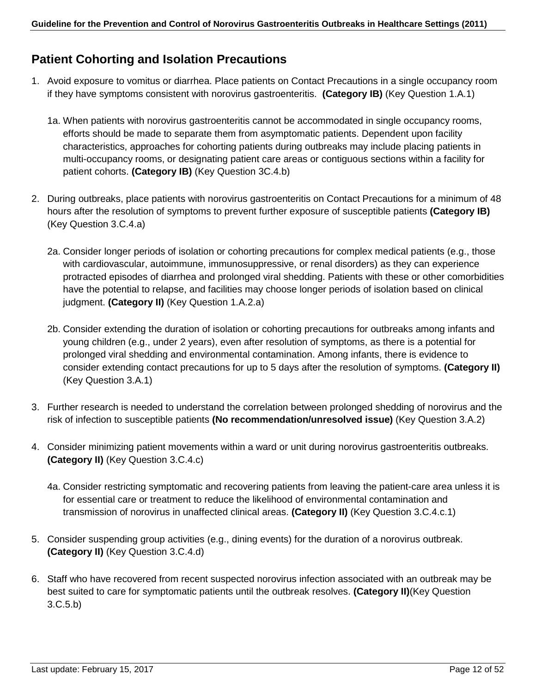### **Patient Cohorting and Isolation Precautions**

- 1. Avoid exposure to vomitus or diarrhea. Place patients on Contact Precautions in a single occupancy room if they have symptoms consistent with norovirus gastroenteritis. **(Category IB)** (Key Question 1.A.1)
	- 1a. When patients with norovirus gastroenteritis cannot be accommodated in single occupancy rooms, efforts should be made to separate them from asymptomatic patients. Dependent upon facility characteristics, approaches for cohorting patients during outbreaks may include placing patients in multi-occupancy rooms, or designating patient care areas or contiguous sections within a facility for patient cohorts. **(Category IB)** (Key Question 3C.4.b)
- 2. During outbreaks, place patients with norovirus gastroenteritis on Contact Precautions for a minimum of 48 hours after the resolution of symptoms to prevent further exposure of susceptible patients **(Category IB)**  (Key Question 3.C.4.a)
	- 2a. Consider longer periods of isolation or cohorting precautions for complex medical patients (e.g., those with cardiovascular, autoimmune, immunosuppressive, or renal disorders) as they can experience protracted episodes of diarrhea and prolonged viral shedding. Patients with these or other comorbidities have the potential to relapse, and facilities may choose longer periods of isolation based on clinical judgment. **(Category II)** (Key Question 1.A.2.a)
	- 2b. Consider extending the duration of isolation or cohorting precautions for outbreaks among infants and young children (e.g., under 2 years), even after resolution of symptoms, as there is a potential for prolonged viral shedding and environmental contamination. Among infants, there is evidence to consider extending contact precautions for up to 5 days after the resolution of symptoms. **(Category II)** (Key Question 3.A.1)
- 3. Further research is needed to understand the correlation between prolonged shedding of norovirus and the risk of infection to susceptible patients **(No recommendation/unresolved issue)** (Key Question 3.A.2)
- 4. Consider minimizing patient movements within a ward or unit during norovirus gastroenteritis outbreaks. **(Category II)** (Key Question 3.C.4.c)
	- 4a. Consider restricting symptomatic and recovering patients from leaving the patient-care area unless it is for essential care or treatment to reduce the likelihood of environmental contamination and transmission of norovirus in unaffected clinical areas. **(Category II)** (Key Question 3.C.4.c.1)
- 5. Consider suspending group activities (e.g., dining events) for the duration of a norovirus outbreak. **(Category II)** (Key Question 3.C.4.d)
- 6. Staff who have recovered from recent suspected norovirus infection associated with an outbreak may be best suited to care for symptomatic patients until the outbreak resolves. **(Category II)**(Key Question 3.C.5.b)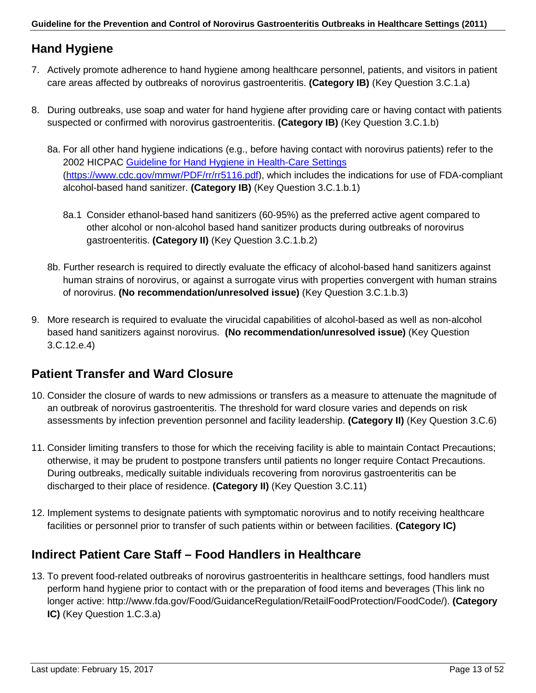## **Hand Hygiene**

- 7. Actively promote adherence to hand hygiene among healthcare personnel, patients, and visitors in patient care areas affected by outbreaks of norovirus gastroenteritis. **(Category IB)** (Key Question 3.C.1.a)
- 8. During outbreaks, use soap and water for hand hygiene after providing care or having contact with patients suspected or confirmed with norovirus gastroenteritis. **(Category IB)** (Key Question 3.C.1.b)
	- 8a. For all other hand hygiene indications (e.g., before having contact with norovirus patients) refer to the 2002 HICPAC [Guideline for Hand Hygiene in Health-Care Settings](http://www.cdc.gov/mmwr/PDF/rr/rr5116.pdf) [\(https://www.cdc.gov/mmwr/PDF/rr/rr5116.pdf\)](https://www.cdc.gov/mmwr/PDF/rr/rr5116.pdf), which includes the indications for use of FDA-compliant alcohol-based hand sanitizer. **(Category IB)** (Key Question 3.C.1.b.1)
		- 8a.1 Consider ethanol-based hand sanitizers (60-95%) as the preferred active agent compared to other alcohol or non-alcohol based hand sanitizer products during outbreaks of norovirus gastroenteritis. **(Category II)** (Key Question 3.C.1.b.2)
	- 8b. Further research is required to directly evaluate the efficacy of alcohol-based hand sanitizers against human strains of norovirus, or against a surrogate virus with properties convergent with human strains of norovirus. **(No recommendation/unresolved issue)** (Key Question 3.C.1.b.3)
- 9. More research is required to evaluate the virucidal capabilities of alcohol-based as well as non-alcohol based hand sanitizers against norovirus. **(No recommendation/unresolved issue)** (Key Question 3.C.12.e.4)

## **Patient Transfer and Ward Closure**

- 10. Consider the closure of wards to new admissions or transfers as a measure to attenuate the magnitude of an outbreak of norovirus gastroenteritis. The threshold for ward closure varies and depends on risk assessments by infection prevention personnel and facility leadership. **(Category II)** (Key Question 3.C.6)
- 11. Consider limiting transfers to those for which the receiving facility is able to maintain Contact Precautions; otherwise, it may be prudent to postpone transfers until patients no longer require Contact Precautions. During outbreaks, medically suitable individuals recovering from norovirus gastroenteritis can be discharged to their place of residence. **(Category II)** (Key Question 3.C.11)
- 12. Implement systems to designate patients with symptomatic norovirus and to notify receiving healthcare facilities or personnel prior to transfer of such patients within or between facilities. **(Category IC)**

### **Indirect Patient Care Staff – Food Handlers in Healthcare**

13. To prevent food-related outbreaks of norovirus gastroenteritis in healthcare settings, food handlers must perform hand hygiene prior to contact with or the preparation of food items and beverages (This link no longer active: http://www.fda.gov/Food/GuidanceRegulation/RetailFoodProtection/FoodCode/). **(Category IC)** (Key Question 1.C.3.a)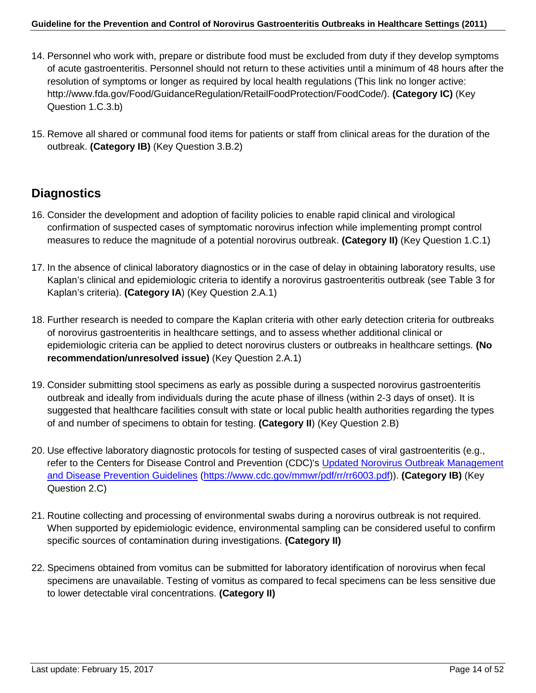- 14. Personnel who work with, prepare or distribute food must be excluded from duty if they develop symptoms of acute gastroenteritis. Personnel should not return to these activities until a minimum of 48 hours after the resolution of symptoms or longer as required by local health regulations (This link no longer active: http://www.fda.gov/Food/GuidanceRegulation/RetailFoodProtection/FoodCode/). **(Category IC)** (Key Question 1.C.3.b)
- 15. Remove all shared or communal food items for patients or staff from clinical areas for the duration of the outbreak. **(Category IB)** (Key Question 3.B.2)

### **Diagnostics**

- 16. Consider the development and adoption of facility policies to enable rapid clinical and virological confirmation of suspected cases of symptomatic norovirus infection while implementing prompt control measures to reduce the magnitude of a potential norovirus outbreak. **(Category II)** (Key Question 1.C.1)
- 17. In the absence of clinical laboratory diagnostics or in the case of delay in obtaining laboratory results, use Kaplan's clinical and epidemiologic criteria to identify a norovirus gastroenteritis outbreak (see Table 3 for Kaplan's criteria). **(Category IA**) (Key Question 2.A.1)
- 18. Further research is needed to compare the Kaplan criteria with other early detection criteria for outbreaks of norovirus gastroenteritis in healthcare settings, and to assess whether additional clinical or epidemiologic criteria can be applied to detect norovirus clusters or outbreaks in healthcare settings. **(No recommendation/unresolved issue)** (Key Question 2.A.1)
- 19. Consider submitting stool specimens as early as possible during a suspected norovirus gastroenteritis outbreak and ideally from individuals during the acute phase of illness (within 2-3 days of onset). It is suggested that healthcare facilities consult with state or local public health authorities regarding the types of and number of specimens to obtain for testing. **(Category II**) (Key Question 2.B)
- 20. Use effective laboratory diagnostic protocols for testing of suspected cases of viral gastroenteritis (e.g., refer to the Centers for Disease Control and Prevention (CDC)'s [Updated Norovirus Outbreak Management](http://www.cdc.gov/mmwr/pdf/rr/rr6003.pdf)  [and Disease Prevention Guidelines](http://www.cdc.gov/mmwr/pdf/rr/rr6003.pdf) [\(https://www.cdc.gov/mmwr/pdf/rr/rr6003.pdf\)](https://www.cdc.gov/mmwr/pdf/rr/rr6003.pdf)). **(Category IB)** (Key Question 2.C)
- 21. Routine collecting and processing of environmental swabs during a norovirus outbreak is not required. When supported by epidemiologic evidence, environmental sampling can be considered useful to confirm specific sources of contamination during investigations. **(Category II)**
- 22. Specimens obtained from vomitus can be submitted for laboratory identification of norovirus when fecal specimens are unavailable. Testing of vomitus as compared to fecal specimens can be less sensitive due to lower detectable viral concentrations. **(Category II)**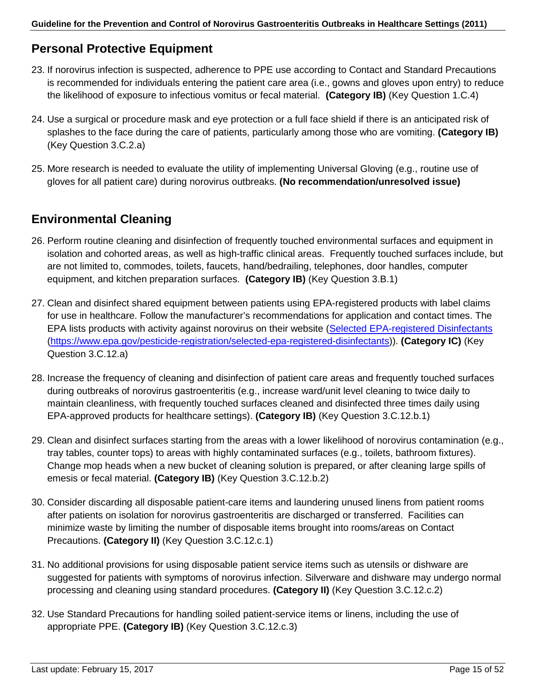## **Personal Protective Equipment**

- 23. If norovirus infection is suspected, adherence to PPE use according to Contact and Standard Precautions is recommended for individuals entering the patient care area (i.e., gowns and gloves upon entry) to reduce the likelihood of exposure to infectious vomitus or fecal material. **(Category IB)** (Key Question 1.C.4)
- 24. Use a surgical or procedure mask and eye protection or a full face shield if there is an anticipated risk of splashes to the face during the care of patients, particularly among those who are vomiting. **(Category IB)** (Key Question 3.C.2.a)
- 25. More research is needed to evaluate the utility of implementing Universal Gloving (e.g., routine use of gloves for all patient care) during norovirus outbreaks. **(No recommendation/unresolved issue)**

## **Environmental Cleaning**

- 26. Perform routine cleaning and disinfection of frequently touched environmental surfaces and equipment in isolation and cohorted areas, as well as high-traffic clinical areas. Frequently touched surfaces include, but are not limited to, commodes, toilets, faucets, hand/bedrailing, telephones, door handles, computer equipment, and kitchen preparation surfaces. **(Category IB)** (Key Question 3.B.1)
- 27. Clean and disinfect shared equipment between patients using EPA-registered products with label claims for use in healthcare. Follow the manufacturer's recommendations for application and contact times. The EPA lists products with activity against norovirus on their website [\(Selected EPA-registered Disinfectants](https://www.epa.gov/pesticide-registration/selected-epa-registered-disinfectants) [\(https://www.epa.gov/pesticide-registration/selected-epa-registered-disinfectants\)](https://www.epa.gov/pesticide-registration/selected-epa-registered-disinfectants)). **(Category IC)** (Key Question 3.C.12.a)
- 28. Increase the frequency of cleaning and disinfection of patient care areas and frequently touched surfaces during outbreaks of norovirus gastroenteritis (e.g., increase ward/unit level cleaning to twice daily to maintain cleanliness, with frequently touched surfaces cleaned and disinfected three times daily using EPA-approved products for healthcare settings). **(Category IB)** (Key Question 3.C.12.b.1)
- 29. Clean and disinfect surfaces starting from the areas with a lower likelihood of norovirus contamination (e.g., tray tables, counter tops) to areas with highly contaminated surfaces (e.g., toilets, bathroom fixtures). Change mop heads when a new bucket of cleaning solution is prepared, or after cleaning large spills of emesis or fecal material. **(Category IB)** (Key Question 3.C.12.b.2)
- 30. Consider discarding all disposable patient-care items and laundering unused linens from patient rooms after patients on isolation for norovirus gastroenteritis are discharged or transferred. Facilities can minimize waste by limiting the number of disposable items brought into rooms/areas on Contact Precautions. **(Category II)** (Key Question 3.C.12.c.1)
- 31. No additional provisions for using disposable patient service items such as utensils or dishware are suggested for patients with symptoms of norovirus infection. Silverware and dishware may undergo normal processing and cleaning using standard procedures. **(Category II)** (Key Question 3.C.12.c.2)
- 32. Use Standard Precautions for handling soiled patient-service items or linens, including the use of appropriate PPE. **(Category IB)** (Key Question 3.C.12.c.3)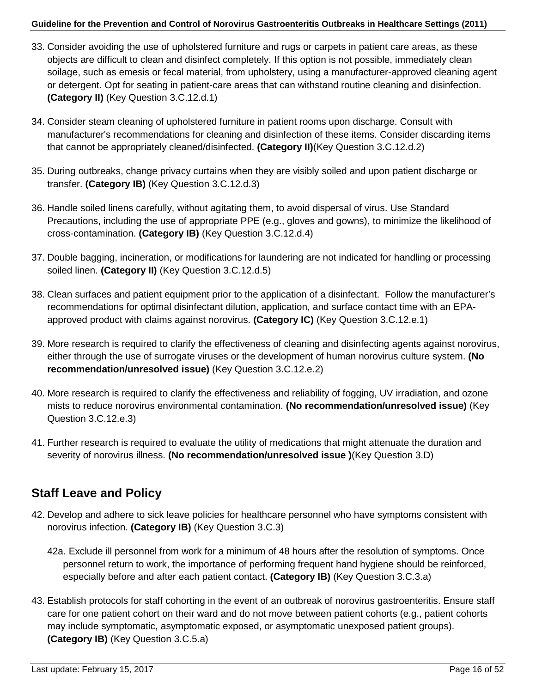- 33. Consider avoiding the use of upholstered furniture and rugs or carpets in patient care areas, as these objects are difficult to clean and disinfect completely. If this option is not possible, immediately clean soilage, such as emesis or fecal material, from upholstery, using a manufacturer-approved cleaning agent or detergent. Opt for seating in patient-care areas that can withstand routine cleaning and disinfection. **(Category II)** (Key Question 3.C.12.d.1)
- 34. Consider steam cleaning of upholstered furniture in patient rooms upon discharge. Consult with manufacturer's recommendations for cleaning and disinfection of these items. Consider discarding items that cannot be appropriately cleaned/disinfected. **(Category II)**(Key Question 3.C.12.d.2)
- 35. During outbreaks, change privacy curtains when they are visibly soiled and upon patient discharge or transfer. **(Category IB)** (Key Question 3.C.12.d.3)
- 36. Handle soiled linens carefully, without agitating them, to avoid dispersal of virus. Use Standard Precautions, including the use of appropriate PPE (e.g., gloves and gowns), to minimize the likelihood of cross-contamination. **(Category IB)** (Key Question 3.C.12.d.4)
- 37. Double bagging, incineration, or modifications for laundering are not indicated for handling or processing soiled linen. **(Category II)** (Key Question 3.C.12.d.5)
- 38. Clean surfaces and patient equipment prior to the application of a disinfectant. Follow the manufacturer's recommendations for optimal disinfectant dilution, application, and surface contact time with an EPAapproved product with claims against norovirus. **(Category IC)** (Key Question 3.C.12.e.1)
- 39. More research is required to clarify the effectiveness of cleaning and disinfecting agents against norovirus, either through the use of surrogate viruses or the development of human norovirus culture system. **(No recommendation/unresolved issue)** (Key Question 3.C.12.e.2)
- 40. More research is required to clarify the effectiveness and reliability of fogging, UV irradiation, and ozone mists to reduce norovirus environmental contamination. **(No recommendation/unresolved issue)** (Key Question 3.C.12.e.3)
- 41. Further research is required to evaluate the utility of medications that might attenuate the duration and severity of norovirus illness. **(No recommendation/unresolved issue )**(Key Question 3.D)

## **Staff Leave and Policy**

- 42. Develop and adhere to sick leave policies for healthcare personnel who have symptoms consistent with norovirus infection. **(Category IB)** (Key Question 3.C.3)
	- 42a. Exclude ill personnel from work for a minimum of 48 hours after the resolution of symptoms. Once personnel return to work, the importance of performing frequent hand hygiene should be reinforced, especially before and after each patient contact. **(Category IB)** (Key Question 3.C.3.a)
- 43. Establish protocols for staff cohorting in the event of an outbreak of norovirus gastroenteritis. Ensure staff care for one patient cohort on their ward and do not move between patient cohorts (e.g., patient cohorts may include symptomatic, asymptomatic exposed, or asymptomatic unexposed patient groups). **(Category IB)** (Key Question 3.C.5.a)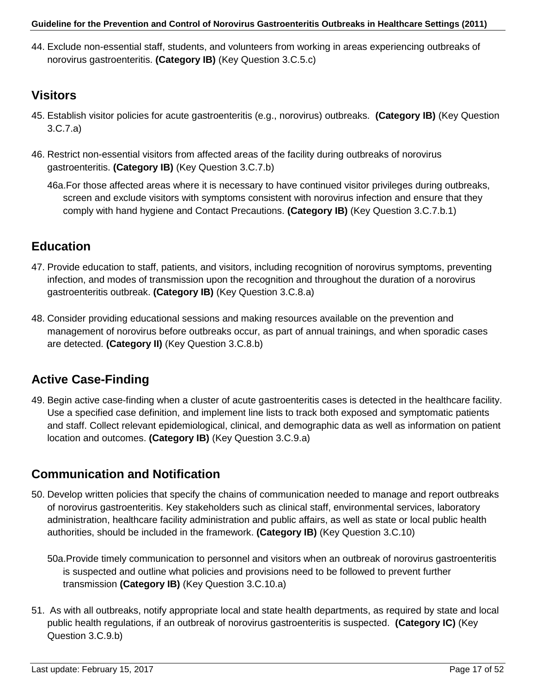44. Exclude non-essential staff, students, and volunteers from working in areas experiencing outbreaks of norovirus gastroenteritis. **(Category IB)** (Key Question 3.C.5.c)

## **Visitors**

- 45. Establish visitor policies for acute gastroenteritis (e.g., norovirus) outbreaks. **(Category IB)** (Key Question 3.C.7.a)
- 46. Restrict non-essential visitors from affected areas of the facility during outbreaks of norovirus gastroenteritis. **(Category IB)** (Key Question 3.C.7.b)

46a.For those affected areas where it is necessary to have continued visitor privileges during outbreaks, screen and exclude visitors with symptoms consistent with norovirus infection and ensure that they comply with hand hygiene and Contact Precautions. **(Category IB)** (Key Question 3.C.7.b.1)

## **Education**

- 47. Provide education to staff, patients, and visitors, including recognition of norovirus symptoms, preventing infection, and modes of transmission upon the recognition and throughout the duration of a norovirus gastroenteritis outbreak. **(Category IB)** (Key Question 3.C.8.a)
- 48. Consider providing educational sessions and making resources available on the prevention and management of norovirus before outbreaks occur, as part of annual trainings, and when sporadic cases are detected. **(Category II)** (Key Question 3.C.8.b)

## **Active Case-Finding**

49. Begin active case-finding when a cluster of acute gastroenteritis cases is detected in the healthcare facility. Use a specified case definition, and implement line lists to track both exposed and symptomatic patients and staff. Collect relevant epidemiological, clinical, and demographic data as well as information on patient location and outcomes. **(Category IB)** (Key Question 3.C.9.a)

## **Communication and Notification**

- 50. Develop written policies that specify the chains of communication needed to manage and report outbreaks of norovirus gastroenteritis. Key stakeholders such as clinical staff, environmental services, laboratory administration, healthcare facility administration and public affairs, as well as state or local public health authorities, should be included in the framework. **(Category IB)** (Key Question 3.C.10)
	- 50a.Provide timely communication to personnel and visitors when an outbreak of norovirus gastroenteritis is suspected and outline what policies and provisions need to be followed to prevent further transmission **(Category IB)** (Key Question 3.C.10.a)
- 51. As with all outbreaks, notify appropriate local and state health departments, as required by state and local public health regulations, if an outbreak of norovirus gastroenteritis is suspected. **(Category IC)** (Key Question 3.C.9.b)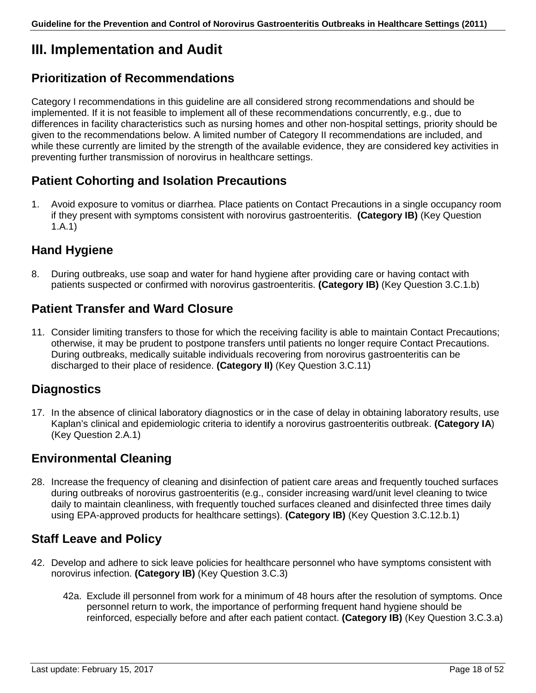# <span id="page-17-0"></span>**III. Implementation and Audit**

### **Prioritization of Recommendations**

Category I recommendations in this guideline are all considered strong recommendations and should be implemented. If it is not feasible to implement all of these recommendations concurrently, e.g., due to differences in facility characteristics such as nursing homes and other non-hospital settings, priority should be given to the recommendations below. A limited number of Category II recommendations are included, and while these currently are limited by the strength of the available evidence, they are considered key activities in preventing further transmission of norovirus in healthcare settings.

### **Patient Cohorting and Isolation Precautions**

1. Avoid exposure to vomitus or diarrhea. Place patients on Contact Precautions in a single occupancy room if they present with symptoms consistent with norovirus gastroenteritis. **(Category IB)** (Key Question 1.A.1)

### **Hand Hygiene**

8. During outbreaks, use soap and water for hand hygiene after providing care or having contact with patients suspected or confirmed with norovirus gastroenteritis. **(Category IB)** (Key Question 3.C.1.b)

### **Patient Transfer and Ward Closure**

11. Consider limiting transfers to those for which the receiving facility is able to maintain Contact Precautions; otherwise, it may be prudent to postpone transfers until patients no longer require Contact Precautions. During outbreaks, medically suitable individuals recovering from norovirus gastroenteritis can be discharged to their place of residence. **(Category II)** (Key Question 3.C.11)

### **Diagnostics**

17. In the absence of clinical laboratory diagnostics or in the case of delay in obtaining laboratory results, use Kaplan's clinical and epidemiologic criteria to identify a norovirus gastroenteritis outbreak. **(Category IA**) (Key Question 2.A.1)

### **Environmental Cleaning**

28. Increase the frequency of cleaning and disinfection of patient care areas and frequently touched surfaces during outbreaks of norovirus gastroenteritis (e.g., consider increasing ward/unit level cleaning to twice daily to maintain cleanliness, with frequently touched surfaces cleaned and disinfected three times daily using EPA-approved products for healthcare settings). **(Category IB)** (Key Question 3.C.12.b.1)

### **Staff Leave and Policy**

- 42. Develop and adhere to sick leave policies for healthcare personnel who have symptoms consistent with norovirus infection. **(Category IB)** (Key Question 3.C.3)
	- 42a. Exclude ill personnel from work for a minimum of 48 hours after the resolution of symptoms. Once personnel return to work, the importance of performing frequent hand hygiene should be reinforced, especially before and after each patient contact. **(Category IB)** (Key Question 3.C.3.a)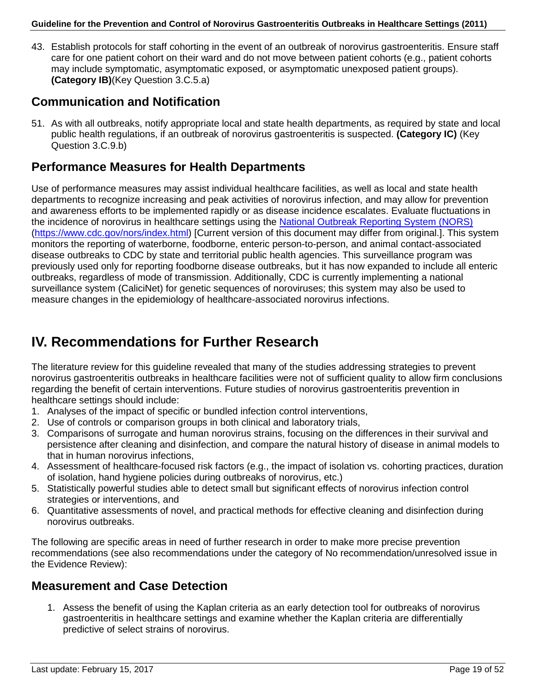43. Establish protocols for staff cohorting in the event of an outbreak of norovirus gastroenteritis. Ensure staff care for one patient cohort on their ward and do not move between patient cohorts (e.g., patient cohorts may include symptomatic, asymptomatic exposed, or asymptomatic unexposed patient groups). **(Category IB)**(Key Question 3.C.5.a)

### **Communication and Notification**

51. As with all outbreaks, notify appropriate local and state health departments, as required by state and local public health regulations, if an outbreak of norovirus gastroenteritis is suspected. **(Category IC)** (Key Question 3.C.9.b)

### **Performance Measures for Health Departments**

Use of performance measures may assist individual healthcare facilities, as well as local and state health departments to recognize increasing and peak activities of norovirus infection, and may allow for prevention and awareness efforts to be implemented rapidly or as disease incidence escalates. Evaluate fluctuations in the incidence of norovirus in healthcare settings using the [National Outbreak Reporting System \(NORS\)](http://www.cdc.gov/nors/index.html) [\(https://www.cdc.gov/nors/index.html\)](https://www.cdc.gov/nors/index.html) [Current version of this document may differ from original.]. This system monitors the reporting of waterborne, foodborne, enteric person-to-person, and animal contact-associated disease outbreaks to CDC by state and territorial public health agencies. This surveillance program was previously used only for reporting foodborne disease outbreaks, but it has now expanded to include all enteric outbreaks, regardless of mode of transmission. Additionally, CDC is currently implementing a national surveillance system (CaliciNet) for genetic sequences of noroviruses; this system may also be used to measure changes in the epidemiology of healthcare-associated norovirus infections.

## <span id="page-18-0"></span>**IV. Recommendations for Further Research**

The literature review for this guideline revealed that many of the studies addressing strategies to prevent norovirus gastroenteritis outbreaks in healthcare facilities were not of sufficient quality to allow firm conclusions regarding the benefit of certain interventions. Future studies of norovirus gastroenteritis prevention in healthcare settings should include:

- 1. Analyses of the impact of specific or bundled infection control interventions,
- 2. Use of controls or comparison groups in both clinical and laboratory trials,
- 3. Comparisons of surrogate and human norovirus strains, focusing on the differences in their survival and persistence after cleaning and disinfection, and compare the natural history of disease in animal models to that in human norovirus infections,
- 4. Assessment of healthcare-focused risk factors (e.g., the impact of isolation vs. cohorting practices, duration of isolation, hand hygiene policies during outbreaks of norovirus, etc.)
- 5. Statistically powerful studies able to detect small but significant effects of norovirus infection control strategies or interventions, and
- 6. Quantitative assessments of novel, and practical methods for effective cleaning and disinfection during norovirus outbreaks.

The following are specific areas in need of further research in order to make more precise prevention recommendations (see also recommendations under the category of No recommendation/unresolved issue in the Evidence Review):

### **Measurement and Case Detection**

1. Assess the benefit of using the Kaplan criteria as an early detection tool for outbreaks of norovirus gastroenteritis in healthcare settings and examine whether the Kaplan criteria are differentially predictive of select strains of norovirus.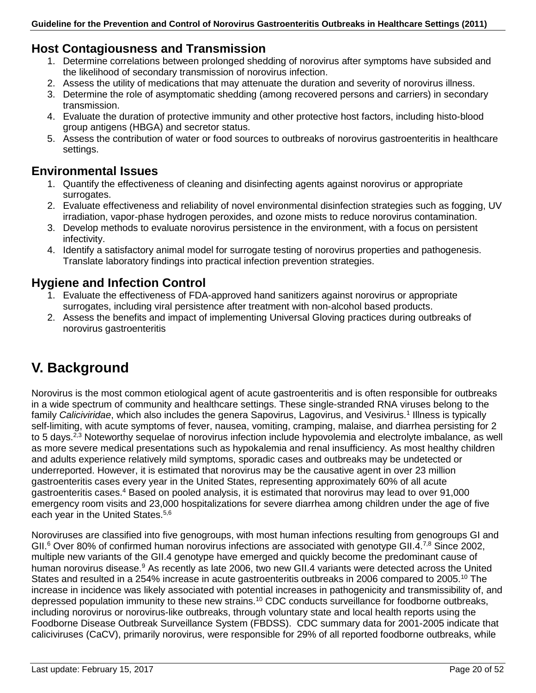### **Host Contagiousness and Transmission**

- 1. Determine correlations between prolonged shedding of norovirus after symptoms have subsided and the likelihood of secondary transmission of norovirus infection.
- 2. Assess the utility of medications that may attenuate the duration and severity of norovirus illness.
- 3. Determine the role of asymptomatic shedding (among recovered persons and carriers) in secondary transmission.
- 4. Evaluate the duration of protective immunity and other protective host factors, including histo-blood group antigens (HBGA) and secretor status.
- 5. Assess the contribution of water or food sources to outbreaks of norovirus gastroenteritis in healthcare settings.

### **Environmental Issues**

- 1. Quantify the effectiveness of cleaning and disinfecting agents against norovirus or appropriate surrogates.
- 2. Evaluate effectiveness and reliability of novel environmental disinfection strategies such as fogging, UV irradiation, vapor-phase hydrogen peroxides, and ozone mists to reduce norovirus contamination.
- 3. Develop methods to evaluate norovirus persistence in the environment, with a focus on persistent infectivity.
- 4. Identify a satisfactory animal model for surrogate testing of norovirus properties and pathogenesis. Translate laboratory findings into practical infection prevention strategies.

### **Hygiene and Infection Control**

- 1. Evaluate the effectiveness of FDA-approved hand sanitizers against norovirus or appropriate surrogates, including viral persistence after treatment with non-alcohol based products.
- 2. Assess the benefits and impact of implementing Universal Gloving practices during outbreaks of norovirus gastroenteritis

# <span id="page-19-0"></span>**V. Background**

Norovirus is the most common etiological agent of acute gastroenteritis and is often responsible for outbreaks in a wide spectrum of community and healthcare settings. These single-stranded RNA viruses belong to the family *Caliciviridae*, which also includes the genera Sapovirus, Lagovirus, and Vesivirus.1 Illness is typically self-limiting, with acute symptoms of fever, nausea, vomiting, cramping, malaise, and diarrhea persisting for 2 to 5 days.<sup>2,3</sup> Noteworthy sequelae of norovirus infection include hypovolemia and electrolyte imbalance, as well as more severe medical presentations such as hypokalemia and renal insufficiency. As most healthy children and adults experience relatively mild symptoms, sporadic cases and outbreaks may be undetected or underreported. However, it is estimated that norovirus may be the causative agent in over 23 million gastroenteritis cases every year in the United States, representing approximately 60% of all acute gastroenteritis cases.4 Based on pooled analysis, it is estimated that norovirus may lead to over 91,000 emergency room visits and 23,000 hospitalizations for severe diarrhea among children under the age of five each year in the United States.<sup>5,6</sup>

Noroviruses are classified into five genogroups, with most human infections resulting from genogroups GI and GII.<sup>6</sup> Over 80% of confirmed human norovirus infections are associated with genotype GII.4.<sup>7,8</sup> Since 2002, multiple new variants of the GII.4 genotype have emerged and quickly become the predominant cause of human norovirus disease.<sup>9</sup> As recently as late 2006, two new GII.4 variants were detected across the United States and resulted in a 254% increase in acute gastroenteritis outbreaks in 2006 compared to 2005.<sup>10</sup> The increase in incidence was likely associated with potential increases in pathogenicity and transmissibility of, and depressed population immunity to these new strains.<sup>10</sup> CDC conducts surveillance for foodborne outbreaks, including norovirus or norovirus-like outbreaks, through voluntary state and local health reports using the Foodborne Disease Outbreak Surveillance System (FBDSS). CDC summary data for 2001-2005 indicate that caliciviruses (CaCV), primarily norovirus, were responsible for 29% of all reported foodborne outbreaks, while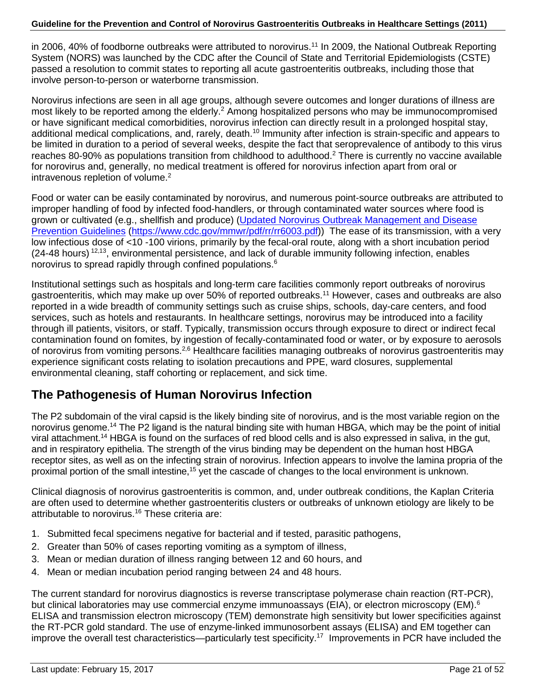in 2006, 40% of foodborne outbreaks were attributed to norovirus.<sup>11</sup> In 2009, the National Outbreak Reporting System (NORS) was launched by the CDC after the Council of State and Territorial Epidemiologists (CSTE) passed a resolution to commit states to reporting all acute gastroenteritis outbreaks, including those that involve person-to-person or waterborne transmission.

Norovirus infections are seen in all age groups, although severe outcomes and longer durations of illness are most likely to be reported among the elderly.<sup>2</sup> Among hospitalized persons who may be immunocompromised or have significant medical comorbidities, norovirus infection can directly result in a prolonged hospital stay, additional medical complications, and, rarely, death.<sup>10</sup> Immunity after infection is strain-specific and appears to be limited in duration to a period of several weeks, despite the fact that seroprevalence of antibody to this virus reaches 80-90% as populations transition from childhood to adulthood.<sup>2</sup> There is currently no vaccine available for norovirus and, generally, no medical treatment is offered for norovirus infection apart from oral or intravenous repletion of volume.<sup>2</sup>

Food or water can be easily contaminated by norovirus, and numerous point-source outbreaks are attributed to improper handling of food by infected food-handlers, or through contaminated water sources where food is grown or cultivated (e.g., shellfish and produce) (Updated Norovirus Outbreak Management and Disease [Prevention Guidelines](http://www.cdc.gov/mmwr/pdf/rr/rr6003.pdf) [\(https://www.cdc.gov/mmwr/pdf/rr/rr6003.pdf\)](https://www.cdc.gov/mmwr/pdf/rr/rr6003.pdf)) The ease of its transmission, with a very low infectious dose of <10 -100 virions, primarily by the fecal-oral route, along with a short incubation period  $(24-48$  hours)  $12,13$ , environmental persistence, and lack of durable immunity following infection, enables norovirus to spread rapidly through confined populations.<sup>6</sup>

Institutional settings such as hospitals and long-term care facilities commonly report outbreaks of norovirus gastroenteritis, which may make up over 50% of reported outbreaks.11 However, cases and outbreaks are also reported in a wide breadth of community settings such as cruise ships, schools, day-care centers, and food services, such as hotels and restaurants. In healthcare settings, norovirus may be introduced into a facility through ill patients, visitors, or staff. Typically, transmission occurs through exposure to direct or indirect fecal contamination found on fomites, by ingestion of fecally-contaminated food or water, or by exposure to aerosols of norovirus from vomiting persons.<sup>2,6</sup> Healthcare facilities managing outbreaks of norovirus gastroenteritis may experience significant costs relating to isolation precautions and PPE, ward closures, supplemental environmental cleaning, staff cohorting or replacement, and sick time.

### **The Pathogenesis of Human Norovirus Infection**

The P2 subdomain of the viral capsid is the likely binding site of norovirus, and is the most variable region on the norovirus genome.14 The P2 ligand is the natural binding site with human HBGA, which may be the point of initial viral attachment.14 HBGA is found on the surfaces of red blood cells and is also expressed in saliva, in the gut, and in respiratory epithelia. The strength of the virus binding may be dependent on the human host HBGA receptor sites, as well as on the infecting strain of norovirus. Infection appears to involve the lamina propria of the proximal portion of the small intestine,<sup>15</sup> yet the cascade of changes to the local environment is unknown.

Clinical diagnosis of norovirus gastroenteritis is common, and, under outbreak conditions, the Kaplan Criteria are often used to determine whether gastroenteritis clusters or outbreaks of unknown etiology are likely to be attributable to norovirus.<sup>16</sup> These criteria are:

- 1. Submitted fecal specimens negative for bacterial and if tested, parasitic pathogens,
- 2. Greater than 50% of cases reporting vomiting as a symptom of illness,
- 3. Mean or median duration of illness ranging between 12 and 60 hours, and
- 4. Mean or median incubation period ranging between 24 and 48 hours.

The current standard for norovirus diagnostics is reverse transcriptase polymerase chain reaction (RT-PCR), but clinical laboratories may use commercial enzyme immunoassays (EIA), or electron microscopy (EM).<sup>6</sup> ELISA and transmission electron microscopy (TEM) demonstrate high sensitivity but lower specificities against the RT-PCR gold standard. The use of enzyme-linked immunosorbent assays (ELISA) and EM together can improve the overall test characteristics—particularly test specificity.<sup>17</sup> Improvements in PCR have included the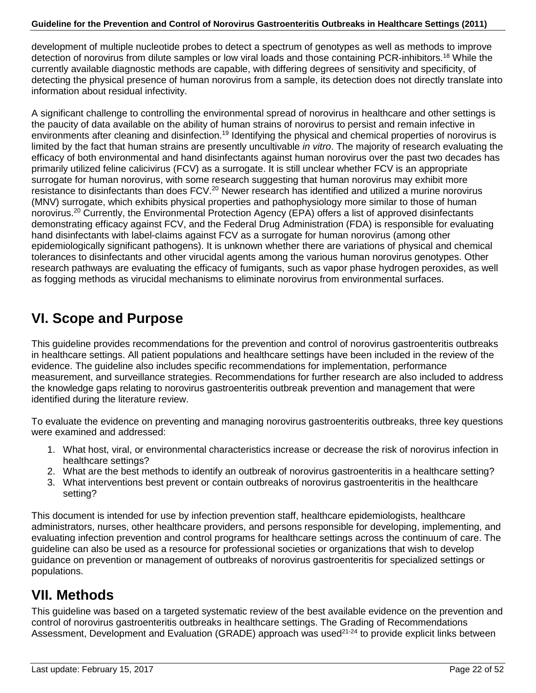development of multiple nucleotide probes to detect a spectrum of genotypes as well as methods to improve detection of norovirus from dilute samples or low viral loads and those containing PCR-inhibitors.<sup>18</sup> While the currently available diagnostic methods are capable, with differing degrees of sensitivity and specificity, of detecting the physical presence of human norovirus from a sample, its detection does not directly translate into information about residual infectivity.

A significant challenge to controlling the environmental spread of norovirus in healthcare and other settings is the paucity of data available on the ability of human strains of norovirus to persist and remain infective in environments after cleaning and disinfection.<sup>19</sup> Identifying the physical and chemical properties of norovirus is limited by the fact that human strains are presently uncultivable *in vitro*. The majority of research evaluating the efficacy of both environmental and hand disinfectants against human norovirus over the past two decades has primarily utilized feline calicivirus (FCV) as a surrogate. It is still unclear whether FCV is an appropriate surrogate for human norovirus, with some research suggesting that human norovirus may exhibit more resistance to disinfectants than does FCV.<sup>20</sup> Newer research has identified and utilized a murine norovirus (MNV) surrogate, which exhibits physical properties and pathophysiology more similar to those of human norovirus.<sup>20</sup> Currently, the Environmental Protection Agency (EPA) offers a list of approved disinfectants demonstrating efficacy against FCV, and the Federal Drug Administration (FDA) is responsible for evaluating hand disinfectants with label-claims against FCV as a surrogate for human norovirus (among other epidemiologically significant pathogens). It is unknown whether there are variations of physical and chemical tolerances to disinfectants and other virucidal agents among the various human norovirus genotypes. Other research pathways are evaluating the efficacy of fumigants, such as vapor phase hydrogen peroxides, as well as fogging methods as virucidal mechanisms to eliminate norovirus from environmental surfaces.

# <span id="page-21-0"></span>**VI. Scope and Purpose**

This guideline provides recommendations for the prevention and control of norovirus gastroenteritis outbreaks in healthcare settings. All patient populations and healthcare settings have been included in the review of the evidence. The guideline also includes specific recommendations for implementation, performance measurement, and surveillance strategies. Recommendations for further research are also included to address the knowledge gaps relating to norovirus gastroenteritis outbreak prevention and management that were identified during the literature review.

To evaluate the evidence on preventing and managing norovirus gastroenteritis outbreaks, three key questions were examined and addressed:

- 1. What host, viral, or environmental characteristics increase or decrease the risk of norovirus infection in healthcare settings?
- 2. What are the best methods to identify an outbreak of norovirus gastroenteritis in a healthcare setting?
- 3. What interventions best prevent or contain outbreaks of norovirus gastroenteritis in the healthcare setting?

This document is intended for use by infection prevention staff, healthcare epidemiologists, healthcare administrators, nurses, other healthcare providers, and persons responsible for developing, implementing, and evaluating infection prevention and control programs for healthcare settings across the continuum of care. The guideline can also be used as a resource for professional societies or organizations that wish to develop guidance on prevention or management of outbreaks of norovirus gastroenteritis for specialized settings or populations.

# <span id="page-21-1"></span>**VII. Methods**

This guideline was based on a targeted systematic review of the best available evidence on the prevention and control of norovirus gastroenteritis outbreaks in healthcare settings. The Grading of Recommendations Assessment, Development and Evaluation (GRADE) approach was used<sup>21-24</sup> to provide explicit links between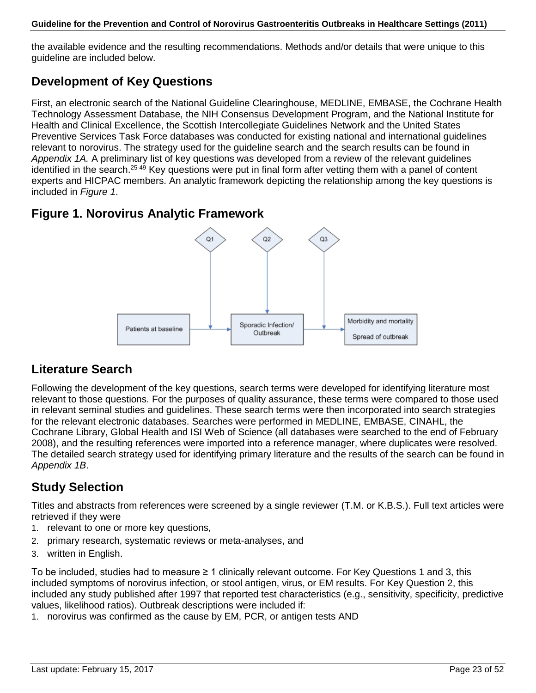the available evidence and the resulting recommendations. Methods and/or details that were unique to this guideline are included below.

### **Development of Key Questions**

First, an electronic search of the National Guideline Clearinghouse, MEDLINE, EMBASE, the Cochrane Health Technology Assessment Database, the NIH Consensus Development Program, and the National Institute for Health and Clinical Excellence, the Scottish Intercollegiate Guidelines Network and the United States Preventive Services Task Force databases was conducted for existing national and international guidelines relevant to norovirus. The strategy used for the guideline search and the search results can be found in *Appendix 1A.* A preliminary list of key questions was developed from a review of the relevant guidelines identified in the search.<sup>25-49</sup> Key questions were put in final form after vetting them with a panel of content experts and HICPAC members. An analytic framework depicting the relationship among the key questions is included in *Figure 1*.

### **Figure 1. Norovirus Analytic Framework**



### **Literature Search**

Following the development of the key questions, search terms were developed for identifying literature most relevant to those questions. For the purposes of quality assurance, these terms were compared to those used in relevant seminal studies and guidelines. These search terms were then incorporated into search strategies for the relevant electronic databases. Searches were performed in MEDLINE, EMBASE, CINAHL, the Cochrane Library, Global Health and ISI Web of Science (all databases were searched to the end of February 2008), and the resulting references were imported into a reference manager, where duplicates were resolved. The detailed search strategy used for identifying primary literature and the results of the search can be found in *Appendix 1B*.

## **Study Selection**

Titles and abstracts from references were screened by a single reviewer (T.M. or K.B.S.). Full text articles were retrieved if they were

- 1. relevant to one or more key questions,
- 2. primary research, systematic reviews or meta-analyses, and
- 3. written in English.

To be included, studies had to measure ≥ 1 clinically relevant outcome. For Key Questions 1 and 3, this included symptoms of norovirus infection, or stool antigen, virus, or EM results. For Key Question 2, this included any study published after 1997 that reported test characteristics (e.g., sensitivity, specificity, predictive values, likelihood ratios). Outbreak descriptions were included if:

1. norovirus was confirmed as the cause by EM, PCR, or antigen tests AND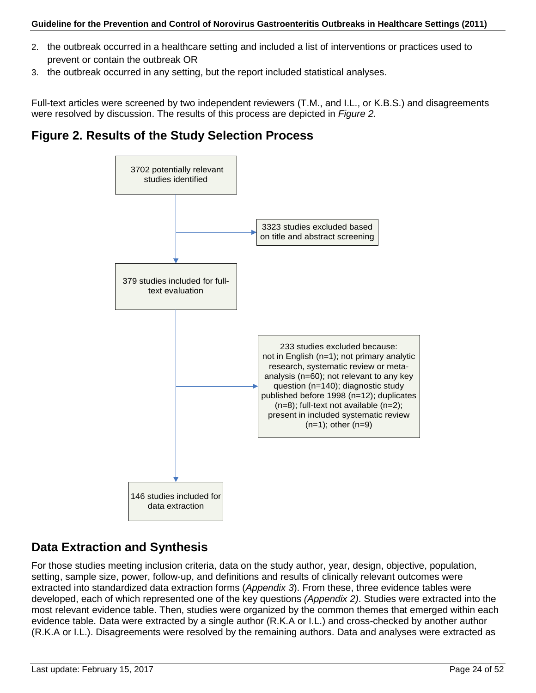- 2. the outbreak occurred in a healthcare setting and included a list of interventions or practices used to prevent or contain the outbreak OR
- 3. the outbreak occurred in any setting, but the report included statistical analyses.

Full-text articles were screened by two independent reviewers (T.M., and I.L., or K.B.S.) and disagreements were resolved by discussion. The results of this process are depicted in *Figure 2.*

### **Figure 2. Results of the Study Selection Process**



### **Data Extraction and Synthesis**

For those studies meeting inclusion criteria, data on the study author, year, design, objective, population, setting, sample size, power, follow-up, and definitions and results of clinically relevant outcomes were extracted into standardized data extraction forms (*Appendix 3*). From these, three evidence tables were developed, each of which represented one of the key questions *(Appendix 2)*. Studies were extracted into the most relevant evidence table. Then, studies were organized by the common themes that emerged within each evidence table. Data were extracted by a single author (R.K.A or I.L.) and cross-checked by another author (R.K.A or I.L.). Disagreements were resolved by the remaining authors. Data and analyses were extracted as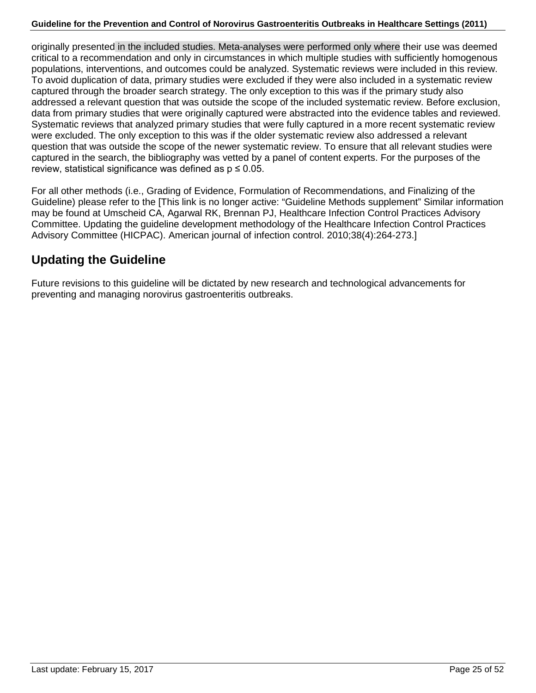originally presented in the included studies. Meta-analyses were performed only where their use was deemed critical to a recommendation and only in circumstances in which multiple studies with sufficiently homogenous populations, interventions, and outcomes could be analyzed. Systematic reviews were included in this review. To avoid duplication of data, primary studies were excluded if they were also included in a systematic review captured through the broader search strategy. The only exception to this was if the primary study also addressed a relevant question that was outside the scope of the included systematic review. Before exclusion, data from primary studies that were originally captured were abstracted into the evidence tables and reviewed. Systematic reviews that analyzed primary studies that were fully captured in a more recent systematic review were excluded. The only exception to this was if the older systematic review also addressed a relevant question that was outside the scope of the newer systematic review. To ensure that all relevant studies were captured in the search, the bibliography was vetted by a panel of content experts. For the purposes of the review, statistical significance was defined as  $p \le 0.05$ .

For all other methods (i.e., Grading of Evidence, Formulation of Recommendations, and Finalizing of the Guideline) please refer to the [This link is no longer active: "Guideline Methods supplement" Similar information may be found at Umscheid CA, Agarwal RK, Brennan PJ, Healthcare Infection Control Practices Advisory Committee. Updating the guideline development methodology of the Healthcare Infection Control Practices Advisory Committee (HICPAC). American journal of infection control. 2010;38(4):264-273.]

### **Updating the Guideline**

Future revisions to this guideline will be dictated by new research and technological advancements for preventing and managing norovirus gastroenteritis outbreaks.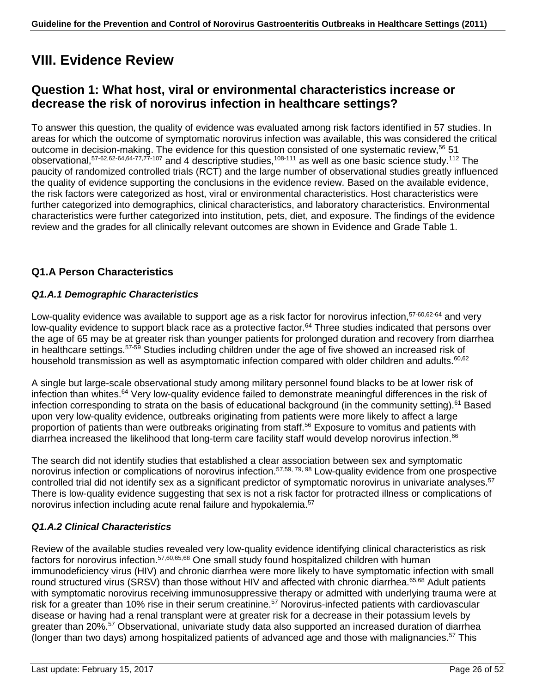# <span id="page-25-0"></span>**VIII. Evidence Review**

## **Question 1: What host, viral or environmental characteristics increase or decrease the risk of norovirus infection in healthcare settings?**

To answer this question, the quality of evidence was evaluated among risk factors identified in 57 studies. In areas for which the outcome of symptomatic norovirus infection was available, this was considered the critical outcome in decision-making. The evidence for this question consisted of one systematic review,<sup>56</sup> 51 observational,57-62,62-64,64-77,77-107 and 4 descriptive studies,108-111 as well as one basic science study.112 The paucity of randomized controlled trials (RCT) and the large number of observational studies greatly influenced the quality of evidence supporting the conclusions in the evidence review. Based on the available evidence, the risk factors were categorized as host, viral or environmental characteristics. Host characteristics were further categorized into demographics, clinical characteristics, and laboratory characteristics. Environmental characteristics were further categorized into institution, pets, diet, and exposure. The findings of the evidence review and the grades for all clinically relevant outcomes are shown in Evidence and Grade Table 1.

### **Q1.A Person Characteristics**

### *Q1.A.1 Demographic Characteristics*

Low-quality evidence was available to support age as a risk factor for norovirus infection,  $57-60,62-64$  and very low-quality evidence to support black race as a protective factor.<sup>64</sup> Three studies indicated that persons over the age of 65 may be at greater risk than younger patients for prolonged duration and recovery from diarrhea in healthcare settings.57-59 Studies including children under the age of five showed an increased risk of household transmission as well as asymptomatic infection compared with older children and adults.<sup>60,62</sup>

A single but large-scale observational study among military personnel found blacks to be at lower risk of infection than whites.64 Very low-quality evidence failed to demonstrate meaningful differences in the risk of infection corresponding to strata on the basis of educational background (in the community setting).<sup>61</sup> Based upon very low-quality evidence, outbreaks originating from patients were more likely to affect a large proportion of patients than were outbreaks originating from staff.<sup>56</sup> Exposure to vomitus and patients with diarrhea increased the likelihood that long-term care facility staff would develop norovirus infection.<sup>66</sup>

The search did not identify studies that established a clear association between sex and symptomatic norovirus infection or complications of norovirus infection.57,59, 79, 98 Low-quality evidence from one prospective controlled trial did not identify sex as a significant predictor of symptomatic norovirus in univariate analyses.<sup>57</sup> There is low-quality evidence suggesting that sex is not a risk factor for protracted illness or complications of norovirus infection including acute renal failure and hypokalemia.57

### *Q1.A.2 Clinical Characteristics*

Review of the available studies revealed very low-quality evidence identifying clinical characteristics as risk factors for norovirus infection.57,60,65,68 One small study found hospitalized children with human immunodeficiency virus (HIV) and chronic diarrhea were more likely to have symptomatic infection with small round structured virus (SRSV) than those without HIV and affected with chronic diarrhea.<sup>65,68</sup> Adult patients with symptomatic norovirus receiving immunosuppressive therapy or admitted with underlying trauma were at risk for a greater than 10% rise in their serum creatinine.<sup>57</sup> Norovirus-infected patients with cardiovascular disease or having had a renal transplant were at greater risk for a decrease in their potassium levels by greater than 20%.57 Observational, univariate study data also supported an increased duration of diarrhea (longer than two days) among hospitalized patients of advanced age and those with malignancies.<sup>57</sup> This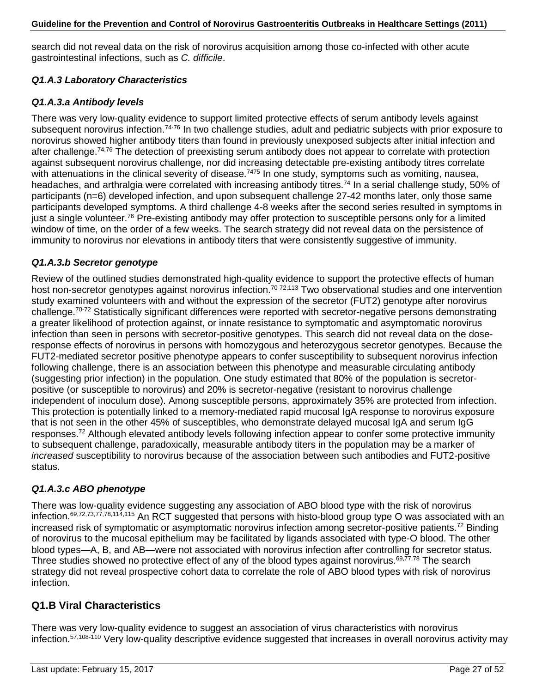search did not reveal data on the risk of norovirus acquisition among those co-infected with other acute gastrointestinal infections, such as *C. difficile*.

### *Q1.A.3 Laboratory Characteristics*

### *Q1.A.3.a Antibody levels*

There was very low-quality evidence to support limited protective effects of serum antibody levels against subsequent norovirus infection.<sup>74-76</sup> In two challenge studies, adult and pediatric subjects with prior exposure to norovirus showed higher antibody titers than found in previously unexposed subjects after initial infection and after challenge.74,76 The detection of preexisting serum antibody does not appear to correlate with protection against subsequent norovirus challenge, nor did increasing detectable pre-existing antibody titres correlate with attenuations in the clinical severity of disease.<sup>7475</sup> In one study, symptoms such as vomiting, nausea, headaches, and arthralgia were correlated with increasing antibody titres.<sup>74</sup> In a serial challenge study, 50% of participants (n=6) developed infection, and upon subsequent challenge 27-42 months later, only those same participants developed symptoms. A third challenge 4-8 weeks after the second series resulted in symptoms in just a single volunteer.<sup>76</sup> Pre-existing antibody may offer protection to susceptible persons only for a limited window of time, on the order of a few weeks. The search strategy did not reveal data on the persistence of immunity to norovirus nor elevations in antibody titers that were consistently suggestive of immunity.

### *Q1.A.3.b Secretor genotype*

Review of the outlined studies demonstrated high-quality evidence to support the protective effects of human host non-secretor genotypes against norovirus infection.<sup>70-72,113</sup> Two observational studies and one intervention study examined volunteers with and without the expression of the secretor (FUT2) genotype after norovirus challenge.70-72 Statistically significant differences were reported with secretor-negative persons demonstrating a greater likelihood of protection against, or innate resistance to symptomatic and asymptomatic norovirus infection than seen in persons with secretor-positive genotypes. This search did not reveal data on the doseresponse effects of norovirus in persons with homozygous and heterozygous secretor genotypes. Because the FUT2-mediated secretor positive phenotype appears to confer susceptibility to subsequent norovirus infection following challenge, there is an association between this phenotype and measurable circulating antibody (suggesting prior infection) in the population. One study estimated that 80% of the population is secretorpositive (or susceptible to norovirus) and 20% is secretor-negative (resistant to norovirus challenge independent of inoculum dose). Among susceptible persons, approximately 35% are protected from infection. This protection is potentially linked to a memory-mediated rapid mucosal IgA response to norovirus exposure that is not seen in the other 45% of susceptibles, who demonstrate delayed mucosal IgA and serum IgG responses.<sup>72</sup> Although elevated antibody levels following infection appear to confer some protective immunity to subsequent challenge, paradoxically, measurable antibody titers in the population may be a marker of *increased* susceptibility to norovirus because of the association between such antibodies and FUT2-positive status.

### *Q1.A.3.c ABO phenotype*

There was low-quality evidence suggesting any association of ABO blood type with the risk of norovirus infection.<sup>69,72,73,77,78,114,115</sup> An RCT suggested that persons with histo-blood group type O was associated with an increased risk of symptomatic or asymptomatic norovirus infection among secretor-positive patients.<sup>72</sup> Binding of norovirus to the mucosal epithelium may be facilitated by ligands associated with type-O blood. The other blood types—A, B, and AB—were not associated with norovirus infection after controlling for secretor status. Three studies showed no protective effect of any of the blood types against norovirus.<sup>69,77,78</sup> The search strategy did not reveal prospective cohort data to correlate the role of ABO blood types with risk of norovirus infection.

### **Q1.B Viral Characteristics**

There was very low-quality evidence to suggest an association of virus characteristics with norovirus infection.57,108-110 Very low-quality descriptive evidence suggested that increases in overall norovirus activity may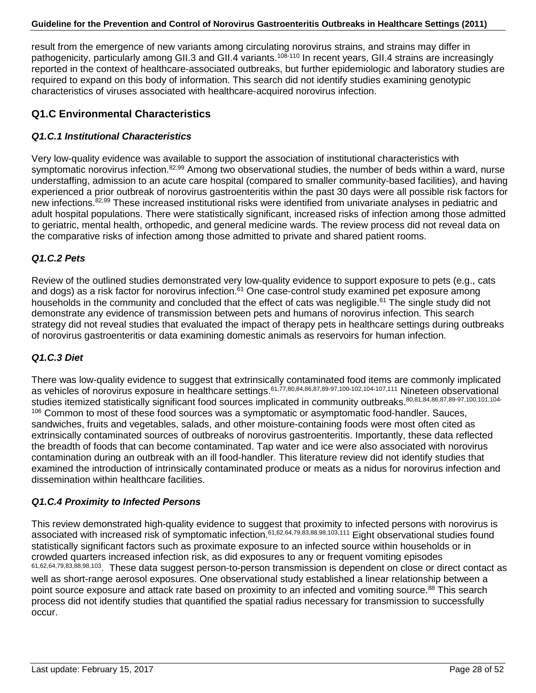result from the emergence of new variants among circulating norovirus strains, and strains may differ in pathogenicity, particularly among GII.3 and GII.4 variants.<sup>108-110</sup> In recent years, GII.4 strains are increasingly reported in the context of healthcare-associated outbreaks, but further epidemiologic and laboratory studies are required to expand on this body of information. This search did not identify studies examining genotypic characteristics of viruses associated with healthcare-acquired norovirus infection.

### **Q1.C Environmental Characteristics**

### *Q1.C.1 Institutional Characteristics*

Very low-quality evidence was available to support the association of institutional characteristics with symptomatic norovirus infection.<sup>82,99</sup> Among two observational studies, the number of beds within a ward, nurse understaffing, admission to an acute care hospital (compared to smaller community-based facilities), and having experienced a prior outbreak of norovirus gastroenteritis within the past 30 days were all possible risk factors for new infections.82,99 These increased institutional risks were identified from univariate analyses in pediatric and adult hospital populations. There were statistically significant, increased risks of infection among those admitted to geriatric, mental health, orthopedic, and general medicine wards. The review process did not reveal data on the comparative risks of infection among those admitted to private and shared patient rooms.

### *Q1.C.2 Pets*

Review of the outlined studies demonstrated very low-quality evidence to support exposure to pets (e.g., cats and dogs) as a risk factor for norovirus infection.<sup>61</sup> One case-control study examined pet exposure among households in the community and concluded that the effect of cats was negligible.<sup>61</sup> The single study did not demonstrate any evidence of transmission between pets and humans of norovirus infection. This search strategy did not reveal studies that evaluated the impact of therapy pets in healthcare settings during outbreaks of norovirus gastroenteritis or data examining domestic animals as reservoirs for human infection.

### *Q1.C.3 Diet*

There was low-quality evidence to suggest that extrinsically contaminated food items are commonly implicated as vehicles of norovirus exposure in healthcare settings.61,77,80,84,86,87,89-97,100-102,104-107,111 Nineteen observational studies itemized statistically significant food sources implicated in community outbreaks.80,81,84,86,87,89-97,100,101,104-106 Common to most of these food sources was a symptomatic or asymptomatic food-handler. Sauces, sandwiches, fruits and vegetables, salads, and other moisture-containing foods were most often cited as extrinsically contaminated sources of outbreaks of norovirus gastroenteritis. Importantly, these data reflected the breadth of foods that can become contaminated. Tap water and ice were also associated with norovirus contamination during an outbreak with an ill food-handler. This literature review did not identify studies that examined the introduction of intrinsically contaminated produce or meats as a nidus for norovirus infection and dissemination within healthcare facilities.

### *Q1.C.4 Proximity to Infected Persons*

This review demonstrated high-quality evidence to suggest that proximity to infected persons with norovirus is associated with increased risk of symptomatic infection.61,62,64,79,83,88,98,103,111 Eight observational studies found statistically significant factors such as proximate exposure to an infected source within households or in crowded quarters increased infection risk, as did exposures to any or frequent vomiting episodes 61,62,64,79,83,88,98,103. These data suggest person-to-person transmission is dependent on close or direct contact as well as short-range aerosol exposures. One observational study established a linear relationship between a point source exposure and attack rate based on proximity to an infected and vomiting source.<sup>88</sup> This search process did not identify studies that quantified the spatial radius necessary for transmission to successfully occur.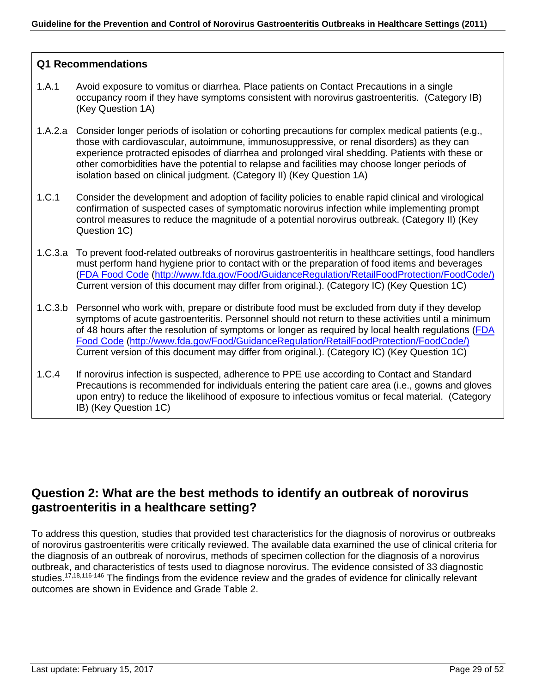### **Q1 Recommendations**

- 1.A.1 Avoid exposure to vomitus or diarrhea. Place patients on Contact Precautions in a single occupancy room if they have symptoms consistent with norovirus gastroenteritis. (Category IB) (Key Question 1A)
- 1.A.2.a Consider longer periods of isolation or cohorting precautions for complex medical patients (e.g., those with cardiovascular, autoimmune, immunosuppressive, or renal disorders) as they can experience protracted episodes of diarrhea and prolonged viral shedding. Patients with these or other comorbidities have the potential to relapse and facilities may choose longer periods of isolation based on clinical judgment. (Category II) (Key Question 1A)
- 1.C.1 Consider the development and adoption of facility policies to enable rapid clinical and virological confirmation of suspected cases of symptomatic norovirus infection while implementing prompt control measures to reduce the magnitude of a potential norovirus outbreak. (Category II) (Key Question 1C)
- 1.C.3.a To prevent food-related outbreaks of norovirus gastroenteritis in healthcare settings, food handlers must perform hand hygiene prior to contact with or the preparation of food items and beverages [\(FDA Food Code \(http://www.fda.gov/Food/GuidanceRegulation/RetailFoodProtection/FoodCode/\)](http://www.fda.gov/Food/GuidanceRegulation/RetailFoodProtection/FoodCode/) Current version of this document may differ from original.). (Category IC) (Key Question 1C)
- 1.C.3.b Personnel who work with, prepare or distribute food must be excluded from duty if they develop symptoms of acute gastroenteritis. Personnel should not return to these activities until a minimum of 48 hours after the resolution of symptoms or longer as required by local health regulations [\(FDA](http://www.fda.gov/Food/GuidanceRegulation/RetailFoodProtection/FoodCode/)  [Food Code \(http://www.fda.gov/Food/GuidanceRegulation/RetailFoodProtection/FoodCode/\)](http://www.fda.gov/Food/GuidanceRegulation/RetailFoodProtection/FoodCode/) Current version of this document may differ from original.). (Category IC) (Key Question 1C)
- 1.C.4 If norovirus infection is suspected, adherence to PPE use according to Contact and Standard Precautions is recommended for individuals entering the patient care area (i.e., gowns and gloves upon entry) to reduce the likelihood of exposure to infectious vomitus or fecal material. (Category IB) (Key Question 1C)

### **Question 2: What are the best methods to identify an outbreak of norovirus gastroenteritis in a healthcare setting?**

To address this question, studies that provided test characteristics for the diagnosis of norovirus or outbreaks of norovirus gastroenteritis were critically reviewed. The available data examined the use of clinical criteria for the diagnosis of an outbreak of norovirus, methods of specimen collection for the diagnosis of a norovirus outbreak, and characteristics of tests used to diagnose norovirus. The evidence consisted of 33 diagnostic studies.<sup>17,18,116-146</sup> The findings from the evidence review and the grades of evidence for clinically relevant outcomes are shown in Evidence and Grade Table 2.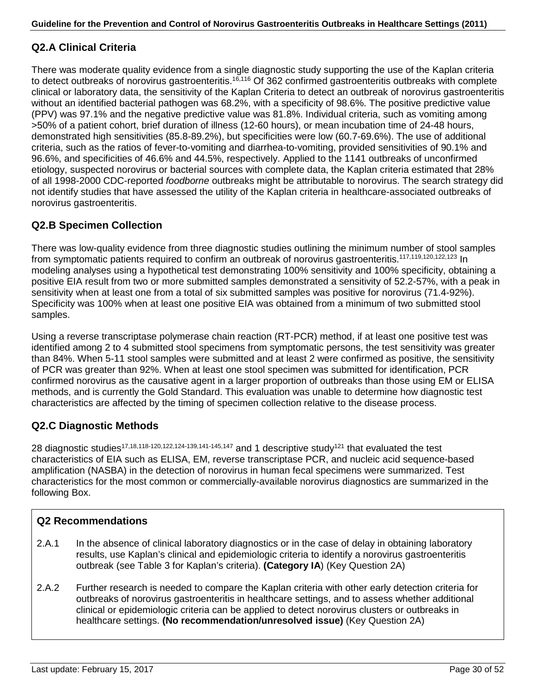### **Q2.A Clinical Criteria**

There was moderate quality evidence from a single diagnostic study supporting the use of the Kaplan criteria to detect outbreaks of norovirus gastroenteritis.<sup>16,116</sup> Of 362 confirmed gastroenteritis outbreaks with complete clinical or laboratory data, the sensitivity of the Kaplan Criteria to detect an outbreak of norovirus gastroenteritis without an identified bacterial pathogen was 68.2%, with a specificity of 98.6%. The positive predictive value (PPV) was 97.1% and the negative predictive value was 81.8%. Individual criteria, such as vomiting among >50% of a patient cohort, brief duration of illness (12-60 hours), or mean incubation time of 24-48 hours, demonstrated high sensitivities (85.8-89.2%), but specificities were low (60.7-69.6%). The use of additional criteria, such as the ratios of fever-to-vomiting and diarrhea-to-vomiting, provided sensitivities of 90.1% and 96.6%, and specificities of 46.6% and 44.5%, respectively. Applied to the 1141 outbreaks of unconfirmed etiology, suspected norovirus or bacterial sources with complete data, the Kaplan criteria estimated that 28% of all 1998-2000 CDC-reported *foodborne* outbreaks might be attributable to norovirus. The search strategy did not identify studies that have assessed the utility of the Kaplan criteria in healthcare-associated outbreaks of norovirus gastroenteritis.

### **Q2.B Specimen Collection**

There was low-quality evidence from three diagnostic studies outlining the minimum number of stool samples from symptomatic patients required to confirm an outbreak of norovirus gastroenteritis.<sup>117,119,120,122,123</sup> In modeling analyses using a hypothetical test demonstrating 100% sensitivity and 100% specificity, obtaining a positive EIA result from two or more submitted samples demonstrated a sensitivity of 52.2-57%, with a peak in sensitivity when at least one from a total of six submitted samples was positive for norovirus (71.4-92%). Specificity was 100% when at least one positive EIA was obtained from a minimum of two submitted stool samples.

Using a reverse transcriptase polymerase chain reaction (RT-PCR) method, if at least one positive test was identified among 2 to 4 submitted stool specimens from symptomatic persons, the test sensitivity was greater than 84%. When 5-11 stool samples were submitted and at least 2 were confirmed as positive, the sensitivity of PCR was greater than 92%. When at least one stool specimen was submitted for identification, PCR confirmed norovirus as the causative agent in a larger proportion of outbreaks than those using EM or ELISA methods, and is currently the Gold Standard. This evaluation was unable to determine how diagnostic test characteristics are affected by the timing of specimen collection relative to the disease process.

### **Q2.C Diagnostic Methods**

28 diagnostic studies<sup>17,18,118-120,122,124-139,141-145,147</sup> and 1 descriptive study<sup>121</sup> that evaluated the test characteristics of EIA such as ELISA, EM, reverse transcriptase PCR, and nucleic acid sequence-based amplification (NASBA) in the detection of norovirus in human fecal specimens were summarized. Test characteristics for the most common or commercially-available norovirus diagnostics are summarized in the following Box.

### **Q2 Recommendations**

- 2.A.1 In the absence of clinical laboratory diagnostics or in the case of delay in obtaining laboratory results, use Kaplan's clinical and epidemiologic criteria to identify a norovirus gastroenteritis outbreak (see Table 3 for Kaplan's criteria). **(Category IA**) (Key Question 2A)
- 2.A.2 Further research is needed to compare the Kaplan criteria with other early detection criteria for outbreaks of norovirus gastroenteritis in healthcare settings, and to assess whether additional clinical or epidemiologic criteria can be applied to detect norovirus clusters or outbreaks in healthcare settings. **(No recommendation/unresolved issue)** (Key Question 2A)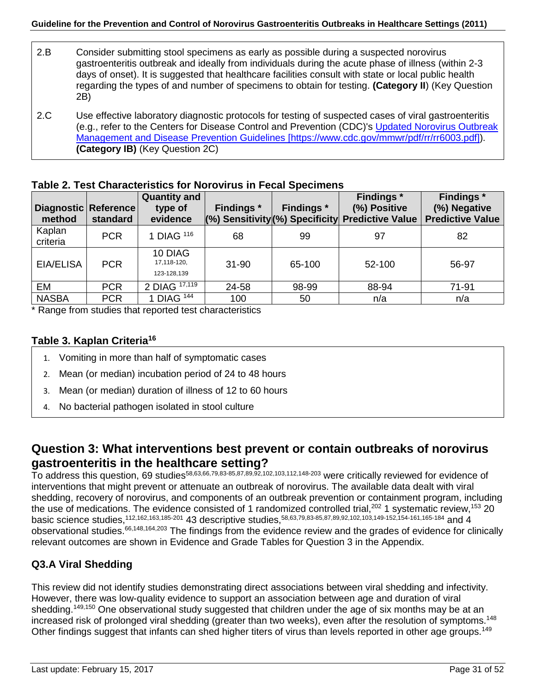- 2.B Consider submitting stool specimens as early as possible during a suspected norovirus gastroenteritis outbreak and ideally from individuals during the acute phase of illness (within 2-3 days of onset). It is suggested that healthcare facilities consult with state or local public health regarding the types of and number of specimens to obtain for testing. **(Category II**) (Key Question 2B)
- 2.C Use effective laboratory diagnostic protocols for testing of suspected cases of viral gastroenteritis (e.g., refer to the Centers for Disease Control and Prevention (CDC)'s [Updated Norovirus Outbreak](http://www.cdc.gov/mmwr/pdf/rr/rr6003.pdf)  [Management and Disease Prevention Guidelines](http://www.cdc.gov/mmwr/pdf/rr/rr6003.pdf) [https://www.cdc.gov/mmwr/pdf/rr/rr6003.pdf]). **(Category IB)** (Key Question 2C)

### **Table 2. Test Characteristics for Norovirus in Fecal Specimens**

| Diagnostic Reference<br>method | standard   | <b>Quantity and</b><br>type of<br>evidence | <b>Findings</b> * | <b>Findings</b> * | <b>Findings</b> *<br>(%) Positive<br>(%) Sensitivity (%) Specificity Predictive Value | <b>Findings</b> *<br>(%) Negative<br><b>Predictive Value</b> |
|--------------------------------|------------|--------------------------------------------|-------------------|-------------------|---------------------------------------------------------------------------------------|--------------------------------------------------------------|
| Kaplan<br>criteria             | <b>PCR</b> | 1 DIAG <sup>116</sup>                      | 68                | 99                | 97                                                                                    | 82                                                           |
| EIA/ELISA                      | <b>PCR</b> | 10 DIAG<br>17,118-120,<br>123-128,139      | $31 - 90$         | 65-100            | 52-100                                                                                | 56-97                                                        |
| EM                             | <b>PCR</b> | 2 DIAG $17,119$                            | 24-58             | 98-99             | 88-94                                                                                 | 71-91                                                        |
| <b>NASBA</b>                   | <b>PCR</b> | 1 DIAG $144$                               | 100               | 50                | n/a                                                                                   | n/a                                                          |

\* Range from studies that reported test characteristics

### **Table 3. Kaplan Criteria16**

- 1. Vomiting in more than half of symptomatic cases
- 2. Mean (or median) incubation period of 24 to 48 hours
- 3. Mean (or median) duration of illness of 12 to 60 hours
- 4. No bacterial pathogen isolated in stool culture

### **Question 3: What interventions best prevent or contain outbreaks of norovirus gastroenteritis in the healthcare setting?**

To address this question, 69 studies58,63,66,79,83-85,87,89,92,102,103,112,148-203 were critically reviewed for evidence of interventions that might prevent or attenuate an outbreak of norovirus. The available data dealt with viral shedding, recovery of norovirus, and components of an outbreak prevention or containment program, including the use of medications. The evidence consisted of 1 randomized controlled trial,<sup>202</sup> 1 systematic review,<sup>153</sup> 20 basic science studies,<sup>112,162,163,185-201</sup> 43 descriptive studies,<sup>58,63,79,83-85,87,89,92,102,103,149-152,154-161,165-184 and 4</sup> observational studies.66,148,164,203 The findings from the evidence review and the grades of evidence for clinically relevant outcomes are shown in Evidence and Grade Tables for Question 3 in the Appendix.

### **Q3.A Viral Shedding**

This review did not identify studies demonstrating direct associations between viral shedding and infectivity. However, there was low-quality evidence to support an association between age and duration of viral shedding.<sup>149,150</sup> One observational study suggested that children under the age of six months may be at an increased risk of prolonged viral shedding (greater than two weeks), even after the resolution of symptoms.<sup>148</sup> Other findings suggest that infants can shed higher titers of virus than levels reported in other age groups.<sup>149</sup>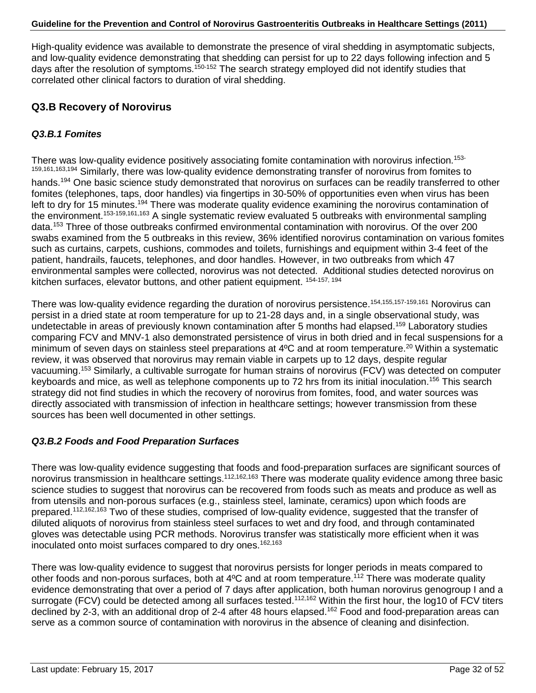High-quality evidence was available to demonstrate the presence of viral shedding in asymptomatic subjects, and low-quality evidence demonstrating that shedding can persist for up to 22 days following infection and 5 days after the resolution of symptoms.<sup>150-152</sup> The search strategy employed did not identify studies that correlated other clinical factors to duration of viral shedding.

### **Q3.B Recovery of Norovirus**

### *Q3.B.1 Fomites*

There was low-quality evidence positively associating fomite contamination with norovirus infection.<sup>153-</sup> 159,161,163,194 Similarly, there was low-quality evidence demonstrating transfer of norovirus from fomites to hands.194 One basic science study demonstrated that norovirus on surfaces can be readily transferred to other fomites (telephones, taps, door handles) via fingertips in 30-50% of opportunities even when virus has been left to dry for 15 minutes.<sup>194</sup> There was moderate quality evidence examining the norovirus contamination of the environment.153-159,161,163 A single systematic review evaluated 5 outbreaks with environmental sampling data.153 Three of those outbreaks confirmed environmental contamination with norovirus. Of the over 200 swabs examined from the 5 outbreaks in this review, 36% identified norovirus contamination on various fomites such as curtains, carpets, cushions, commodes and toilets, furnishings and equipment within 3-4 feet of the patient, handrails, faucets, telephones, and door handles. However, in two outbreaks from which 47 environmental samples were collected, norovirus was not detected. Additional studies detected norovirus on kitchen surfaces, elevator buttons, and other patient equipment. 154-157, 194

There was low-quality evidence regarding the duration of norovirus persistence.154,155,157-159,161 Norovirus can persist in a dried state at room temperature for up to 21-28 days and, in a single observational study, was undetectable in areas of previously known contamination after 5 months had elapsed.<sup>159</sup> Laboratory studies comparing FCV and MNV-1 also demonstrated persistence of virus in both dried and in fecal suspensions for a minimum of seven days on stainless steel preparations at 4°C and at room temperature.<sup>20</sup> Within a systematic review, it was observed that norovirus may remain viable in carpets up to 12 days, despite regular vacuuming.153 Similarly, a cultivable surrogate for human strains of norovirus (FCV) was detected on computer keyboards and mice, as well as telephone components up to 72 hrs from its initial inoculation.<sup>156</sup> This search strategy did not find studies in which the recovery of norovirus from fomites, food, and water sources was directly associated with transmission of infection in healthcare settings; however transmission from these sources has been well documented in other settings.

### *Q3.B.2 Foods and Food Preparation Surfaces*

There was low-quality evidence suggesting that foods and food-preparation surfaces are significant sources of norovirus transmission in healthcare settings.112,162,163 There was moderate quality evidence among three basic science studies to suggest that norovirus can be recovered from foods such as meats and produce as well as from utensils and non-porous surfaces (e.g., stainless steel, laminate, ceramics) upon which foods are prepared.112,162,163 Two of these studies, comprised of low-quality evidence, suggested that the transfer of diluted aliquots of norovirus from stainless steel surfaces to wet and dry food, and through contaminated gloves was detectable using PCR methods. Norovirus transfer was statistically more efficient when it was inoculated onto moist surfaces compared to dry ones.<sup>162,163</sup>

There was low-quality evidence to suggest that norovirus persists for longer periods in meats compared to other foods and non-porous surfaces, both at 4°C and at room temperature.<sup>112</sup> There was moderate quality evidence demonstrating that over a period of 7 days after application, both human norovirus genogroup I and a surrogate (FCV) could be detected among all surfaces tested.<sup>112,162</sup> Within the first hour, the log10 of FCV titers declined by 2-3, with an additional drop of 2-4 after 48 hours elapsed.<sup>162</sup> Food and food-preparation areas can serve as a common source of contamination with norovirus in the absence of cleaning and disinfection.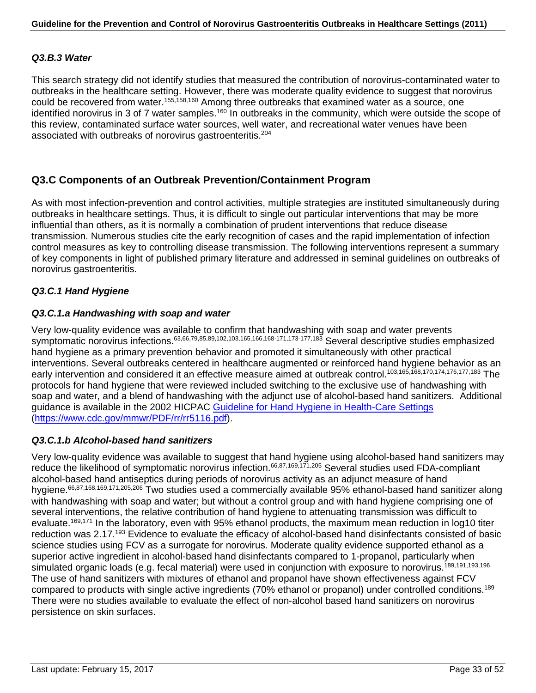### *Q3.B.3 Water*

This search strategy did not identify studies that measured the contribution of norovirus-contaminated water to outbreaks in the healthcare setting. However, there was moderate quality evidence to suggest that norovirus could be recovered from water.155,158,160 Among three outbreaks that examined water as a source, one identified norovirus in 3 of 7 water samples.<sup>160</sup> In outbreaks in the community, which were outside the scope of this review, contaminated surface water sources, well water, and recreational water venues have been associated with outbreaks of norovirus gastroenteritis.<sup>204</sup>

### **Q3.C Components of an Outbreak Prevention/Containment Program**

As with most infection-prevention and control activities, multiple strategies are instituted simultaneously during outbreaks in healthcare settings. Thus, it is difficult to single out particular interventions that may be more influential than others, as it is normally a combination of prudent interventions that reduce disease transmission. Numerous studies cite the early recognition of cases and the rapid implementation of infection control measures as key to controlling disease transmission. The following interventions represent a summary of key components in light of published primary literature and addressed in seminal guidelines on outbreaks of norovirus gastroenteritis.

### *Q3.C.1 Hand Hygiene*

#### *Q3.C.1.a Handwashing with soap and water*

Very low-quality evidence was available to confirm that handwashing with soap and water prevents symptomatic norovirus infections.63,66,79,85,89,102,103,165,166,168-171,173-177,183 Several descriptive studies emphasized hand hygiene as a primary prevention behavior and promoted it simultaneously with other practical interventions. Several outbreaks centered in healthcare augmented or reinforced hand hygiene behavior as an early intervention and considered it an effective measure aimed at outbreak control.<sup>103,165,168,170,174,176,177,183</sup> The protocols for hand hygiene that were reviewed included switching to the exclusive use of handwashing with soap and water, and a blend of handwashing with the adjunct use of alcohol-based hand sanitizers. Additional guidance is available in the 2002 HICPAC [Guideline for Hand Hygiene in Health-Care Settings](http://www.cdc.gov/mmwr/PDF/rr/rr5116.pdf) [\(https://www.cdc.gov/mmwr/PDF/rr/rr5116.pdf\)](https://www.cdc.gov/mmwr/PDF/rr/rr5116.pdf).

#### *Q3.C.1.b Alcohol-based hand sanitizers*

Very low-quality evidence was available to suggest that hand hygiene using alcohol-based hand sanitizers may reduce the likelihood of symptomatic norovirus infection.<sup>66,87,169,171,205</sup> Several studies used FDA-compliant alcohol-based hand antiseptics during periods of norovirus activity as an adjunct measure of hand hygiene.<sup>66,87,168,169,171,205,206</sup> Two studies used a commercially available 95% ethanol-based hand sanitizer along with handwashing with soap and water; but without a control group and with hand hygiene comprising one of several interventions, the relative contribution of hand hygiene to attenuating transmission was difficult to evaluate.<sup>169,171</sup> In the laboratory, even with 95% ethanol products, the maximum mean reduction in log10 titer reduction was 2.17.<sup>193</sup> Evidence to evaluate the efficacy of alcohol-based hand disinfectants consisted of basic science studies using FCV as a surrogate for norovirus. Moderate quality evidence supported ethanol as a superior active ingredient in alcohol-based hand disinfectants compared to 1-propanol, particularly when simulated organic loads (e.g. fecal material) were used in conjunction with exposure to norovirus.<sup>189,191,193,196</sup> The use of hand sanitizers with mixtures of ethanol and propanol have shown effectiveness against FCV compared to products with single active ingredients (70% ethanol or propanol) under controlled conditions.189 There were no studies available to evaluate the effect of non-alcohol based hand sanitizers on norovirus persistence on skin surfaces.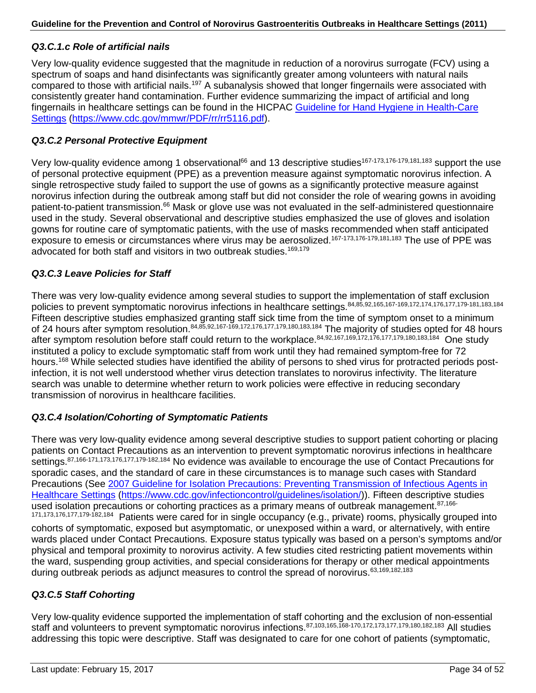### *Q3.C.1.c Role of artificial nails*

Very low-quality evidence suggested that the magnitude in reduction of a norovirus surrogate (FCV) using a spectrum of soaps and hand disinfectants was significantly greater among volunteers with natural nails compared to those with artificial nails.197 A subanalysis showed that longer fingernails were associated with consistently greater hand contamination. Further evidence summarizing the impact of artificial and long fingernails in healthcare settings can be found in the HICPAC [Guideline for Hand Hygiene in Health-Care](http://www.cdc.gov/mmwr/PDF/rr/rr5116.pdf)  [Settings](http://www.cdc.gov/mmwr/PDF/rr/rr5116.pdf) [\(https://www.cdc.gov/mmwr/PDF/rr/rr5116.pdf\)](https://www.cdc.gov/mmwr/PDF/rr/rr5116.pdf).

### *Q3.C.2 Personal Protective Equipment*

Very low-quality evidence among 1 observational<sup>66</sup> and 13 descriptive studies<sup>167-173,176-179,181,183</sup> support the use of personal protective equipment (PPE) as a prevention measure against symptomatic norovirus infection. A single retrospective study failed to support the use of gowns as a significantly protective measure against norovirus infection during the outbreak among staff but did not consider the role of wearing gowns in avoiding patient-to-patient transmission.<sup>66</sup> Mask or glove use was not evaluated in the self-administered questionnaire used in the study. Several observational and descriptive studies emphasized the use of gloves and isolation gowns for routine care of symptomatic patients, with the use of masks recommended when staff anticipated exposure to emesis or circumstances where virus may be aerosolized.<sup>167-173,176-179,181,183</sup> The use of PPE was advocated for both staff and visitors in two outbreak studies.<sup>169,179</sup>

### *Q3.C.3 Leave Policies for Staff*

There was very low-quality evidence among several studies to support the implementation of staff exclusion policies to prevent symptomatic norovirus infections in healthcare settings. 84,85,92,165,167-169,172,174,176,177,179-181,183,184 Fifteen descriptive studies emphasized granting staff sick time from the time of symptom onset to a minimum of 24 hours after symptom resolution.84,85,92,167-169,172,176,177,179,180,183,184 The majority of studies opted for 48 hours after symptom resolution before staff could return to the workplace.<sup>84,92,167,169,172,176,177,179,180,183,184</sup> One study instituted a policy to exclude symptomatic staff from work until they had remained symptom-free for 72 hours.<sup>168</sup> While selected studies have identified the ability of persons to shed virus for protracted periods postinfection, it is not well understood whether virus detection translates to norovirus infectivity. The literature search was unable to determine whether return to work policies were effective in reducing secondary transmission of norovirus in healthcare facilities.

### *Q3.C.4 Isolation/Cohorting of Symptomatic Patients*

There was very low-quality evidence among several descriptive studies to support patient cohorting or placing patients on Contact Precautions as an intervention to prevent symptomatic norovirus infections in healthcare settings.<sup>87,166-171,173,176,177,179-182,184</sup> No evidence was available to encourage the use of Contact Precautions for sporadic cases, and the standard of care in these circumstances is to manage such cases with Standard Precautions (See [2007 Guideline for Isolation Precautions: Preventing Transmission of Infectious Agents in](http://www.cdc.gov/hicpac/pdf/isolation/Isolation2007.pdf)  [Healthcare Settings](http://www.cdc.gov/hicpac/pdf/isolation/Isolation2007.pdf) [\(https://www.cdc.gov/infectioncontrol/guidelines/isolation/\)](https://www.cdc.gov/infectioncontrol/guidelines/isolation/)). Fifteen descriptive studies used isolation precautions or cohorting practices as a primary means of outbreak management.<sup>87,166-</sup> 171,173,176,177,179-182,184 Patients were cared for in single occupancy (e.g., private) rooms, physically grouped into cohorts of symptomatic, exposed but asymptomatic, or unexposed within a ward, or alternatively, with entire wards placed under Contact Precautions. Exposure status typically was based on a person's symptoms and/or physical and temporal proximity to norovirus activity. A few studies cited restricting patient movements within the ward, suspending group activities, and special considerations for therapy or other medical appointments during outbreak periods as adjunct measures to control the spread of norovirus.<sup>63,169,182,183</sup>

#### *Q3.C.5 Staff Cohorting*

Very low-quality evidence supported the implementation of staff cohorting and the exclusion of non-essential staff and volunteers to prevent symptomatic norovirus infections.87,103,165,168-170,172,173,177,179,180,182,183 All studies addressing this topic were descriptive. Staff was designated to care for one cohort of patients (symptomatic,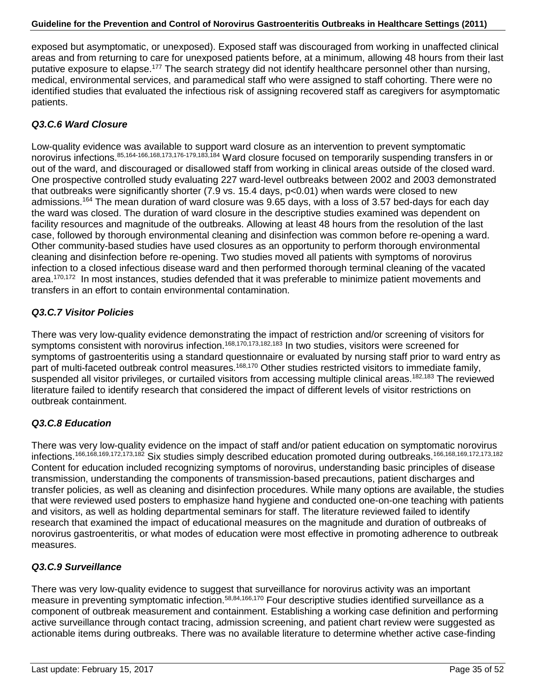exposed but asymptomatic, or unexposed). Exposed staff was discouraged from working in unaffected clinical areas and from returning to care for unexposed patients before, at a minimum, allowing 48 hours from their last putative exposure to elapse.<sup>177</sup> The search strategy did not identify healthcare personnel other than nursing, medical, environmental services, and paramedical staff who were assigned to staff cohorting. There were no identified studies that evaluated the infectious risk of assigning recovered staff as caregivers for asymptomatic patients.

### *Q3.C.6 Ward Closure*

Low-quality evidence was available to support ward closure as an intervention to prevent symptomatic norovirus infections.85,164-166,168,173,176-179,183,184 Ward closure focused on temporarily suspending transfers in or out of the ward, and discouraged or disallowed staff from working in clinical areas outside of the closed ward. One prospective controlled study evaluating 227 ward-level outbreaks between 2002 and 2003 demonstrated that outbreaks were significantly shorter (7.9 vs. 15.4 days, p<0.01) when wards were closed to new admissions.164 The mean duration of ward closure was 9.65 days, with a loss of 3.57 bed-days for each day the ward was closed. The duration of ward closure in the descriptive studies examined was dependent on facility resources and magnitude of the outbreaks. Allowing at least 48 hours from the resolution of the last case, followed by thorough environmental cleaning and disinfection was common before re-opening a ward. Other community-based studies have used closures as an opportunity to perform thorough environmental cleaning and disinfection before re-opening. Two studies moved all patients with symptoms of norovirus infection to a closed infectious disease ward and then performed thorough terminal cleaning of the vacated area.<sup>170,172</sup> In most instances, studies defended that it was preferable to minimize patient movements and transfers in an effort to contain environmental contamination.

### *Q3.C.7 Visitor Policies*

There was very low-quality evidence demonstrating the impact of restriction and/or screening of visitors for symptoms consistent with norovirus infection.<sup>168,170,173,182,183</sup> In two studies, visitors were screened for symptoms of gastroenteritis using a standard questionnaire or evaluated by nursing staff prior to ward entry as part of multi-faceted outbreak control measures.<sup>168,170</sup> Other studies restricted visitors to immediate family, suspended all visitor privileges, or curtailed visitors from accessing multiple clinical areas.<sup>182,183</sup> The reviewed literature failed to identify research that considered the impact of different levels of visitor restrictions on outbreak containment.

### *Q3.C.8 Education*

There was very low-quality evidence on the impact of staff and/or patient education on symptomatic norovirus infections.166,168,169,172,173,182 Six studies simply described education promoted during outbreaks.166,168,169,172,173,182 Content for education included recognizing symptoms of norovirus, understanding basic principles of disease transmission, understanding the components of transmission-based precautions, patient discharges and transfer policies, as well as cleaning and disinfection procedures. While many options are available, the studies that were reviewed used posters to emphasize hand hygiene and conducted one-on-one teaching with patients and visitors, as well as holding departmental seminars for staff. The literature reviewed failed to identify research that examined the impact of educational measures on the magnitude and duration of outbreaks of norovirus gastroenteritis, or what modes of education were most effective in promoting adherence to outbreak measures.

### *Q3.C.9 Surveillance*

There was very low-quality evidence to suggest that surveillance for norovirus activity was an important measure in preventing symptomatic infection.<sup>58,84,166,170</sup> Four descriptive studies identified surveillance as a component of outbreak measurement and containment. Establishing a working case definition and performing active surveillance through contact tracing, admission screening, and patient chart review were suggested as actionable items during outbreaks. There was no available literature to determine whether active case-finding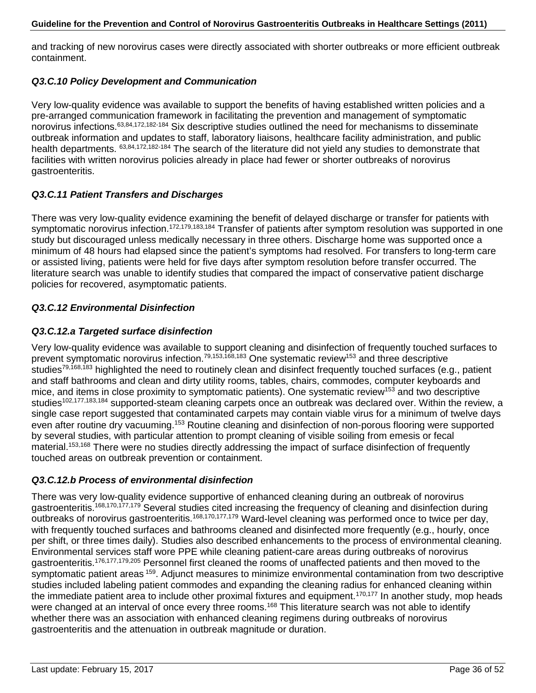and tracking of new norovirus cases were directly associated with shorter outbreaks or more efficient outbreak containment.

### *Q3.C.10 Policy Development and Communication*

Very low-quality evidence was available to support the benefits of having established written policies and a pre-arranged communication framework in facilitating the prevention and management of symptomatic norovirus infections.63,84,172,182-184 Six descriptive studies outlined the need for mechanisms to disseminate outbreak information and updates to staff, laboratory liaisons, healthcare facility administration, and public health departments. 63,84,172,182-184 The search of the literature did not yield any studies to demonstrate that facilities with written norovirus policies already in place had fewer or shorter outbreaks of norovirus gastroenteritis.

### *Q3.C.11 Patient Transfers and Discharges*

There was very low-quality evidence examining the benefit of delayed discharge or transfer for patients with symptomatic norovirus infection.<sup>172,179,183,184</sup> Transfer of patients after symptom resolution was supported in one study but discouraged unless medically necessary in three others. Discharge home was supported once a minimum of 48 hours had elapsed since the patient's symptoms had resolved. For transfers to long-term care or assisted living, patients were held for five days after symptom resolution before transfer occurred. The literature search was unable to identify studies that compared the impact of conservative patient discharge policies for recovered, asymptomatic patients.

### *Q3.C.12 Environmental Disinfection*

### *Q3.C.12.a Targeted surface disinfection*

Very low-quality evidence was available to support cleaning and disinfection of frequently touched surfaces to prevent symptomatic norovirus infection.79,153,168,183 One systematic review153 and three descriptive studies<sup>79,168,183</sup> highlighted the need to routinely clean and disinfect frequently touched surfaces (e.g., patient and staff bathrooms and clean and dirty utility rooms, tables, chairs, commodes, computer keyboards and mice, and items in close proximity to symptomatic patients). One systematic review<sup>153</sup> and two descriptive studies<sup>102,177,183,184</sup> supported-steam cleaning carpets once an outbreak was declared over. Within the review, a single case report suggested that contaminated carpets may contain viable virus for a minimum of twelve days even after routine dry vacuuming.<sup>153</sup> Routine cleaning and disinfection of non-porous flooring were supported by several studies, with particular attention to prompt cleaning of visible soiling from emesis or fecal material.<sup>153,168</sup> There were no studies directly addressing the impact of surface disinfection of frequently touched areas on outbreak prevention or containment.

### *Q3.C.12.b Process of environmental disinfection*

There was very low-quality evidence supportive of enhanced cleaning during an outbreak of norovirus gastroenteritis.<sup>168,170,177,179</sup> Several studies cited increasing the frequency of cleaning and disinfection during outbreaks of norovirus gastroenteritis.168,170,177,179 Ward-level cleaning was performed once to twice per day, with frequently touched surfaces and bathrooms cleaned and disinfected more frequently (e.g., hourly, once per shift, or three times daily). Studies also described enhancements to the process of environmental cleaning. Environmental services staff wore PPE while cleaning patient-care areas during outbreaks of norovirus gastroenteritis.176,177,179,205 Personnel first cleaned the rooms of unaffected patients and then moved to the symptomatic patient areas <sup>159</sup>. Adjunct measures to minimize environmental contamination from two descriptive studies included labeling patient commodes and expanding the cleaning radius for enhanced cleaning within the immediate patient area to include other proximal fixtures and equipment.170,177 In another study, mop heads were changed at an interval of once every three rooms.<sup>168</sup> This literature search was not able to identify whether there was an association with enhanced cleaning regimens during outbreaks of norovirus gastroenteritis and the attenuation in outbreak magnitude or duration.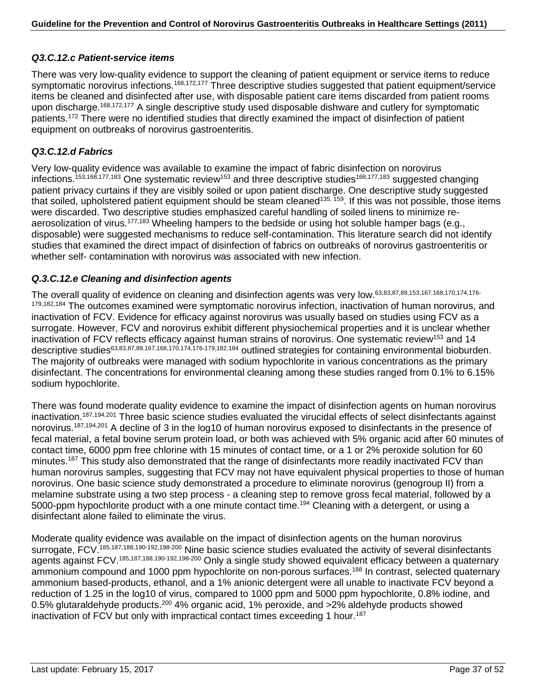### *Q3.C.12.c Patient-service items*

There was very low-quality evidence to support the cleaning of patient equipment or service items to reduce symptomatic norovirus infections.<sup>168,172,177</sup> Three descriptive studies suggested that patient equipment/service items be cleaned and disinfected after use, with disposable patient care items discarded from patient rooms upon discharge.<sup>168,172,177</sup> A single descriptive study used disposable dishware and cutlery for symptomatic patients.172 There were no identified studies that directly examined the impact of disinfection of patient equipment on outbreaks of norovirus gastroenteritis.

### *Q3.C.12.d Fabrics*

Very low-quality evidence was available to examine the impact of fabric disinfection on norovirus infections.<sup>153,168,177,183</sup> One systematic review<sup>153</sup> and three descriptive studies<sup>168,177,183</sup> suggested changing patient privacy curtains if they are visibly soiled or upon patient discharge. One descriptive study suggested that soiled, upholstered patient equipment should be steam cleaned<sup>135, 159</sup>. If this was not possible, those items were discarded. Two descriptive studies emphasized careful handling of soiled linens to minimize reaerosolization of virus.<sup>177,183</sup> Wheeling hampers to the bedside or using hot soluble hamper bags (e.g., disposable) were suggested mechanisms to reduce self-contamination. This literature search did not identify studies that examined the direct impact of disinfection of fabrics on outbreaks of norovirus gastroenteritis or whether self- contamination with norovirus was associated with new infection.

### *Q.3.C.12.e Cleaning and disinfection agents*

The overall quality of evidence on cleaning and disinfection agents was very low.63,83,87,89,153,167,168,170,174,176- 179,182,184 The outcomes examined were symptomatic norovirus infection, inactivation of human norovirus, and inactivation of FCV. Evidence for efficacy against norovirus was usually based on studies using FCV as a surrogate. However, FCV and norovirus exhibit different physiochemical properties and it is unclear whether inactivation of FCV reflects efficacy against human strains of norovirus. One systematic review<sup>153</sup> and 14 descriptive studies<sup>63,83,87,89,167,168,170,174,176-179,182,184</sup> outlined strategies for containing environmental bioburden. The majority of outbreaks were managed with sodium hypochlorite in various concentrations as the primary disinfectant. The concentrations for environmental cleaning among these studies ranged from 0.1% to 6.15% sodium hypochlorite.

There was found moderate quality evidence to examine the impact of disinfection agents on human norovirus inactivation.187,194,201 Three basic science studies evaluated the virucidal effects of select disinfectants against norovirus.<sup>187,194,201</sup> A decline of 3 in the log10 of human norovirus exposed to disinfectants in the presence of fecal material, a fetal bovine serum protein load, or both was achieved with 5% organic acid after 60 minutes of contact time, 6000 ppm free chlorine with 15 minutes of contact time, or a 1 or 2% peroxide solution for 60 minutes.<sup>187</sup> This study also demonstrated that the range of disinfectants more readily inactivated FCV than human norovirus samples, suggesting that FCV may not have equivalent physical properties to those of human norovirus. One basic science study demonstrated a procedure to eliminate norovirus (genogroup II) from a melamine substrate using a two step process - a cleaning step to remove gross fecal material, followed by a 5000-ppm hypochlorite product with a one minute contact time.<sup>194</sup> Cleaning with a detergent, or using a disinfectant alone failed to eliminate the virus.

Moderate quality evidence was available on the impact of disinfection agents on the human norovirus surrogate, FCV.<sup>185,187,188,190-192,198-200</sup> Nine basic science studies evaluated the activity of several disinfectants agents against FCV.185,187,188,190-192,198-200 Only a single study showed equivalent efficacy between a quaternary ammonium compound and 1000 ppm hypochlorite on non-porous surfaces.<sup>188</sup> In contrast, selected quaternary ammonium based-products, ethanol, and a 1% anionic detergent were all unable to inactivate FCV beyond a reduction of 1.25 in the log10 of virus, compared to 1000 ppm and 5000 ppm hypochlorite, 0.8% iodine, and 0.5% glutaraldehyde products.<sup>200</sup> 4% organic acid, 1% peroxide, and >2% aldehyde products showed inactivation of FCV but only with impractical contact times exceeding 1 hour.<sup>187</sup>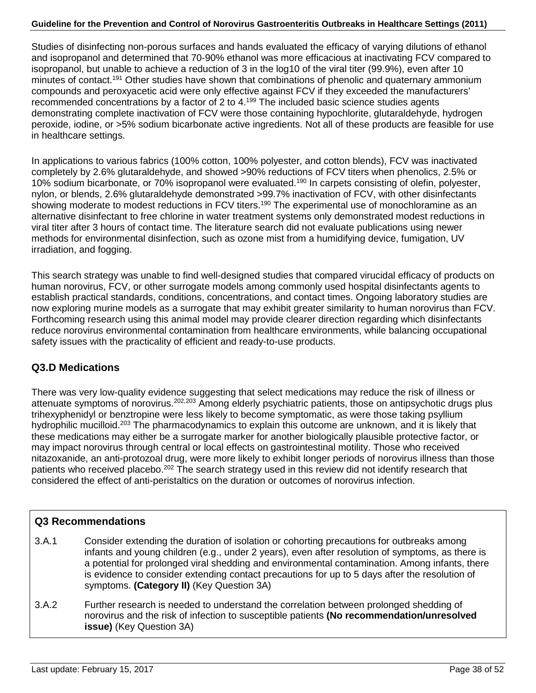Studies of disinfecting non-porous surfaces and hands evaluated the efficacy of varying dilutions of ethanol and isopropanol and determined that 70-90% ethanol was more efficacious at inactivating FCV compared to isopropanol, but unable to achieve a reduction of 3 in the log10 of the viral titer (99.9%), even after 10 minutes of contact.<sup>191</sup> Other studies have shown that combinations of phenolic and quaternary ammonium compounds and peroxyacetic acid were only effective against FCV if they exceeded the manufacturers' recommended concentrations by a factor of 2 to  $4.199$  The included basic science studies agents demonstrating complete inactivation of FCV were those containing hypochlorite, glutaraldehyde, hydrogen peroxide, iodine, or >5% sodium bicarbonate active ingredients. Not all of these products are feasible for use in healthcare settings.

In applications to various fabrics (100% cotton, 100% polyester, and cotton blends), FCV was inactivated completely by 2.6% glutaraldehyde, and showed >90% reductions of FCV titers when phenolics, 2.5% or 10% sodium bicarbonate, or 70% isopropanol were evaluated.<sup>190</sup> In carpets consisting of olefin, polyester, nylon, or blends, 2.6% glutaraldehyde demonstrated >99.7% inactivation of FCV, with other disinfectants showing moderate to modest reductions in FCV titers.<sup>190</sup> The experimental use of monochloramine as an alternative disinfectant to free chlorine in water treatment systems only demonstrated modest reductions in viral titer after 3 hours of contact time. The literature search did not evaluate publications using newer methods for environmental disinfection, such as ozone mist from a humidifying device, fumigation, UV irradiation, and fogging.

This search strategy was unable to find well-designed studies that compared virucidal efficacy of products on human norovirus, FCV, or other surrogate models among commonly used hospital disinfectants agents to establish practical standards, conditions, concentrations, and contact times. Ongoing laboratory studies are now exploring murine models as a surrogate that may exhibit greater similarity to human norovirus than FCV. Forthcoming research using this animal model may provide clearer direction regarding which disinfectants reduce norovirus environmental contamination from healthcare environments, while balancing occupational safety issues with the practicality of efficient and ready-to-use products.

### **Q3.D Medications**

There was very low-quality evidence suggesting that select medications may reduce the risk of illness or attenuate symptoms of norovirus.202,203 Among elderly psychiatric patients, those on antipsychotic drugs plus trihexyphenidyl or benztropine were less likely to become symptomatic, as were those taking psyllium hydrophilic mucilloid.<sup>203</sup> The pharmacodynamics to explain this outcome are unknown, and it is likely that these medications may either be a surrogate marker for another biologically plausible protective factor, or may impact norovirus through central or local effects on gastrointestinal motility. Those who received nitazoxanide, an anti-protozoal drug, were more likely to exhibit longer periods of norovirus illness than those patients who received placebo.<sup>202</sup> The search strategy used in this review did not identify research that considered the effect of anti-peristaltics on the duration or outcomes of norovirus infection.

### **Q3 Recommendations**

- 3.A.1 Consider extending the duration of isolation or cohorting precautions for outbreaks among infants and young children (e.g., under 2 years), even after resolution of symptoms, as there is a potential for prolonged viral shedding and environmental contamination. Among infants, there is evidence to consider extending contact precautions for up to 5 days after the resolution of symptoms. **(Category II)** (Key Question 3A)
- 3.A.2 Further research is needed to understand the correlation between prolonged shedding of norovirus and the risk of infection to susceptible patients **(No recommendation/unresolved issue)** (Key Question 3A)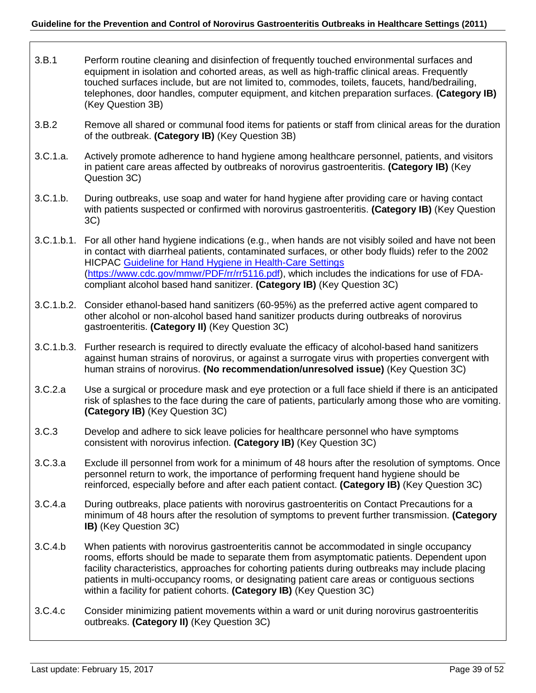- 3.B.1 Perform routine cleaning and disinfection of frequently touched environmental surfaces and equipment in isolation and cohorted areas, as well as high-traffic clinical areas. Frequently touched surfaces include, but are not limited to, commodes, toilets, faucets, hand/bedrailing, telephones, door handles, computer equipment, and kitchen preparation surfaces. **(Category IB)** (Key Question 3B)
- 3.B.2 Remove all shared or communal food items for patients or staff from clinical areas for the duration of the outbreak. **(Category IB)** (Key Question 3B)
- 3.C.1.a. Actively promote adherence to hand hygiene among healthcare personnel, patients, and visitors in patient care areas affected by outbreaks of norovirus gastroenteritis. **(Category IB)** (Key Question 3C)
- 3.C.1.b. During outbreaks, use soap and water for hand hygiene after providing care or having contact with patients suspected or confirmed with norovirus gastroenteritis. **(Category IB)** (Key Question 3C)
- 3.C.1.b.1. For all other hand hygiene indications (e.g., when hands are not visibly soiled and have not been in contact with diarrheal patients, contaminated surfaces, or other body fluids) refer to the 2002 HICPAC [Guideline for Hand Hygiene in Health-Care Settings](http://www.cdc.gov/mmwr/PDF/rr/rr5116.pdf) [\(https://www.cdc.gov/mmwr/PDF/rr/rr5116.pdf\)](https://www.cdc.gov/mmwr/PDF/rr/rr5116.pdf), which includes the indications for use of FDAcompliant alcohol based hand sanitizer. **(Category IB)** (Key Question 3C)
- 3.C.1.b.2. Consider ethanol-based hand sanitizers (60-95%) as the preferred active agent compared to other alcohol or non-alcohol based hand sanitizer products during outbreaks of norovirus gastroenteritis. **(Category II)** (Key Question 3C)
- 3.C.1.b.3. Further research is required to directly evaluate the efficacy of alcohol-based hand sanitizers against human strains of norovirus, or against a surrogate virus with properties convergent with human strains of norovirus. **(No recommendation/unresolved issue)** (Key Question 3C)
- 3.C.2.a Use a surgical or procedure mask and eye protection or a full face shield if there is an anticipated risk of splashes to the face during the care of patients, particularly among those who are vomiting. **(Category IB)** (Key Question 3C)
- 3.C.3 Develop and adhere to sick leave policies for healthcare personnel who have symptoms consistent with norovirus infection. **(Category IB)** (Key Question 3C)
- 3.C.3.a Exclude ill personnel from work for a minimum of 48 hours after the resolution of symptoms. Once personnel return to work, the importance of performing frequent hand hygiene should be reinforced, especially before and after each patient contact. **(Category IB)** (Key Question 3C)
- 3.C.4.a During outbreaks, place patients with norovirus gastroenteritis on Contact Precautions for a minimum of 48 hours after the resolution of symptoms to prevent further transmission. **(Category IB)** (Key Question 3C)
- 3.C.4.b When patients with norovirus gastroenteritis cannot be accommodated in single occupancy rooms, efforts should be made to separate them from asymptomatic patients. Dependent upon facility characteristics, approaches for cohorting patients during outbreaks may include placing patients in multi-occupancy rooms, or designating patient care areas or contiguous sections within a facility for patient cohorts. **(Category IB)** (Key Question 3C)
- 3.C.4.c Consider minimizing patient movements within a ward or unit during norovirus gastroenteritis outbreaks. **(Category II)** (Key Question 3C)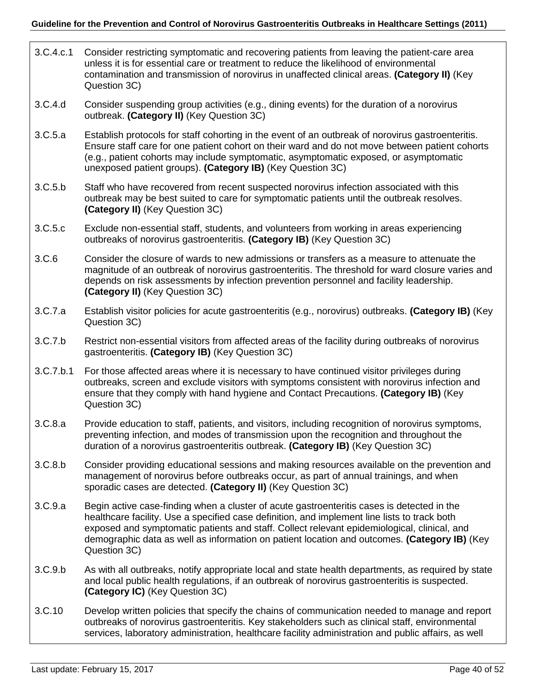- 3.C.4.c.1 Consider restricting symptomatic and recovering patients from leaving the patient-care area unless it is for essential care or treatment to reduce the likelihood of environmental contamination and transmission of norovirus in unaffected clinical areas. **(Category II)** (Key Question 3C)
- 3.C.4.d Consider suspending group activities (e.g., dining events) for the duration of a norovirus outbreak. **(Category II)** (Key Question 3C)
- 3.C.5.a Establish protocols for staff cohorting in the event of an outbreak of norovirus gastroenteritis. Ensure staff care for one patient cohort on their ward and do not move between patient cohorts (e.g., patient cohorts may include symptomatic, asymptomatic exposed, or asymptomatic unexposed patient groups). **(Category IB)** (Key Question 3C)
- 3.C.5.b Staff who have recovered from recent suspected norovirus infection associated with this outbreak may be best suited to care for symptomatic patients until the outbreak resolves. **(Category II)** (Key Question 3C)
- 3.C.5.c Exclude non-essential staff, students, and volunteers from working in areas experiencing outbreaks of norovirus gastroenteritis. **(Category IB)** (Key Question 3C)
- 3.C.6 Consider the closure of wards to new admissions or transfers as a measure to attenuate the magnitude of an outbreak of norovirus gastroenteritis. The threshold for ward closure varies and depends on risk assessments by infection prevention personnel and facility leadership. **(Category II)** (Key Question 3C)
- 3.C.7.a Establish visitor policies for acute gastroenteritis (e.g., norovirus) outbreaks. **(Category IB)** (Key Question 3C)
- 3.C.7.b Restrict non-essential visitors from affected areas of the facility during outbreaks of norovirus gastroenteritis. **(Category IB)** (Key Question 3C)
- 3.C.7.b.1 For those affected areas where it is necessary to have continued visitor privileges during outbreaks, screen and exclude visitors with symptoms consistent with norovirus infection and ensure that they comply with hand hygiene and Contact Precautions. **(Category IB)** (Key Question 3C)
- 3.C.8.a Provide education to staff, patients, and visitors, including recognition of norovirus symptoms, preventing infection, and modes of transmission upon the recognition and throughout the duration of a norovirus gastroenteritis outbreak. **(Category IB)** (Key Question 3C)
- 3.C.8.b Consider providing educational sessions and making resources available on the prevention and management of norovirus before outbreaks occur, as part of annual trainings, and when sporadic cases are detected. **(Category II)** (Key Question 3C)
- 3.C.9.a Begin active case-finding when a cluster of acute gastroenteritis cases is detected in the healthcare facility. Use a specified case definition, and implement line lists to track both exposed and symptomatic patients and staff. Collect relevant epidemiological, clinical, and demographic data as well as information on patient location and outcomes. **(Category IB)** (Key Question 3C)
- 3.C.9.b As with all outbreaks, notify appropriate local and state health departments, as required by state and local public health regulations, if an outbreak of norovirus gastroenteritis is suspected. **(Category IC)** (Key Question 3C)
- 3.C.10 Develop written policies that specify the chains of communication needed to manage and report outbreaks of norovirus gastroenteritis. Key stakeholders such as clinical staff, environmental services, laboratory administration, healthcare facility administration and public affairs, as well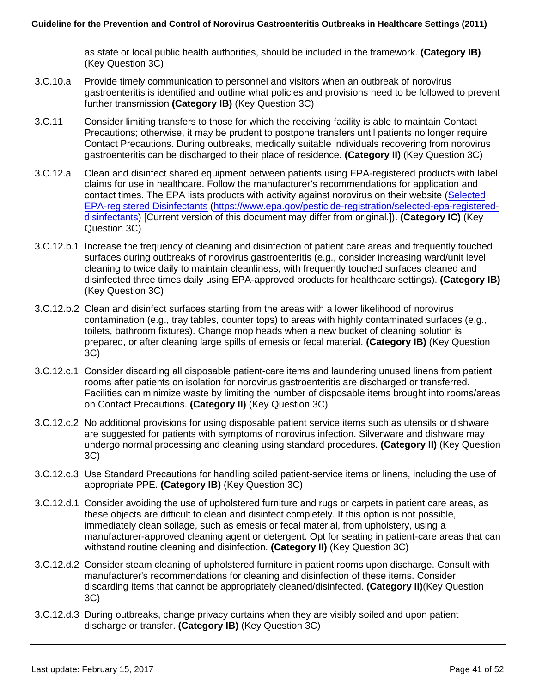as state or local public health authorities, should be included in the framework. **(Category IB)**  (Key Question 3C)

- 3.C.10.a Provide timely communication to personnel and visitors when an outbreak of norovirus gastroenteritis is identified and outline what policies and provisions need to be followed to prevent further transmission **(Category IB)** (Key Question 3C)
- 3.C.11 Consider limiting transfers to those for which the receiving facility is able to maintain Contact Precautions; otherwise, it may be prudent to postpone transfers until patients no longer require Contact Precautions. During outbreaks, medically suitable individuals recovering from norovirus gastroenteritis can be discharged to their place of residence. **(Category II)** (Key Question 3C)
- 3.C.12.a Clean and disinfect shared equipment between patients using EPA-registered products with label claims for use in healthcare. Follow the manufacturer's recommendations for application and contact times. The EPA lists products with activity against norovirus on their website [\(Selected](https://www.epa.gov/pesticide-registration/selected-epa-registered-disinfectants)  [EPA-registered Disinfectants \(https://www.epa.gov/pesticide-registration/selected-epa-registered](https://www.epa.gov/pesticide-registration/selected-epa-registered-disinfectants)[disinfectants\)](https://www.epa.gov/pesticide-registration/selected-epa-registered-disinfectants) [Current version of this document may differ from original.]). **(Category IC)** (Key Question 3C)
- 3.C.12.b.1 Increase the frequency of cleaning and disinfection of patient care areas and frequently touched surfaces during outbreaks of norovirus gastroenteritis (e.g., consider increasing ward/unit level cleaning to twice daily to maintain cleanliness, with frequently touched surfaces cleaned and disinfected three times daily using EPA-approved products for healthcare settings). **(Category IB)** (Key Question 3C)
- 3.C.12.b.2 Clean and disinfect surfaces starting from the areas with a lower likelihood of norovirus contamination (e.g., tray tables, counter tops) to areas with highly contaminated surfaces (e.g., toilets, bathroom fixtures). Change mop heads when a new bucket of cleaning solution is prepared, or after cleaning large spills of emesis or fecal material. **(Category IB)** (Key Question 3C)
- 3.C.12.c.1 Consider discarding all disposable patient-care items and laundering unused linens from patient rooms after patients on isolation for norovirus gastroenteritis are discharged or transferred. Facilities can minimize waste by limiting the number of disposable items brought into rooms/areas on Contact Precautions. **(Category II)** (Key Question 3C)
- 3.C.12.c.2 No additional provisions for using disposable patient service items such as utensils or dishware are suggested for patients with symptoms of norovirus infection. Silverware and dishware may undergo normal processing and cleaning using standard procedures. **(Category II)** (Key Question 3C)
- 3.C.12.c.3 Use Standard Precautions for handling soiled patient-service items or linens, including the use of appropriate PPE. **(Category IB)** (Key Question 3C)
- 3.C.12.d.1 Consider avoiding the use of upholstered furniture and rugs or carpets in patient care areas, as these objects are difficult to clean and disinfect completely. If this option is not possible, immediately clean soilage, such as emesis or fecal material, from upholstery, using a manufacturer-approved cleaning agent or detergent. Opt for seating in patient-care areas that can withstand routine cleaning and disinfection. **(Category II)** (Key Question 3C)
- 3.C.12.d.2 Consider steam cleaning of upholstered furniture in patient rooms upon discharge. Consult with manufacturer's recommendations for cleaning and disinfection of these items. Consider discarding items that cannot be appropriately cleaned/disinfected. **(Category II)**(Key Question 3C)
- 3.C.12.d.3 During outbreaks, change privacy curtains when they are visibly soiled and upon patient discharge or transfer. **(Category IB)** (Key Question 3C)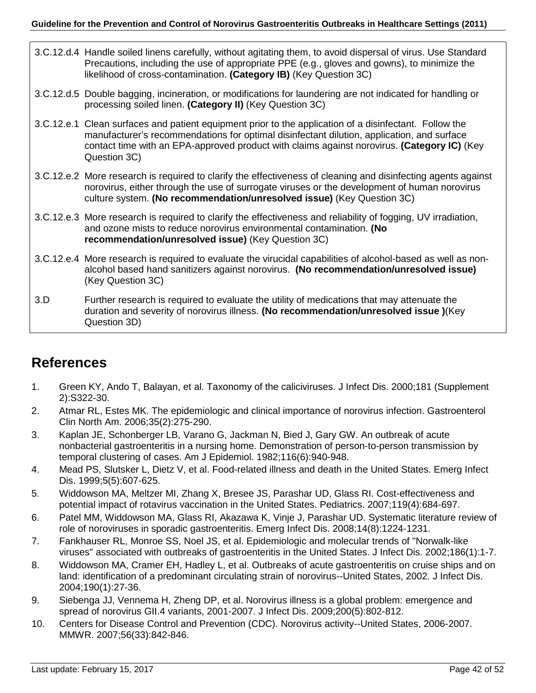- 3.C.12.d.4 Handle soiled linens carefully, without agitating them, to avoid dispersal of virus. Use Standard Precautions, including the use of appropriate PPE (e.g., gloves and gowns), to minimize the likelihood of cross-contamination. **(Category IB)** (Key Question 3C)
- 3.C.12.d.5 Double bagging, incineration, or modifications for laundering are not indicated for handling or processing soiled linen. **(Category II)** (Key Question 3C)
- 3.C.12.e.1 Clean surfaces and patient equipment prior to the application of a disinfectant. Follow the manufacturer's recommendations for optimal disinfectant dilution, application, and surface contact time with an EPA-approved product with claims against norovirus. **(Category IC)** (Key Question 3C)
- 3.C.12.e.2 More research is required to clarify the effectiveness of cleaning and disinfecting agents against norovirus, either through the use of surrogate viruses or the development of human norovirus culture system. **(No recommendation/unresolved issue)** (Key Question 3C)
- 3.C.12.e.3 More research is required to clarify the effectiveness and reliability of fogging, UV irradiation, and ozone mists to reduce norovirus environmental contamination. **(No recommendation/unresolved issue)** (Key Question 3C)
- 3.C.12.e.4 More research is required to evaluate the virucidal capabilities of alcohol-based as well as nonalcohol based hand sanitizers against norovirus. **(No recommendation/unresolved issue)**  (Key Question 3C)
- 3.D Further research is required to evaluate the utility of medications that may attenuate the duration and severity of norovirus illness. **(No recommendation/unresolved issue )**(Key Question 3D)

# <span id="page-41-0"></span>**References**

- 1. Green KY, Ando T, Balayan, et al. Taxonomy of the caliciviruses. J Infect Dis. 2000;181 (Supplement 2):S322-30.
- 2. Atmar RL, Estes MK. The epidemiologic and clinical importance of norovirus infection. Gastroenterol Clin North Am. 2006;35(2):275-290.
- 3. Kaplan JE, Schonberger LB, Varano G, Jackman N, Bied J, Gary GW. An outbreak of acute nonbacterial gastroenteritis in a nursing home. Demonstration of person-to-person transmission by temporal clustering of cases. Am J Epidemiol. 1982;116(6):940-948.
- 4. Mead PS, Slutsker L, Dietz V, et al. Food-related illness and death in the United States. Emerg Infect Dis. 1999;5(5):607-625.
- 5. Widdowson MA, Meltzer MI, Zhang X, Bresee JS, Parashar UD, Glass RI. Cost-effectiveness and potential impact of rotavirus vaccination in the United States. Pediatrics. 2007;119(4):684-697.
- 6. Patel MM, Widdowson MA, Glass RI, Akazawa K, Vinje J, Parashar UD. Systematic literature review of role of noroviruses in sporadic gastroenteritis. Emerg Infect Dis. 2008;14(8):1224-1231.
- 7. Fankhauser RL, Monroe SS, Noel JS, et al. Epidemiologic and molecular trends of "Norwalk-like viruses" associated with outbreaks of gastroenteritis in the United States. J Infect Dis. 2002;186(1):1-7.
- 8. Widdowson MA, Cramer EH, Hadley L, et al. Outbreaks of acute gastroenteritis on cruise ships and on land: identification of a predominant circulating strain of norovirus--United States, 2002. J Infect Dis. 2004;190(1):27-36.
- 9. Siebenga JJ, Vennema H, Zheng DP, et al. Norovirus illness is a global problem: emergence and spread of norovirus GII.4 variants, 2001-2007. J Infect Dis. 2009;200(5):802-812.
- 10. Centers for Disease Control and Prevention (CDC). Norovirus activity--United States, 2006-2007. MMWR. 2007;56(33):842-846.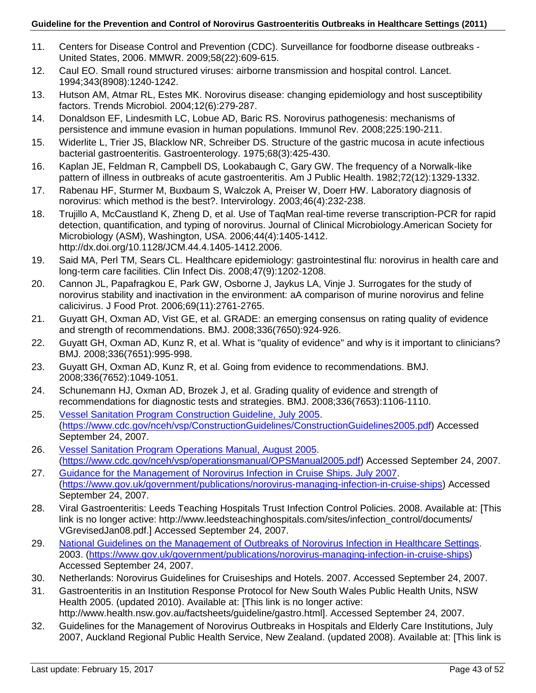- 11. Centers for Disease Control and Prevention (CDC). Surveillance for foodborne disease outbreaks United States, 2006. MMWR. 2009;58(22):609-615.
- 12. Caul EO. Small round structured viruses: airborne transmission and hospital control. Lancet. 1994;343(8908):1240-1242.
- 13. Hutson AM, Atmar RL, Estes MK. Norovirus disease: changing epidemiology and host susceptibility factors. Trends Microbiol. 2004;12(6):279-287.
- 14. Donaldson EF, Lindesmith LC, Lobue AD, Baric RS. Norovirus pathogenesis: mechanisms of persistence and immune evasion in human populations. Immunol Rev. 2008;225:190-211.
- 15. Widerlite L, Trier JS, Blacklow NR, Schreiber DS. Structure of the gastric mucosa in acute infectious bacterial gastroenteritis. Gastroenterology. 1975;68(3):425-430.
- 16. Kaplan JE, Feldman R, Campbell DS, Lookabaugh C, Gary GW. The frequency of a Norwalk-like pattern of illness in outbreaks of acute gastroenteritis. Am J Public Health. 1982;72(12):1329-1332.
- 17. Rabenau HF, Sturmer M, Buxbaum S, Walczok A, Preiser W, Doerr HW. Laboratory diagnosis of norovirus: which method is the best?. Intervirology. 2003;46(4):232-238.
- 18. Trujillo A, McCaustland K, Zheng D, et al. Use of TaqMan real-time reverse transcription-PCR for rapid detection, quantification, and typing of norovirus. Journal of Clinical Microbiology.American Society for Microbiology (ASM), Washington, USA. 2006;44(4):1405-1412. http://dx.doi.org/10.1128/JCM.44.4.1405-1412.2006.
- 19. Said MA, Perl TM, Sears CL. Healthcare epidemiology: gastrointestinal flu: norovirus in health care and long-term care facilities. Clin Infect Dis. 2008;47(9):1202-1208.
- 20. Cannon JL, Papafragkou E, Park GW, Osborne J, Jaykus LA, Vinje J. Surrogates for the study of norovirus stability and inactivation in the environment: aA comparison of murine norovirus and feline calicivirus. J Food Prot. 2006;69(11):2761-2765.
- 21. Guyatt GH, Oxman AD, Vist GE, et al. GRADE: an emerging consensus on rating quality of evidence and strength of recommendations. BMJ. 2008;336(7650):924-926.
- 22. Guyatt GH, Oxman AD, Kunz R, et al. What is "quality of evidence" and why is it important to clinicians? BMJ. 2008;336(7651):995-998.
- 23. Guyatt GH, Oxman AD, Kunz R, et al. Going from evidence to recommendations. BMJ. 2008;336(7652):1049-1051.
- 24. Schunemann HJ, Oxman AD, Brozek J, et al. Grading quality of evidence and strength of recommendations for diagnostic tests and strategies. BMJ. 2008;336(7653):1106-1110.
- 25. [Vessel Sanitation Program Construction Guideline, July 2005.](http://www.cdc.gov/nceh/vsp/ConstructionGuidelines/ConstructionGuidelines2005.pdf) [\(https://www.cdc.gov/nceh/vsp/ConstructionGuidelines/ConstructionGuidelines2005.pdf\)](https://www.cdc.gov/nceh/vsp/ConstructionGuidelines/ConstructionGuidelines2005.pdf) Accessed September 24, 2007.
- 26. [Vessel Sanitation Program Operations Manual, August 2005.](http://www.cdc.gov/nceh/vsp/operationsmanual/OPSManual2005.pdf) [\(https://www.cdc.gov/nceh/vsp/operationsmanual/OPSManual2005.pdf\)](https://www.cdc.gov/nceh/vsp/operationsmanual/OPSManual2005.pdf) Accessed September 24, 2007.
- 27. [Guidance for the Management of Norovirus Infection in Cruise Ships. July 2007.](https://www.gov.uk/government/publications/norovirus-managing-infection-in-cruise-ships) [\(https://www.gov.uk/government/publications/norovirus-managing-infection-in-cruise-ships\)](https://www.gov.uk/government/publications/norovirus-managing-infection-in-cruise-ships) Accessed September 24, 2007.
- 28. Viral Gastroenteritis: Leeds Teaching Hospitals Trust Infection Control Policies. 2008. Available at: [This link is no longer active: http://www.leedsteachinghospitals.com/sites/infection\_control/documents/ VGrevisedJan08.pdf.] Accessed September 24, 2007.
- 29. [National Guidelines on the Management of Outbreaks of Norovirus Infection in Healthcare Settings.](http://www.hpsc.ie/A-Z/Gastroenteric/ViralGastroenteritis/Publications/File,1194,en.pdf) 2003. [\(https://www.gov.uk/government/publications/norovirus-managing-infection-in-cruise-ships\)](https://www.gov.uk/government/publications/norovirus-managing-infection-in-cruise-ships) Accessed September 24, 2007.
- 30. Netherlands: Norovirus Guidelines for Cruiseships and Hotels. 2007. Accessed September 24, 2007.
- 31. Gastroenteritis in an Institution Response Protocol for New South Wales Public Health Units, NSW Health 2005. (updated 2010). Available at: [This link is no longer active: http://www.health.nsw.gov.au/factsheets/guideline/gastro.html]. Accessed September 24, 2007.
- 32. Guidelines for the Management of Norovirus Outbreaks in Hospitals and Elderly Care Institutions, July
- 2007, Auckland Regional Public Health Service, New Zealand. (updated 2008). Available at: [This link is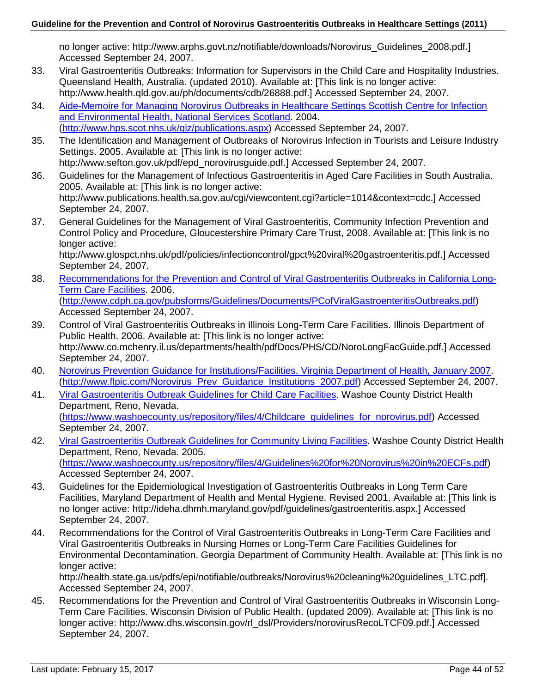no longer active: http://www.arphs.govt.nz/notifiable/downloads/Norovirus\_Guidelines\_2008.pdf.] Accessed September 24, 2007.

- 33. Viral Gastroenteritis Outbreaks: Information for Supervisors in the Child Care and Hospitality Industries. Queensland Health, Australia. (updated 2010). Available at: [This link is no longer active: http://www.health.qld.gov.au/ph/documents/cdb/26888.pdf.] Accessed September 24, 2007.
- 34. [Aide-Memoire for Managing Norovirus Outbreaks in Healthcare Settings Scottish Centre for Infection](http://www.hps.scot.nhs.uk/giz/publicationsdetail.aspx?id=22582)  [and Environmental Health, National Services Scotland.](http://www.hps.scot.nhs.uk/giz/publicationsdetail.aspx?id=22582) 2004. [\(http://www.hps.scot.nhs.uk/giz/publications.aspx\)](http://www.hps.scot.nhs.uk/giz/publications.aspx) Accessed September 24, 2007.
- 35. The Identification and Management of Outbreaks of Norovirus Infection in Tourists and Leisure Industry Settings. 2005. Available at: [This link is no longer active: http://www.sefton.gov.uk/pdf/epd\_norovirusguide.pdf.] Accessed September 24, 2007.
- 36. Guidelines for the Management of Infectious Gastroenteritis in Aged Care Facilities in South Australia. 2005. Available at: [This link is no longer active: http://www.publications.health.sa.gov.au/cgi/viewcontent.cgi?article=1014&context=cdc.] Accessed September 24, 2007.
- 37. General Guidelines for the Management of Viral Gastroenteritis, Community Infection Prevention and Control Policy and Procedure, Gloucestershire Primary Care Trust, 2008. Available at: [This link is no longer active:

http://www.glospct.nhs.uk/pdf/policies/infectioncontrol/gpct%20viral%20gastroenteritis.pdf.] Accessed September 24, 2007.

- 38. Recommendations for the [Prevention and Control of Viral Gastroenteritis Outbreaks in California Long-](http://www.cdph.ca.gov/pubsforms/Guidelines/Documents/PCofViralGastroenteritisOutbreaks.pdf)[Term Care Facilities.](http://www.cdph.ca.gov/pubsforms/Guidelines/Documents/PCofViralGastroenteritisOutbreaks.pdf) 2006. [\(http://www.cdph.ca.gov/pubsforms/Guidelines/Documents/PCofViralGastroenteritisOutbreaks.pdf\)](http://www.cdph.ca.gov/pubsforms/Guidelines/Documents/PCofViralGastroenteritisOutbreaks.pdf) Accessed September 24, 2007.
- 39. Control of Viral Gastroenteritis Outbreaks in Illinois Long-Term Care Facilities. Illinois Department of Public Health. 2006. Available at: [This link is no longer active: http://www.co.mchenry.il.us/departments/health/pdfDocs/PHS/CD/NoroLongFacGuide.pdf.] Accessed September 24, 2007.
- 40. [Norovirus Prevention Guidance for Institutions/Facilities. Virginia Department of Health, January 2007.](http://www.flpic.com/Norovirus_Prev_Guidance_Institutions_2007.pdf) [\(http://www.flpic.com/Norovirus\\_Prev\\_Guidance\\_Institutions\\_2007.pdf\)](http://www.flpic.com/Norovirus_Prev_Guidance_Institutions_2007.pdf) Accessed September 24, 2007.
- 41. [Viral Gastroenteritis Outbreak Guidelines for Child Care Facilities.](http://www.co.washoe.nv.us/repository/files/4/Childcare_guidelines_for_norovirus.pdf) Washoe County District Health Department, Reno, Nevada. [\(https://www.washoecounty.us/repository/files/4/Childcare\\_guidelines\\_for\\_norovirus.pdf\)](https://www.washoecounty.us/repository/files/4/Childcare_guidelines_for_norovirus.pdf) Accessed September 24, 2007.
- 42. [Viral Gastroenteritis Outbreak Guidelines for Community Living Facilities.](http://www.co.washoe.nv.us/repository/files/4/Guidelines%20for%20Norovirus%20in%20ECFs.pdf) Washoe County District Health Department, Reno, Nevada. 2005. [\(https://www.washoecounty.us/repository/files/4/Guidelines%20for%20Norovirus%20in%20ECFs.pdf\)](https://www.washoecounty.us/repository/files/4/Guidelines%20for%20Norovirus%20in%20ECFs.pdf) Accessed September 24, 2007.
- 43. Guidelines for the Epidemiological Investigation of Gastroenteritis Outbreaks in Long Term Care Facilities, Maryland Department of Health and Mental Hygiene. Revised 2001. Available at: [This link is no longer active: http://ideha.dhmh.maryland.gov/pdf/guidelines/gastroenteritis.aspx.] Accessed September 24, 2007.
- 44. Recommendations for the Control of Viral Gastroenteritis Outbreaks in Long-Term Care Facilities and Viral Gastroenteritis Outbreaks in Nursing Homes or Long-Term Care Facilities Guidelines for Environmental Decontamination. Georgia Department of Community Health. Available at: [This link is no longer active:

http://health.state.ga.us/pdfs/epi/notifiable/outbreaks/Norovirus%20cleaning%20guidelines\_LTC.pdf]. Accessed September 24, 2007.

45. Recommendations for the Prevention and Control of Viral Gastroenteritis Outbreaks in Wisconsin Long-Term Care Facilities. Wisconsin Division of Public Health. (updated 2009). Available at: [This link is no longer active: http://www.dhs.wisconsin.gov/rl\_dsl/Providers/norovirusRecoLTCF09.pdf.] Accessed September 24, 2007.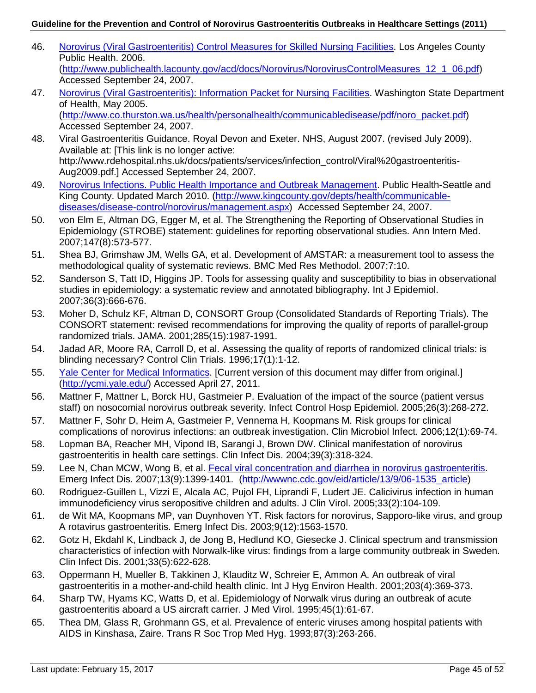- 46. [Norovirus \(Viral Gastroenteritis\) Control Measures for Skilled Nursing Facilities.](http://www.publichealth.lacounty.gov/acd/docs/Norovirus/NorovirusControlMeasures_12_1_06.pdf) Los Angeles County Public Health. 2006. [\(http://www.publichealth.lacounty.gov/acd/docs/Norovirus/NorovirusControlMeasures\\_12\\_1\\_06.pdf\)](http://www.publichealth.lacounty.gov/acd/docs/Norovirus/NorovirusControlMeasures_12_1_06.pdf) Accessed September 24, 2007.
- 47. [Norovirus \(Viral Gastroenteritis\): Information Packet for Nursing Facilities.](http://www.co.thurston.wa.us/health/personalhealth/communicabledisease/pdf/noro_packet.pdf) Washington State Department of Health, May 2005. [\(http://www.co.thurston.wa.us/health/personalhealth/communicabledisease/pdf/noro\\_packet.pdf\)](http://www.co.thurston.wa.us/health/personalhealth/communicabledisease/pdf/noro_packet.pdf) Accessed September 24, 2007.
- 48. Viral Gastroenteritis Guidance. Royal Devon and Exeter. NHS, August 2007. (revised July 2009). Available at: [This link is no longer active: http://www.rdehospital.nhs.uk/docs/patients/services/infection\_control/Viral%20gastroenteritis-Aug2009.pdf.] Accessed September 24, 2007.
- 49. [Norovirus Infections. Public Health Importance and Outbreak Management.](http://www.kingcounty.gov/healthservices/health/communicable/diseases/NorovirusControl.aspx) Public Health-Seattle and King County. Updated March 2010. [\(http://www.kingcounty.gov/depts/health/communicable](http://www.kingcounty.gov/depts/health/communicable-diseases/disease-control/norovirus/management.aspx)[diseases/disease-control/norovirus/management.aspx\)](http://www.kingcounty.gov/depts/health/communicable-diseases/disease-control/norovirus/management.aspx) Accessed September 24, 2007.
- 50. von Elm E, Altman DG, Egger M, et al. The Strengthening the Reporting of Observational Studies in Epidemiology (STROBE) statement: guidelines for reporting observational studies. Ann Intern Med. 2007;147(8):573-577.
- 51. Shea BJ, Grimshaw JM, Wells GA, et al. Development of AMSTAR: a measurement tool to assess the methodological quality of systematic reviews. BMC Med Res Methodol. 2007;7:10.
- 52. Sanderson S, Tatt ID, Higgins JP. Tools for assessing quality and susceptibility to bias in observational studies in epidemiology: a systematic review and annotated bibliography. Int J Epidemiol. 2007;36(3):666-676.
- 53. Moher D, Schulz KF, Altman D, CONSORT Group (Consolidated Standards of Reporting Trials). The CONSORT statement: revised recommendations for improving the quality of reports of parallel-group randomized trials. JAMA. 2001;285(15):1987-1991.
- 54. Jadad AR, Moore RA, Carroll D, et al. Assessing the quality of reports of randomized clinical trials: is blinding necessary? Control Clin Trials. 1996;17(1):1-12.
- 55. [Yale Center for Medical Informatics.](http://ycmi.med.yale.edu/) [Current version of this document may differ from original.] [\(http://ycmi.yale.edu/\)](http://ycmi.yale.edu/) Accessed April 27, 2011.
- 56. Mattner F, Mattner L, Borck HU, Gastmeier P. Evaluation of the impact of the source (patient versus staff) on nosocomial norovirus outbreak severity. Infect Control Hosp Epidemiol. 2005;26(3):268-272.
- 57. Mattner F, Sohr D, Heim A, Gastmeier P, Vennema H, Koopmans M. Risk groups for clinical complications of norovirus infections: an outbreak investigation. Clin Microbiol Infect. 2006;12(1):69-74.
- 58. Lopman BA, Reacher MH, Vipond IB, Sarangi J, Brown DW. Clinical manifestation of norovirus gastroenteritis in health care settings. Clin Infect Dis. 2004;39(3):318-324.
- 59. Lee N, Chan MCW, Wong B, et al. [Fecal viral concentration and diarrhea in norovirus gastroenteritis.](http://wwwnc.cdc.gov/eid/article/13/9/06-1535_article) Emerg Infect Dis. 2007;13(9):1399-1401. [\(http://wwwnc.cdc.gov/eid/article/13/9/06-1535\\_article\)](http://wwwnc.cdc.gov/eid/article/13/9/06-1535_article)
- 60. Rodriguez-Guillen L, Vizzi E, Alcala AC, Pujol FH, Liprandi F, Ludert JE. Calicivirus infection in human immunodeficiency virus seropositive children and adults. J Clin Virol. 2005;33(2):104-109.
- 61. de Wit MA, Koopmans MP, van Duynhoven YT. Risk factors for norovirus, Sapporo-like virus, and group A rotavirus gastroenteritis. Emerg Infect Dis. 2003;9(12):1563-1570.
- 62. Gotz H, Ekdahl K, Lindback J, de Jong B, Hedlund KO, Giesecke J. Clinical spectrum and transmission characteristics of infection with Norwalk-like virus: findings from a large community outbreak in Sweden. Clin Infect Dis. 2001;33(5):622-628.
- 63. Oppermann H, Mueller B, Takkinen J, Klauditz W, Schreier E, Ammon A. An outbreak of viral gastroenteritis in a mother-and-child health clinic. Int J Hyg Environ Health. 2001;203(4):369-373.
- 64. Sharp TW, Hyams KC, Watts D, et al. Epidemiology of Norwalk virus during an outbreak of acute gastroenteritis aboard a US aircraft carrier. J Med Virol. 1995;45(1):61-67.
- 65. Thea DM, Glass R, Grohmann GS, et al. Prevalence of enteric viruses among hospital patients with AIDS in Kinshasa, Zaire. Trans R Soc Trop Med Hyg. 1993;87(3):263-266.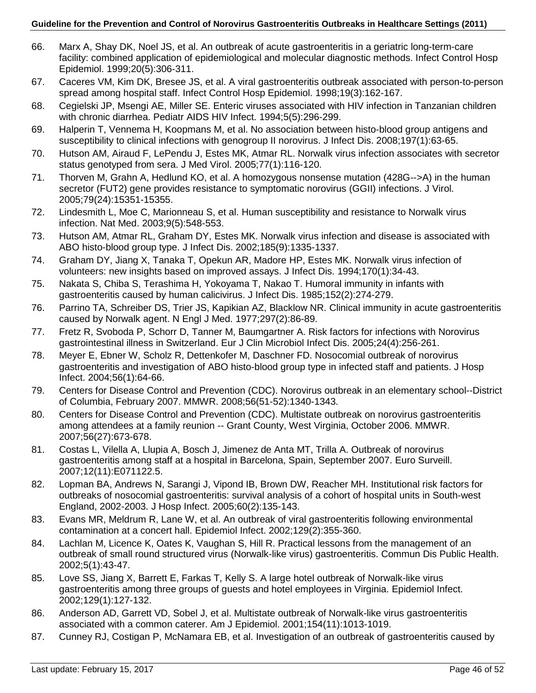- 66. Marx A, Shay DK, Noel JS, et al. An outbreak of acute gastroenteritis in a geriatric long-term-care facility: combined application of epidemiological and molecular diagnostic methods. Infect Control Hosp Epidemiol. 1999;20(5):306-311.
- 67. Caceres VM, Kim DK, Bresee JS, et al. A viral gastroenteritis outbreak associated with person-to-person spread among hospital staff. Infect Control Hosp Epidemiol. 1998;19(3):162-167.
- 68. Cegielski JP, Msengi AE, Miller SE. Enteric viruses associated with HIV infection in Tanzanian children with chronic diarrhea. Pediatr AIDS HIV Infect. 1994;5(5):296-299.
- 69. Halperin T, Vennema H, Koopmans M, et al. No association between histo-blood group antigens and susceptibility to clinical infections with genogroup II norovirus. J Infect Dis. 2008;197(1):63-65.
- 70. Hutson AM, Airaud F, LePendu J, Estes MK, Atmar RL. Norwalk virus infection associates with secretor status genotyped from sera. J Med Virol. 2005;77(1):116-120.
- 71. Thorven M, Grahn A, Hedlund KO, et al. A homozygous nonsense mutation (428G-->A) in the human secretor (FUT2) gene provides resistance to symptomatic norovirus (GGII) infections. J Virol. 2005;79(24):15351-15355.
- 72. Lindesmith L, Moe C, Marionneau S, et al. Human susceptibility and resistance to Norwalk virus infection. Nat Med. 2003;9(5):548-553.
- 73. Hutson AM, Atmar RL, Graham DY, Estes MK. Norwalk virus infection and disease is associated with ABO histo-blood group type. J Infect Dis. 2002;185(9):1335-1337.
- 74. Graham DY, Jiang X, Tanaka T, Opekun AR, Madore HP, Estes MK. Norwalk virus infection of volunteers: new insights based on improved assays. J Infect Dis. 1994;170(1):34-43.
- 75. Nakata S, Chiba S, Terashima H, Yokoyama T, Nakao T. Humoral immunity in infants with gastroenteritis caused by human calicivirus. J Infect Dis. 1985;152(2):274-279.
- 76. Parrino TA, Schreiber DS, Trier JS, Kapikian AZ, Blacklow NR. Clinical immunity in acute gastroenteritis caused by Norwalk agent. N Engl J Med. 1977;297(2):86-89.
- 77. Fretz R, Svoboda P, Schorr D, Tanner M, Baumgartner A. Risk factors for infections with Norovirus gastrointestinal illness in Switzerland. Eur J Clin Microbiol Infect Dis. 2005;24(4):256-261.
- 78. Meyer E, Ebner W, Scholz R, Dettenkofer M, Daschner FD. Nosocomial outbreak of norovirus gastroenteritis and investigation of ABO histo-blood group type in infected staff and patients. J Hosp Infect. 2004;56(1):64-66.
- 79. Centers for Disease Control and Prevention (CDC). Norovirus outbreak in an elementary school--District of Columbia, February 2007. MMWR. 2008;56(51-52):1340-1343.
- 80. Centers for Disease Control and Prevention (CDC). Multistate outbreak on norovirus gastroenteritis among attendees at a family reunion -- Grant County, West Virginia, October 2006. MMWR. 2007;56(27):673-678.
- 81. Costas L, Vilella A, Llupia A, Bosch J, Jimenez de Anta MT, Trilla A. Outbreak of norovirus gastroenteritis among staff at a hospital in Barcelona, Spain, September 2007. Euro Surveill. 2007;12(11):E071122.5.
- 82. Lopman BA, Andrews N, Sarangi J, Vipond IB, Brown DW, Reacher MH. Institutional risk factors for outbreaks of nosocomial gastroenteritis: survival analysis of a cohort of hospital units in South-west England, 2002-2003. J Hosp Infect. 2005;60(2):135-143.
- 83. Evans MR, Meldrum R, Lane W, et al. An outbreak of viral gastroenteritis following environmental contamination at a concert hall. Epidemiol Infect. 2002;129(2):355-360.
- 84. Lachlan M, Licence K, Oates K, Vaughan S, Hill R. Practical lessons from the management of an outbreak of small round structured virus (Norwalk-like virus) gastroenteritis. Commun Dis Public Health. 2002;5(1):43-47.
- 85. Love SS, Jiang X, Barrett E, Farkas T, Kelly S. A large hotel outbreak of Norwalk-like virus gastroenteritis among three groups of guests and hotel employees in Virginia. Epidemiol Infect. 2002;129(1):127-132.
- 86. Anderson AD, Garrett VD, Sobel J, et al. Multistate outbreak of Norwalk-like virus gastroenteritis associated with a common caterer. Am J Epidemiol. 2001;154(11):1013-1019.
- 87. Cunney RJ, Costigan P, McNamara EB, et al. Investigation of an outbreak of gastroenteritis caused by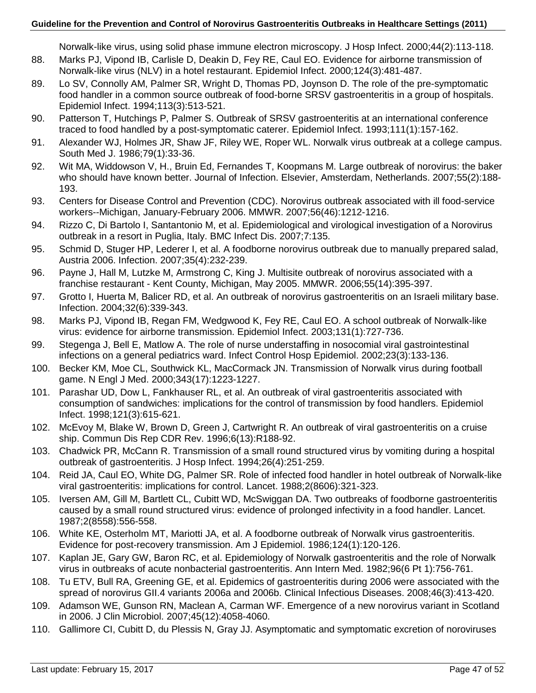Norwalk-like virus, using solid phase immune electron microscopy. J Hosp Infect. 2000;44(2):113-118.

- 88. Marks PJ, Vipond IB, Carlisle D, Deakin D, Fey RE, Caul EO. Evidence for airborne transmission of Norwalk-like virus (NLV) in a hotel restaurant. Epidemiol Infect. 2000;124(3):481-487.
- 89. Lo SV, Connolly AM, Palmer SR, Wright D, Thomas PD, Joynson D, The role of the pre-symptomatic food handler in a common source outbreak of food-borne SRSV gastroenteritis in a group of hospitals. Epidemiol Infect. 1994;113(3):513-521.
- 90. Patterson T, Hutchings P, Palmer S. Outbreak of SRSV gastroenteritis at an international conference traced to food handled by a post-symptomatic caterer. Epidemiol Infect. 1993;111(1):157-162.
- 91. Alexander WJ, Holmes JR, Shaw JF, Riley WE, Roper WL. Norwalk virus outbreak at a college campus. South Med J. 1986;79(1):33-36.
- 92. Wit MA, Widdowson V, H., Bruin Ed, Fernandes T, Koopmans M. Large outbreak of norovirus: the baker who should have known better. Journal of Infection. Elsevier, Amsterdam, Netherlands. 2007;55(2):188- 193.
- 93. Centers for Disease Control and Prevention (CDC). Norovirus outbreak associated with ill food-service workers--Michigan, January-February 2006. MMWR. 2007;56(46):1212-1216.
- 94. Rizzo C, Di Bartolo I, Santantonio M, et al. Epidemiological and virological investigation of a Norovirus outbreak in a resort in Puglia, Italy. BMC Infect Dis. 2007;7:135.
- 95. Schmid D, Stuger HP, Lederer I, et al. A foodborne norovirus outbreak due to manually prepared salad, Austria 2006. Infection. 2007;35(4):232-239.
- 96. Payne J, Hall M, Lutzke M, Armstrong C, King J. Multisite outbreak of norovirus associated with a franchise restaurant - Kent County, Michigan, May 2005. MMWR. 2006;55(14):395-397.
- 97. Grotto I, Huerta M, Balicer RD, et al. An outbreak of norovirus gastroenteritis on an Israeli military base. Infection. 2004;32(6):339-343.
- 98. Marks PJ, Vipond IB, Regan FM, Wedgwood K, Fey RE, Caul EO. A school outbreak of Norwalk-like virus: evidence for airborne transmission. Epidemiol Infect. 2003;131(1):727-736.
- 99. Stegenga J, Bell E, Matlow A. The role of nurse understaffing in nosocomial viral gastrointestinal infections on a general pediatrics ward. Infect Control Hosp Epidemiol. 2002;23(3):133-136.
- 100. Becker KM, Moe CL, Southwick KL, MacCormack JN. Transmission of Norwalk virus during football game. N Engl J Med. 2000;343(17):1223-1227.
- 101. Parashar UD, Dow L, Fankhauser RL, et al. An outbreak of viral gastroenteritis associated with consumption of sandwiches: implications for the control of transmission by food handlers. Epidemiol Infect. 1998;121(3):615-621.
- 102. McEvoy M, Blake W, Brown D, Green J, Cartwright R. An outbreak of viral gastroenteritis on a cruise ship. Commun Dis Rep CDR Rev. 1996;6(13):R188-92.
- 103. Chadwick PR, McCann R. Transmission of a small round structured virus by vomiting during a hospital outbreak of gastroenteritis. J Hosp Infect. 1994;26(4):251-259.
- 104. Reid JA, Caul EO, White DG, Palmer SR. Role of infected food handler in hotel outbreak of Norwalk-like viral gastroenteritis: implications for control. Lancet. 1988;2(8606):321-323.
- 105. Iversen AM, Gill M, Bartlett CL, Cubitt WD, McSwiggan DA. Two outbreaks of foodborne gastroenteritis caused by a small round structured virus: evidence of prolonged infectivity in a food handler. Lancet. 1987;2(8558):556-558.
- 106. White KE, Osterholm MT, Mariotti JA, et al. A foodborne outbreak of Norwalk virus gastroenteritis. Evidence for post-recovery transmission. Am J Epidemiol. 1986;124(1):120-126.
- 107. Kaplan JE, Gary GW, Baron RC, et al. Epidemiology of Norwalk gastroenteritis and the role of Norwalk virus in outbreaks of acute nonbacterial gastroenteritis. Ann Intern Med. 1982;96(6 Pt 1):756-761.
- 108. Tu ETV, Bull RA, Greening GE, et al. Epidemics of gastroenteritis during 2006 were associated with the spread of norovirus GII.4 variants 2006a and 2006b. Clinical Infectious Diseases. 2008;46(3):413-420.
- 109. Adamson WE, Gunson RN, Maclean A, Carman WF. Emergence of a new norovirus variant in Scotland in 2006. J Clin Microbiol. 2007;45(12):4058-4060.
- 110. Gallimore CI, Cubitt D, du Plessis N, Gray JJ. Asymptomatic and symptomatic excretion of noroviruses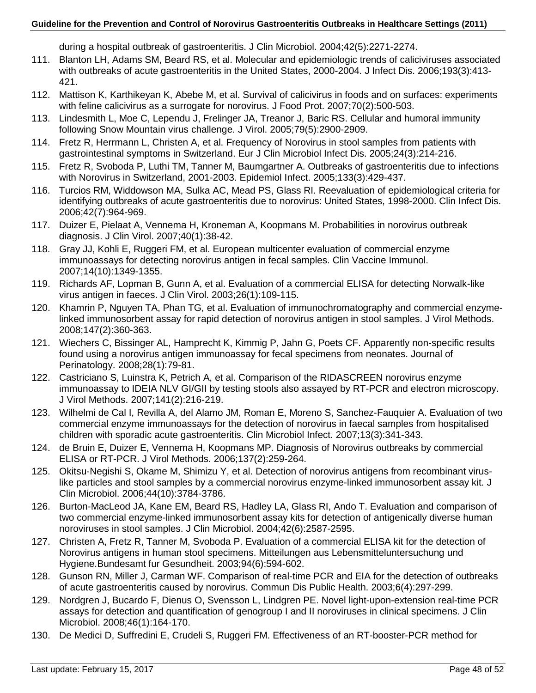during a hospital outbreak of gastroenteritis. J Clin Microbiol. 2004;42(5):2271-2274.

- 111. Blanton LH, Adams SM, Beard RS, et al. Molecular and epidemiologic trends of caliciviruses associated with outbreaks of acute gastroenteritis in the United States, 2000-2004. J Infect Dis. 2006;193(3):413- 421.
- 112. Mattison K, Karthikeyan K, Abebe M, et al. Survival of calicivirus in foods and on surfaces: experiments with feline calicivirus as a surrogate for norovirus. J Food Prot. 2007;70(2):500-503.
- 113. Lindesmith L, Moe C, Lependu J, Frelinger JA, Treanor J, Baric RS. Cellular and humoral immunity following Snow Mountain virus challenge. J Virol. 2005;79(5):2900-2909.
- 114. Fretz R, Herrmann L, Christen A, et al. Frequency of Norovirus in stool samples from patients with gastrointestinal symptoms in Switzerland. Eur J Clin Microbiol Infect Dis. 2005;24(3):214-216.
- 115. Fretz R, Svoboda P, Luthi TM, Tanner M, Baumgartner A. Outbreaks of gastroenteritis due to infections with Norovirus in Switzerland, 2001-2003. Epidemiol Infect. 2005;133(3):429-437.
- 116. Turcios RM, Widdowson MA, Sulka AC, Mead PS, Glass RI. Reevaluation of epidemiological criteria for identifying outbreaks of acute gastroenteritis due to norovirus: United States, 1998-2000. Clin Infect Dis. 2006;42(7):964-969.
- 117. Duizer E, Pielaat A, Vennema H, Kroneman A, Koopmans M. Probabilities in norovirus outbreak diagnosis. J Clin Virol. 2007;40(1):38-42.
- 118. Gray JJ, Kohli E, Ruggeri FM, et al. European multicenter evaluation of commercial enzyme immunoassays for detecting norovirus antigen in fecal samples. Clin Vaccine Immunol. 2007;14(10):1349-1355.
- 119. Richards AF, Lopman B, Gunn A, et al. Evaluation of a commercial ELISA for detecting Norwalk-like virus antigen in faeces. J Clin Virol. 2003;26(1):109-115.
- 120. Khamrin P, Nguyen TA, Phan TG, et al. Evaluation of immunochromatography and commercial enzymelinked immunosorbent assay for rapid detection of norovirus antigen in stool samples. J Virol Methods. 2008;147(2):360-363.
- 121. Wiechers C, Bissinger AL, Hamprecht K, Kimmig P, Jahn G, Poets CF. Apparently non-specific results found using a norovirus antigen immunoassay for fecal specimens from neonates. Journal of Perinatology. 2008;28(1):79-81.
- 122. Castriciano S, Luinstra K, Petrich A, et al. Comparison of the RIDASCREEN norovirus enzyme immunoassay to IDEIA NLV GI/GII by testing stools also assayed by RT-PCR and electron microscopy. J Virol Methods. 2007;141(2):216-219.
- 123. Wilhelmi de Cal I, Revilla A, del Alamo JM, Roman E, Moreno S, Sanchez-Fauquier A. Evaluation of two commercial enzyme immunoassays for the detection of norovirus in faecal samples from hospitalised children with sporadic acute gastroenteritis. Clin Microbiol Infect. 2007;13(3):341-343.
- 124. de Bruin E, Duizer E, Vennema H, Koopmans MP. Diagnosis of Norovirus outbreaks by commercial ELISA or RT-PCR. J Virol Methods. 2006;137(2):259-264.
- 125. Okitsu-Negishi S, Okame M, Shimizu Y, et al. Detection of norovirus antigens from recombinant viruslike particles and stool samples by a commercial norovirus enzyme-linked immunosorbent assay kit. J Clin Microbiol. 2006;44(10):3784-3786.
- 126. Burton-MacLeod JA, Kane EM, Beard RS, Hadley LA, Glass RI, Ando T. Evaluation and comparison of two commercial enzyme-linked immunosorbent assay kits for detection of antigenically diverse human noroviruses in stool samples. J Clin Microbiol. 2004;42(6):2587-2595.
- 127. Christen A, Fretz R, Tanner M, Svoboda P. Evaluation of a commercial ELISA kit for the detection of Norovirus antigens in human stool specimens. Mitteilungen aus Lebensmitteluntersuchung und Hygiene.Bundesamt fur Gesundheit. 2003;94(6):594-602.
- 128. Gunson RN, Miller J, Carman WF. Comparison of real-time PCR and EIA for the detection of outbreaks of acute gastroenteritis caused by norovirus. Commun Dis Public Health. 2003;6(4):297-299.
- 129. Nordgren J, Bucardo F, Dienus O, Svensson L, Lindgren PE. Novel light-upon-extension real-time PCR assays for detection and quantification of genogroup I and II noroviruses in clinical specimens. J Clin Microbiol. 2008;46(1):164-170.
- 130. De Medici D, Suffredini E, Crudeli S, Ruggeri FM. Effectiveness of an RT-booster-PCR method for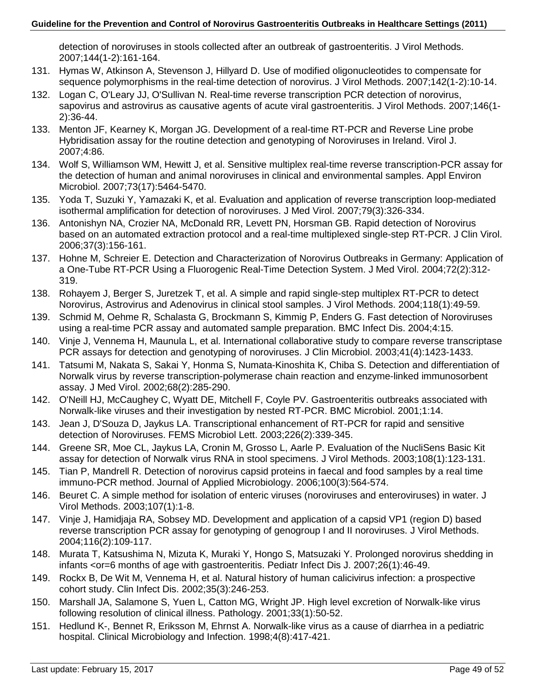detection of noroviruses in stools collected after an outbreak of gastroenteritis. J Virol Methods. 2007;144(1-2):161-164.

- 131. Hymas W, Atkinson A, Stevenson J, Hillyard D. Use of modified oligonucleotides to compensate for sequence polymorphisms in the real-time detection of norovirus. J Virol Methods. 2007;142(1-2):10-14.
- 132. Logan C, O'Leary JJ, O'Sullivan N. Real-time reverse transcription PCR detection of norovirus, sapovirus and astrovirus as causative agents of acute viral gastroenteritis. J Virol Methods. 2007;146(1- 2):36-44.
- 133. Menton JF, Kearney K, Morgan JG. Development of a real-time RT-PCR and Reverse Line probe Hybridisation assay for the routine detection and genotyping of Noroviruses in Ireland. Virol J. 2007;4:86.
- 134. Wolf S, Williamson WM, Hewitt J, et al. Sensitive multiplex real-time reverse transcription-PCR assay for the detection of human and animal noroviruses in clinical and environmental samples. Appl Environ Microbiol. 2007;73(17):5464-5470.
- 135. Yoda T, Suzuki Y, Yamazaki K, et al. Evaluation and application of reverse transcription loop-mediated isothermal amplification for detection of noroviruses. J Med Virol. 2007;79(3):326-334.
- 136. Antonishyn NA, Crozier NA, McDonald RR, Levett PN, Horsman GB. Rapid detection of Norovirus based on an automated extraction protocol and a real-time multiplexed single-step RT-PCR. J Clin Virol. 2006;37(3):156-161.
- 137. Hohne M, Schreier E. Detection and Characterization of Norovirus Outbreaks in Germany: Application of a One-Tube RT-PCR Using a Fluorogenic Real-Time Detection System. J Med Virol. 2004;72(2):312- 319.
- 138. Rohayem J, Berger S, Juretzek T, et al. A simple and rapid single-step multiplex RT-PCR to detect Norovirus, Astrovirus and Adenovirus in clinical stool samples. J Virol Methods. 2004;118(1):49-59.
- 139. Schmid M, Oehme R, Schalasta G, Brockmann S, Kimmig P, Enders G. Fast detection of Noroviruses using a real-time PCR assay and automated sample preparation. BMC Infect Dis. 2004;4:15.
- 140. Vinje J, Vennema H, Maunula L, et al. International collaborative study to compare reverse transcriptase PCR assays for detection and genotyping of noroviruses. J Clin Microbiol. 2003;41(4):1423-1433.
- 141. Tatsumi M, Nakata S, Sakai Y, Honma S, Numata-Kinoshita K, Chiba S. Detection and differentiation of Norwalk virus by reverse transcription-polymerase chain reaction and enzyme-linked immunosorbent assay. J Med Virol. 2002;68(2):285-290.
- 142. O'Neill HJ, McCaughey C, Wyatt DE, Mitchell F, Coyle PV. Gastroenteritis outbreaks associated with Norwalk-like viruses and their investigation by nested RT-PCR. BMC Microbiol. 2001;1:14.
- 143. Jean J, D'Souza D, Jaykus LA. Transcriptional enhancement of RT-PCR for rapid and sensitive detection of Noroviruses. FEMS Microbiol Lett. 2003;226(2):339-345.
- 144. Greene SR, Moe CL, Jaykus LA, Cronin M, Grosso L, Aarle P. Evaluation of the NucliSens Basic Kit assay for detection of Norwalk virus RNA in stool specimens. J Virol Methods. 2003;108(1):123-131.
- 145. Tian P, Mandrell R. Detection of norovirus capsid proteins in faecal and food samples by a real time immuno-PCR method. Journal of Applied Microbiology. 2006;100(3):564-574.
- 146. Beuret C. A simple method for isolation of enteric viruses (noroviruses and enteroviruses) in water. J Virol Methods. 2003;107(1):1-8.
- 147. Vinje J, Hamidjaja RA, Sobsey MD. Development and application of a capsid VP1 (region D) based reverse transcription PCR assay for genotyping of genogroup I and II noroviruses. J Virol Methods. 2004;116(2):109-117.
- 148. Murata T, Katsushima N, Mizuta K, Muraki Y, Hongo S, Matsuzaki Y. Prolonged norovirus shedding in infants <or=6 months of age with gastroenteritis. Pediatr Infect Dis J. 2007;26(1):46-49.
- 149. Rockx B, De Wit M, Vennema H, et al. Natural history of human calicivirus infection: a prospective cohort study. Clin Infect Dis. 2002;35(3):246-253.
- 150. Marshall JA, Salamone S, Yuen L, Catton MG, Wright JP. High level excretion of Norwalk-like virus following resolution of clinical illness. Pathology. 2001;33(1):50-52.
- 151. Hedlund K-, Bennet R, Eriksson M, Ehrnst A. Norwalk-like virus as a cause of diarrhea in a pediatric hospital. Clinical Microbiology and Infection. 1998;4(8):417-421.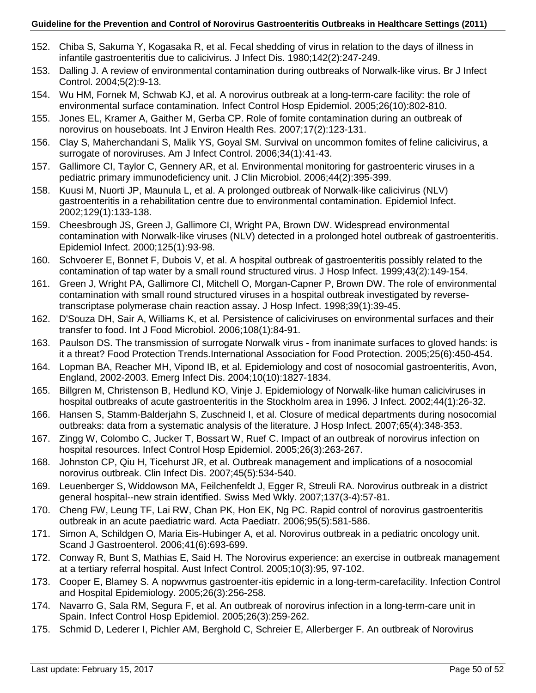- 152. Chiba S, Sakuma Y, Kogasaka R, et al. Fecal shedding of virus in relation to the days of illness in infantile gastroenteritis due to calicivirus. J Infect Dis. 1980;142(2):247-249.
- 153. Dalling J. A review of environmental contamination during outbreaks of Norwalk-like virus. Br J Infect Control. 2004;5(2):9-13.
- 154. Wu HM, Fornek M, Schwab KJ, et al. A norovirus outbreak at a long-term-care facility: the role of environmental surface contamination. Infect Control Hosp Epidemiol. 2005;26(10):802-810.
- 155. Jones EL, Kramer A, Gaither M, Gerba CP. Role of fomite contamination during an outbreak of norovirus on houseboats. Int J Environ Health Res. 2007;17(2):123-131.
- 156. Clay S, Maherchandani S, Malik YS, Goyal SM. Survival on uncommon fomites of feline calicivirus, a surrogate of noroviruses. Am J Infect Control. 2006;34(1):41-43.
- 157. Gallimore CI, Taylor C, Gennery AR, et al. Environmental monitoring for gastroenteric viruses in a pediatric primary immunodeficiency unit. J Clin Microbiol. 2006;44(2):395-399.
- 158. Kuusi M, Nuorti JP, Maunula L, et al. A prolonged outbreak of Norwalk-like calicivirus (NLV) gastroenteritis in a rehabilitation centre due to environmental contamination. Epidemiol Infect. 2002;129(1):133-138.
- 159. Cheesbrough JS, Green J, Gallimore CI, Wright PA, Brown DW. Widespread environmental contamination with Norwalk-like viruses (NLV) detected in a prolonged hotel outbreak of gastroenteritis. Epidemiol Infect. 2000;125(1):93-98.
- 160. Schvoerer E, Bonnet F, Dubois V, et al. A hospital outbreak of gastroenteritis possibly related to the contamination of tap water by a small round structured virus. J Hosp Infect. 1999;43(2):149-154.
- 161. Green J, Wright PA, Gallimore CI, Mitchell O, Morgan-Capner P, Brown DW. The role of environmental contamination with small round structured viruses in a hospital outbreak investigated by reversetranscriptase polymerase chain reaction assay. J Hosp Infect. 1998;39(1):39-45.
- 162. D'Souza DH, Sair A, Williams K, et al. Persistence of caliciviruses on environmental surfaces and their transfer to food. Int J Food Microbiol. 2006;108(1):84-91.
- 163. Paulson DS. The transmission of surrogate Norwalk virus from inanimate surfaces to gloved hands: is it a threat? Food Protection Trends.International Association for Food Protection. 2005;25(6):450-454.
- 164. Lopman BA, Reacher MH, Vipond IB, et al. Epidemiology and cost of nosocomial gastroenteritis, Avon, England, 2002-2003. Emerg Infect Dis. 2004;10(10):1827-1834.
- 165. Billgren M, Christenson B, Hedlund KO, Vinje J. Epidemiology of Norwalk-like human caliciviruses in hospital outbreaks of acute gastroenteritis in the Stockholm area in 1996. J Infect. 2002;44(1):26-32.
- 166. Hansen S, Stamm-Balderjahn S, Zuschneid I, et al. Closure of medical departments during nosocomial outbreaks: data from a systematic analysis of the literature. J Hosp Infect. 2007;65(4):348-353.
- 167. Zingg W, Colombo C, Jucker T, Bossart W, Ruef C. Impact of an outbreak of norovirus infection on hospital resources. Infect Control Hosp Epidemiol. 2005;26(3):263-267.
- 168. Johnston CP, Qiu H, Ticehurst JR, et al. Outbreak management and implications of a nosocomial norovirus outbreak. Clin Infect Dis. 2007;45(5):534-540.
- 169. Leuenberger S, Widdowson MA, Feilchenfeldt J, Egger R, Streuli RA. Norovirus outbreak in a district general hospital--new strain identified. Swiss Med Wkly. 2007;137(3-4):57-81.
- 170. Cheng FW, Leung TF, Lai RW, Chan PK, Hon EK, Ng PC. Rapid control of norovirus gastroenteritis outbreak in an acute paediatric ward. Acta Paediatr. 2006;95(5):581-586.
- 171. Simon A, Schildgen O, Maria Eis-Hubinger A, et al. Norovirus outbreak in a pediatric oncology unit. Scand J Gastroenterol. 2006;41(6):693-699.
- 172. Conway R, Bunt S, Mathias E, Said H. The Norovirus experience: an exercise in outbreak management at a tertiary referral hospital. Aust Infect Control. 2005;10(3):95, 97-102.
- 173. Cooper E, Blamey S. A nopwvmus gastroenter-itis epidemic in a long-term-carefacility. Infection Control and Hospital Epidemiology. 2005;26(3):256-258.
- 174. Navarro G, Sala RM, Segura F, et al. An outbreak of norovirus infection in a long-term-care unit in Spain. Infect Control Hosp Epidemiol. 2005;26(3):259-262.
- 175. Schmid D, Lederer I, Pichler AM, Berghold C, Schreier E, Allerberger F. An outbreak of Norovirus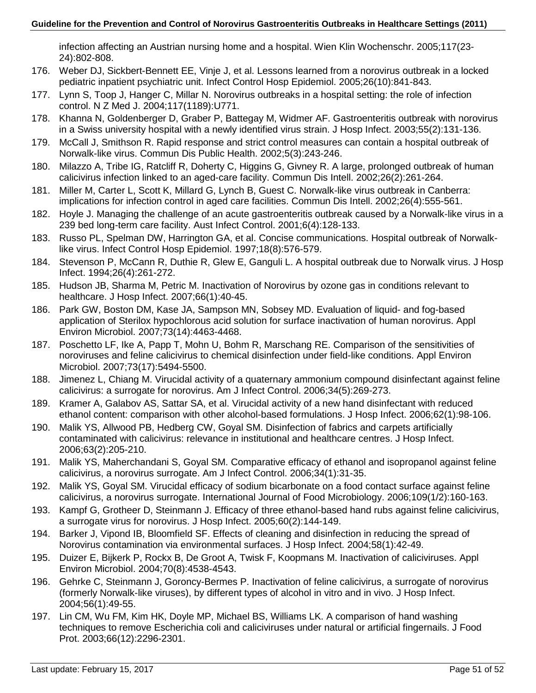infection affecting an Austrian nursing home and a hospital. Wien Klin Wochenschr. 2005;117(23- 24):802-808.

- 176. Weber DJ, Sickbert-Bennett EE, Vinje J, et al. Lessons learned from a norovirus outbreak in a locked pediatric inpatient psychiatric unit. Infect Control Hosp Epidemiol. 2005;26(10):841-843.
- 177. Lynn S, Toop J, Hanger C, Millar N. Norovirus outbreaks in a hospital setting: the role of infection control. N Z Med J. 2004;117(1189):U771.
- 178. Khanna N, Goldenberger D, Graber P, Battegay M, Widmer AF. Gastroenteritis outbreak with norovirus in a Swiss university hospital with a newly identified virus strain. J Hosp Infect. 2003;55(2):131-136.
- 179. McCall J, Smithson R. Rapid response and strict control measures can contain a hospital outbreak of Norwalk-like virus. Commun Dis Public Health. 2002;5(3):243-246.
- 180. Milazzo A, Tribe IG, Ratcliff R, Doherty C, Higgins G, Givney R. A large, prolonged outbreak of human calicivirus infection linked to an aged-care facility. Commun Dis Intell. 2002;26(2):261-264.
- 181. Miller M, Carter L, Scott K, Millard G, Lynch B, Guest C. Norwalk-like virus outbreak in Canberra: implications for infection control in aged care facilities. Commun Dis Intell. 2002;26(4):555-561.
- 182. Hoyle J. Managing the challenge of an acute gastroenteritis outbreak caused by a Norwalk-like virus in a 239 bed long-term care facility. Aust Infect Control. 2001;6(4):128-133.
- 183. Russo PL, Spelman DW, Harrington GA, et al. Concise communications. Hospital outbreak of Norwalklike virus. Infect Control Hosp Epidemiol. 1997;18(8):576-579.
- 184. Stevenson P, McCann R, Duthie R, Glew E, Ganguli L. A hospital outbreak due to Norwalk virus. J Hosp Infect. 1994;26(4):261-272.
- 185. Hudson JB, Sharma M, Petric M. Inactivation of Norovirus by ozone gas in conditions relevant to healthcare. J Hosp Infect. 2007;66(1):40-45.
- 186. Park GW, Boston DM, Kase JA, Sampson MN, Sobsey MD. Evaluation of liquid- and fog-based application of Sterilox hypochlorous acid solution for surface inactivation of human norovirus. Appl Environ Microbiol. 2007;73(14):4463-4468.
- 187. Poschetto LF, Ike A, Papp T, Mohn U, Bohm R, Marschang RE. Comparison of the sensitivities of noroviruses and feline calicivirus to chemical disinfection under field-like conditions. Appl Environ Microbiol. 2007;73(17):5494-5500.
- 188. Jimenez L, Chiang M. Virucidal activity of a quaternary ammonium compound disinfectant against feline calicivirus: a surrogate for norovirus. Am J Infect Control. 2006;34(5):269-273.
- 189. Kramer A, Galabov AS, Sattar SA, et al. Virucidal activity of a new hand disinfectant with reduced ethanol content: comparison with other alcohol-based formulations. J Hosp Infect. 2006;62(1):98-106.
- 190. Malik YS, Allwood PB, Hedberg CW, Goyal SM. Disinfection of fabrics and carpets artificially contaminated with calicivirus: relevance in institutional and healthcare centres. J Hosp Infect. 2006;63(2):205-210.
- 191. Malik YS, Maherchandani S, Goyal SM. Comparative efficacy of ethanol and isopropanol against feline calicivirus, a norovirus surrogate. Am J Infect Control. 2006;34(1):31-35.
- 192. Malik YS, Goyal SM. Virucidal efficacy of sodium bicarbonate on a food contact surface against feline calicivirus, a norovirus surrogate. International Journal of Food Microbiology. 2006;109(1/2):160-163.
- 193. Kampf G, Grotheer D, Steinmann J. Efficacy of three ethanol-based hand rubs against feline calicivirus, a surrogate virus for norovirus. J Hosp Infect. 2005;60(2):144-149.
- 194. Barker J, Vipond IB, Bloomfield SF. Effects of cleaning and disinfection in reducing the spread of Norovirus contamination via environmental surfaces. J Hosp Infect. 2004;58(1):42-49.
- 195. Duizer E, Bijkerk P, Rockx B, De Groot A, Twisk F, Koopmans M. Inactivation of caliciviruses. Appl Environ Microbiol. 2004;70(8):4538-4543.
- 196. Gehrke C, Steinmann J, Goroncy-Bermes P. Inactivation of feline calicivirus, a surrogate of norovirus (formerly Norwalk-like viruses), by different types of alcohol in vitro and in vivo. J Hosp Infect. 2004;56(1):49-55.
- 197. Lin CM, Wu FM, Kim HK, Doyle MP, Michael BS, Williams LK. A comparison of hand washing techniques to remove Escherichia coli and caliciviruses under natural or artificial fingernails. J Food Prot. 2003;66(12):2296-2301.